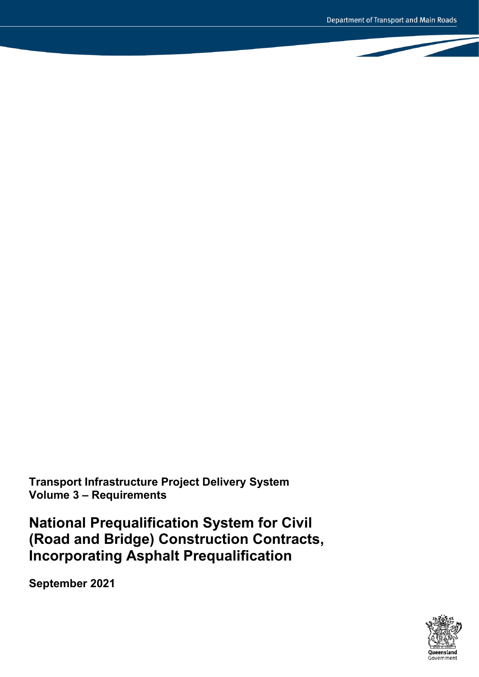**Transport Infrastructure Project Delivery System Volume 3 – Requirements**

**National Prequalification System for Civil (Road and Bridge) Construction Contracts, Incorporating Asphalt Prequalification**

**September 2021**

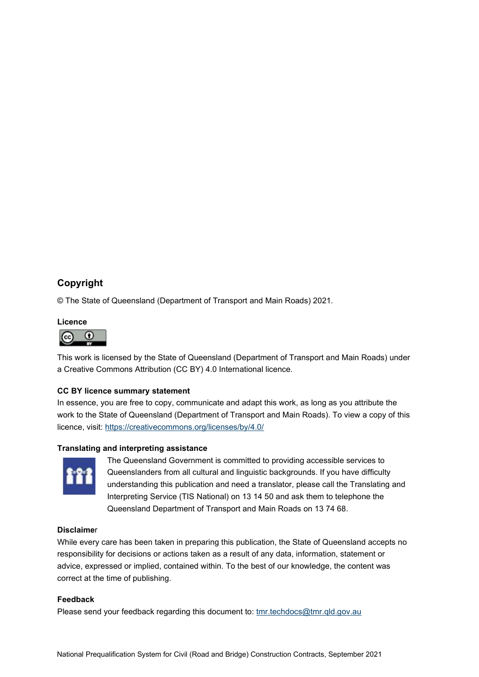## **Copyright**

© The State of Queensland (Department of Transport and Main Roads) 2021.

## **Licence**



This work is licensed by the State of Queensland (Department of Transport and Main Roads) under a Creative Commons Attribution (CC BY) 4.0 International licence.

## **CC BY licence summary statement**

In essence, you are free to copy, communicate and adapt this work, as long as you attribute the work to the State of Queensland (Department of Transport and Main Roads). To view a copy of this licence, visit:<https://creativecommons.org/licenses/by/4.0/>

## **Translating and interpreting assistance**



The Queensland Government is committed to providing accessible services to Queenslanders from all cultural and linguistic backgrounds. If you have difficulty understanding this publication and need a translator, please call the Translating and Interpreting Service (TIS National) on 13 14 50 and ask them to telephone the Queensland Department of Transport and Main Roads on 13 74 68.

## **Disclaime**r

While every care has been taken in preparing this publication, the State of Queensland accepts no responsibility for decisions or actions taken as a result of any data, information, statement or advice, expressed or implied, contained within. To the best of our knowledge, the content was correct at the time of publishing.

## **Feedback**

Please send your feedback regarding this document to: tmr.techdocs@tmr.gld.gov.au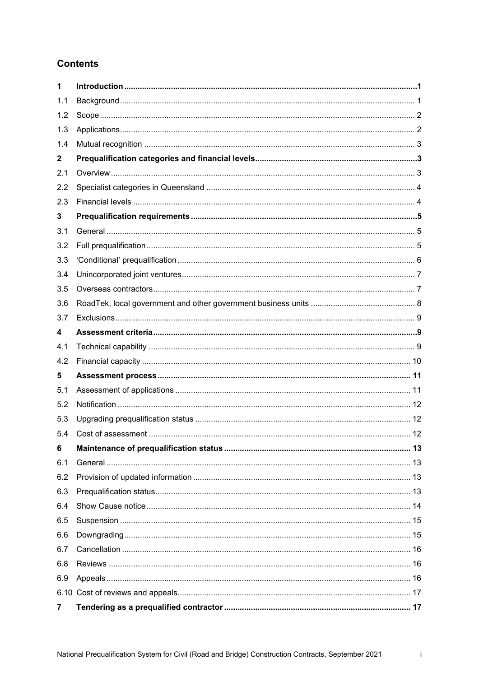# **Contents**

| 1   |  |
|-----|--|
| 1.1 |  |
| 1.2 |  |
| 1.3 |  |
| 1.4 |  |
| 2   |  |
| 2.1 |  |
| 2.2 |  |
| 2.3 |  |
| 3   |  |
| 3.1 |  |
| 3.2 |  |
| 3.3 |  |
| 3.4 |  |
| 3.5 |  |
| 3.6 |  |
| 3.7 |  |
| 4   |  |
| 4.1 |  |
| 4.2 |  |
| 5   |  |
| 5.1 |  |
| 5.2 |  |
| 5.3 |  |
| 5.4 |  |
| 6   |  |
| 6.1 |  |
| 6.2 |  |
| 6.3 |  |
| 6.4 |  |
| 6.5 |  |
| 6.6 |  |
| 6.7 |  |
| 6.8 |  |
| 6.9 |  |
|     |  |
|     |  |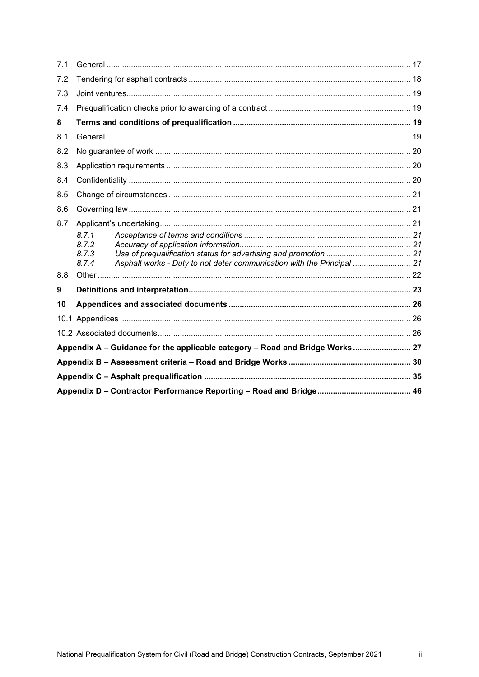| 7.1 |       |                                                                              |  |  |  |  |  |  |  |
|-----|-------|------------------------------------------------------------------------------|--|--|--|--|--|--|--|
| 7.2 |       |                                                                              |  |  |  |  |  |  |  |
| 7.3 |       |                                                                              |  |  |  |  |  |  |  |
| 7.4 |       |                                                                              |  |  |  |  |  |  |  |
| 8   |       |                                                                              |  |  |  |  |  |  |  |
| 8.1 |       |                                                                              |  |  |  |  |  |  |  |
| 8.2 |       |                                                                              |  |  |  |  |  |  |  |
| 8.3 |       |                                                                              |  |  |  |  |  |  |  |
| 8.4 |       |                                                                              |  |  |  |  |  |  |  |
| 8.5 |       |                                                                              |  |  |  |  |  |  |  |
| 8.6 |       |                                                                              |  |  |  |  |  |  |  |
| 8.7 |       |                                                                              |  |  |  |  |  |  |  |
|     | 8.7.1 |                                                                              |  |  |  |  |  |  |  |
|     | 8.7.2 |                                                                              |  |  |  |  |  |  |  |
|     | 8.7.3 |                                                                              |  |  |  |  |  |  |  |
|     | 8.7.4 | Asphalt works - Duty to not deter communication with the Principal  21       |  |  |  |  |  |  |  |
| 8.8 |       |                                                                              |  |  |  |  |  |  |  |
| 9   |       |                                                                              |  |  |  |  |  |  |  |
| 10  |       |                                                                              |  |  |  |  |  |  |  |
|     |       |                                                                              |  |  |  |  |  |  |  |
|     |       |                                                                              |  |  |  |  |  |  |  |
|     |       | Appendix A - Guidance for the applicable category - Road and Bridge Works 27 |  |  |  |  |  |  |  |
|     |       |                                                                              |  |  |  |  |  |  |  |
|     |       |                                                                              |  |  |  |  |  |  |  |
|     |       |                                                                              |  |  |  |  |  |  |  |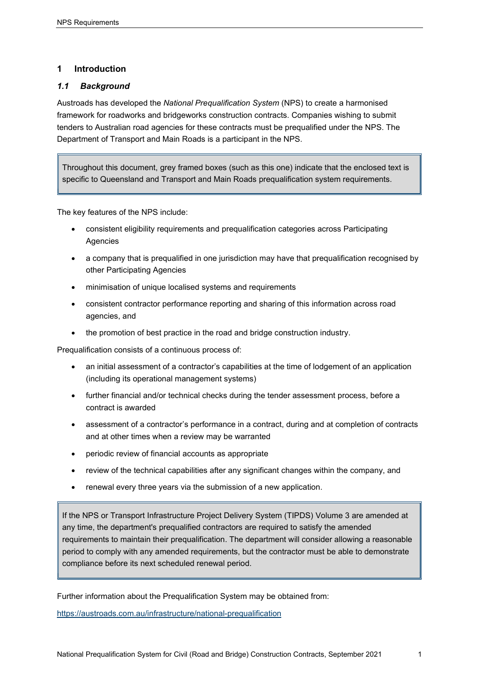## <span id="page-4-0"></span>**1 Introduction**

## <span id="page-4-1"></span>*1.1 Background*

Austroads has developed the *National Prequalification System* (NPS) to create a harmonised framework for roadworks and bridgeworks construction contracts. Companies wishing to submit tenders to Australian road agencies for these contracts must be prequalified under the NPS. The Department of Transport and Main Roads is a participant in the NPS.

Throughout this document, grey framed boxes (such as this one) indicate that the enclosed text is specific to Queensland and Transport and Main Roads prequalification system requirements.

The key features of the NPS include:

- consistent eligibility requirements and prequalification categories across Participating Agencies
- a company that is prequalified in one jurisdiction may have that prequalification recognised by other Participating Agencies
- minimisation of unique localised systems and requirements
- consistent contractor performance reporting and sharing of this information across road agencies, and
- the promotion of best practice in the road and bridge construction industry.

Prequalification consists of a continuous process of:

- an initial assessment of a contractor's capabilities at the time of lodgement of an application (including its operational management systems)
- further financial and/or technical checks during the tender assessment process, before a contract is awarded
- assessment of a contractor's performance in a contract, during and at completion of contracts and at other times when a review may be warranted
- periodic review of financial accounts as appropriate
- review of the technical capabilities after any significant changes within the company, and
- renewal every three years via the submission of a new application.

If the NPS or Transport Infrastructure Project Delivery System (TIPDS) Volume 3 are amended at any time, the department's prequalified contractors are required to satisfy the amended requirements to maintain their prequalification. The department will consider allowing a reasonable period to comply with any amended requirements, but the contractor must be able to demonstrate compliance before its next scheduled renewal period.

Further information about the Prequalification System may be obtained from:

<https://austroads.com.au/infrastructure/national-prequalification>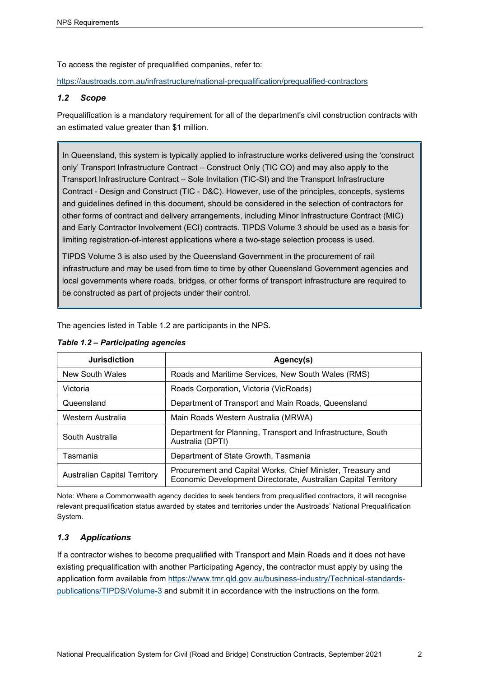To access the register of prequalified companies, refer to:

<https://austroads.com.au/infrastructure/national-prequalification/prequalified-contractors>

#### <span id="page-5-0"></span>*1.2 Scope*

Prequalification is a mandatory requirement for all of the department's civil construction contracts with an estimated value greater than \$1 million.

In Queensland, this system is typically applied to infrastructure works delivered using the 'construct only' Transport Infrastructure Contract – Construct Only (TIC CO) and may also apply to the Transport Infrastructure Contract – Sole Invitation (TIC-SI) and the Transport Infrastructure Contract - Design and Construct (TIC - D&C). However, use of the principles, concepts, systems and guidelines defined in this document, should be considered in the selection of contractors for other forms of contract and delivery arrangements, including Minor Infrastructure Contract (MIC) and Early Contractor Involvement (ECI) contracts. TIPDS Volume 3 should be used as a basis for limiting registration-of-interest applications where a two-stage selection process is used.

TIPDS Volume 3 is also used by the Queensland Government in the procurement of rail infrastructure and may be used from time to time by other Queensland Government agencies and local governments where roads, bridges, or other forms of transport infrastructure are required to be constructed as part of projects under their control.

The agencies listed in Table 1.2 are participants in the NPS.

| <b>Jurisdiction</b>                 | Agency(s)                                                                                                                     |  |  |  |  |
|-------------------------------------|-------------------------------------------------------------------------------------------------------------------------------|--|--|--|--|
| New South Wales                     | Roads and Maritime Services, New South Wales (RMS)                                                                            |  |  |  |  |
| Victoria                            | Roads Corporation, Victoria (VicRoads)                                                                                        |  |  |  |  |
| Queensland                          | Department of Transport and Main Roads, Queensland                                                                            |  |  |  |  |
| Western Australia                   | Main Roads Western Australia (MRWA)                                                                                           |  |  |  |  |
| South Australia                     | Department for Planning, Transport and Infrastructure, South<br>Australia (DPTI)                                              |  |  |  |  |
| Tasmania                            | Department of State Growth, Tasmania                                                                                          |  |  |  |  |
| <b>Australian Capital Territory</b> | Procurement and Capital Works, Chief Minister, Treasury and<br>Economic Development Directorate, Australian Capital Territory |  |  |  |  |

#### *Table 1.2 – Participating agencies*

Note: Where a Commonwealth agency decides to seek tenders from prequalified contractors, it will recognise relevant prequalification status awarded by states and territories under the Austroads' National Prequalification System.

## <span id="page-5-1"></span>*1.3 Applications*

If a contractor wishes to become prequalified with Transport and Main Roads and it does not have existing prequalification with another Participating Agency, the contractor must apply by using the application form available from [https://www.tmr.qld.gov.au/business-industry/Technical-standards](https://www.tmr.qld.gov.au/business-industry/Technical-standards-publications/TIPDS/Volume-3)[publications/TIPDS/Volume-3](https://www.tmr.qld.gov.au/business-industry/Technical-standards-publications/TIPDS/Volume-3) and submit it in accordance with the instructions on the form.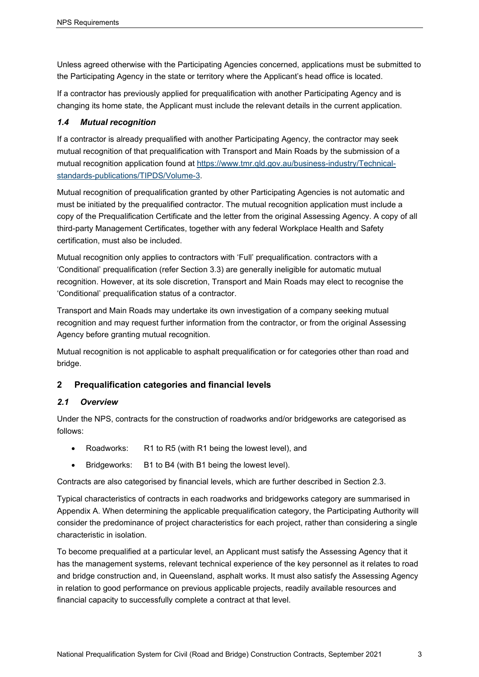Unless agreed otherwise with the Participating Agencies concerned, applications must be submitted to the Participating Agency in the state or territory where the Applicant's head office is located.

If a contractor has previously applied for prequalification with another Participating Agency and is changing its home state, the Applicant must include the relevant details in the current application.

## <span id="page-6-0"></span>*1.4 Mutual recognition*

If a contractor is already prequalified with another Participating Agency, the contractor may seek mutual recognition of that prequalification with Transport and Main Roads by the submission of a mutual recognition application found at [https://www.tmr.qld.gov.au/business-industry/Technical](https://www.tmr.qld.gov.au/business-industry/Technical-standards-publications/TIPDS/Volume-3)[standards-publications/TIPDS/Volume-3.](https://www.tmr.qld.gov.au/business-industry/Technical-standards-publications/TIPDS/Volume-3)

Mutual recognition of prequalification granted by other Participating Agencies is not automatic and must be initiated by the prequalified contractor. The mutual recognition application must include a copy of the Prequalification Certificate and the letter from the original Assessing Agency. A copy of all third-party Management Certificates, together with any federal Workplace Health and Safety certification, must also be included.

Mutual recognition only applies to contractors with 'Full' prequalification. contractors with a 'Conditional' prequalification (refer Section 3.3) are generally ineligible for automatic mutual recognition. However, at its sole discretion, Transport and Main Roads may elect to recognise the 'Conditional' prequalification status of a contractor.

Transport and Main Roads may undertake its own investigation of a company seeking mutual recognition and may request further information from the contractor, or from the original Assessing Agency before granting mutual recognition.

Mutual recognition is not applicable to asphalt prequalification or for categories other than road and bridge.

## <span id="page-6-1"></span>**2 Prequalification categories and financial levels**

## <span id="page-6-2"></span>*2.1 Overview*

Under the NPS, contracts for the construction of roadworks and/or bridgeworks are categorised as follows:

- Roadworks: R1 to R5 (with R1 being the lowest level), and
- Bridgeworks: B1 to B4 (with B1 being the lowest level).

Contracts are also categorised by financial levels, which are further described in Section 2.3.

Typical characteristics of contracts in each roadworks and bridgeworks category are summarised in Appendix A. When determining the applicable prequalification category, the Participating Authority will consider the predominance of project characteristics for each project, rather than considering a single characteristic in isolation.

To become prequalified at a particular level, an Applicant must satisfy the Assessing Agency that it has the management systems, relevant technical experience of the key personnel as it relates to road and bridge construction and, in Queensland, asphalt works. It must also satisfy the Assessing Agency in relation to good performance on previous applicable projects, readily available resources and financial capacity to successfully complete a contract at that level.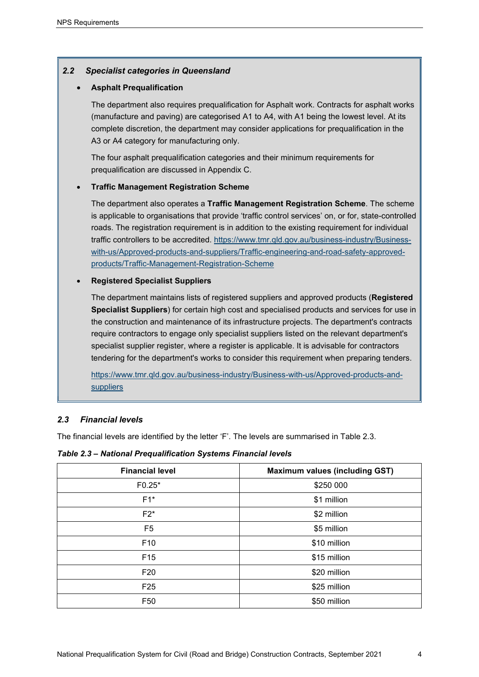## <span id="page-7-0"></span>*2.2 Specialist categories in Queensland*

#### • **Asphalt Prequalification**

The department also requires prequalification for Asphalt work. Contracts for asphalt works (manufacture and paving) are categorised A1 to A4, with A1 being the lowest level. At its complete discretion, the department may consider applications for prequalification in the A3 or A4 category for manufacturing only.

The four asphalt prequalification categories and their minimum requirements for prequalification are discussed in Appendix C.

#### • **Traffic Management Registration Scheme**

The department also operates a **Traffic Management Registration Scheme**. The scheme is applicable to organisations that provide 'traffic control services' on, or for, state-controlled roads. The registration requirement is in addition to the existing requirement for individual traffic controllers to be accredited. [https://www.tmr.qld.gov.au/business-industry/Business](https://www.tmr.qld.gov.au/business-industry/Business-with-us/Approved-products-and-suppliers/Traffic-engineering-and-road-safety-approved-products/Traffic-Management-Registration-Scheme)[with-us/Approved-products-and-suppliers/Traffic-engineering-and-road-safety-approved](https://www.tmr.qld.gov.au/business-industry/Business-with-us/Approved-products-and-suppliers/Traffic-engineering-and-road-safety-approved-products/Traffic-Management-Registration-Scheme)[products/Traffic-Management-Registration-Scheme](https://www.tmr.qld.gov.au/business-industry/Business-with-us/Approved-products-and-suppliers/Traffic-engineering-and-road-safety-approved-products/Traffic-Management-Registration-Scheme)

#### • **Registered Specialist Suppliers**

The department maintains lists of registered suppliers and approved products (**Registered Specialist Suppliers**) for certain high cost and specialised products and services for use in the construction and maintenance of its infrastructure projects. The department's contracts require contractors to engage only specialist suppliers listed on the relevant department's specialist supplier register, where a register is applicable. It is advisable for contractors tendering for the department's works to consider this requirement when preparing tenders.

[https://www.tmr.qld.gov.au/business-industry/Business-with-us/Approved-products-and](https://www.tmr.qld.gov.au/business-industry/Business-with-us/Approved-products-and-suppliers)[suppliers](https://www.tmr.qld.gov.au/business-industry/Business-with-us/Approved-products-and-suppliers)

## <span id="page-7-1"></span>*2.3 Financial levels*

The financial levels are identified by the letter 'F'. The levels are summarised in Table 2.3.

*Table 2.3 – National Prequalification Systems Financial levels*

| <b>Financial level</b> | <b>Maximum values (including GST)</b> |
|------------------------|---------------------------------------|
| $F0.25*$               | \$250 000                             |
| $F1^*$                 | \$1 million                           |
| $F2^*$                 | \$2 million                           |
| F <sub>5</sub>         | \$5 million                           |
| F <sub>10</sub>        | \$10 million                          |
| F <sub>15</sub>        | \$15 million                          |
| F <sub>20</sub>        | \$20 million                          |
| F <sub>25</sub>        | \$25 million                          |
| F <sub>50</sub>        | \$50 million                          |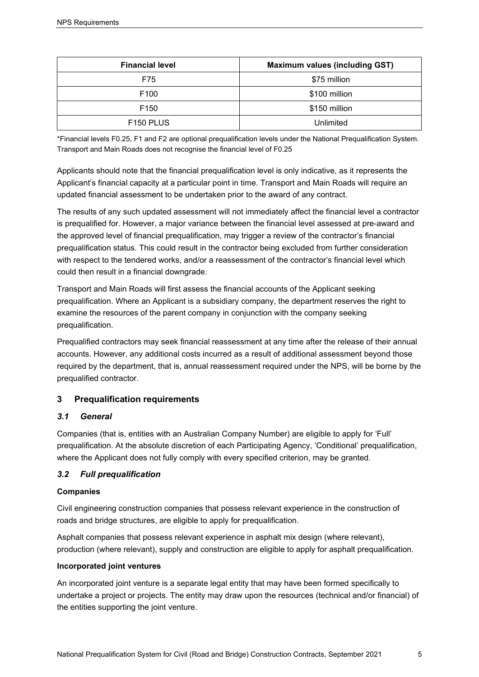| <b>Financial level</b> | <b>Maximum values (including GST)</b> |  |  |  |  |
|------------------------|---------------------------------------|--|--|--|--|
| F75                    | \$75 million                          |  |  |  |  |
| F <sub>100</sub>       | \$100 million                         |  |  |  |  |
| F <sub>150</sub>       | \$150 million                         |  |  |  |  |
| F <sub>150</sub> PLUS  | Unlimited                             |  |  |  |  |

\*Financial levels F0.25, F1 and F2 are optional prequalification levels under the National Prequalification System. Transport and Main Roads does not recognise the financial level of F0.25

Applicants should note that the financial prequalification level is only indicative, as it represents the Applicant's financial capacity at a particular point in time. Transport and Main Roads will require an updated financial assessment to be undertaken prior to the award of any contract.

The results of any such updated assessment will not immediately affect the financial level a contractor is prequalified for. However, a major variance between the financial level assessed at pre-award and the approved level of financial prequalification, may trigger a review of the contractor's financial prequalification status. This could result in the contractor being excluded from further consideration with respect to the tendered works, and/or a reassessment of the contractor's financial level which could then result in a financial downgrade.

Transport and Main Roads will first assess the financial accounts of the Applicant seeking prequalification. Where an Applicant is a subsidiary company, the department reserves the right to examine the resources of the parent company in conjunction with the company seeking prequalification.

Prequalified contractors may seek financial reassessment at any time after the release of their annual accounts. However, any additional costs incurred as a result of additional assessment beyond those required by the department, that is, annual reassessment required under the NPS, will be borne by the prequalified contractor.

## <span id="page-8-0"></span>**3 Prequalification requirements**

## <span id="page-8-1"></span>*3.1 General*

Companies (that is, entities with an Australian Company Number) are eligible to apply for 'Full' prequalification. At the absolute discretion of each Participating Agency, 'Conditional' prequalification, where the Applicant does not fully comply with every specified criterion, may be granted.

## <span id="page-8-2"></span>*3.2 Full prequalification*

## **Companies**

Civil engineering construction companies that possess relevant experience in the construction of roads and bridge structures, are eligible to apply for prequalification.

Asphalt companies that possess relevant experience in asphalt mix design (where relevant), production (where relevant), supply and construction are eligible to apply for asphalt prequalification.

## **Incorporated joint ventures**

An incorporated joint venture is a separate legal entity that may have been formed specifically to undertake a project or projects. The entity may draw upon the resources (technical and/or financial) of the entities supporting the joint venture.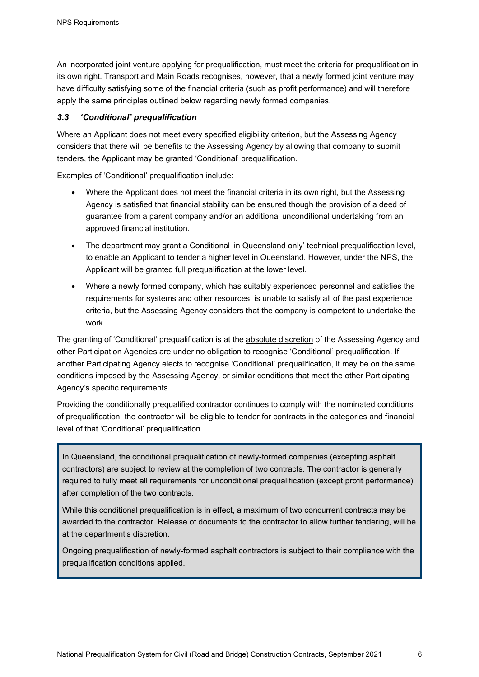An incorporated joint venture applying for prequalification, must meet the criteria for prequalification in its own right. Transport and Main Roads recognises, however, that a newly formed joint venture may have difficulty satisfying some of the financial criteria (such as profit performance) and will therefore apply the same principles outlined below regarding newly formed companies.

#### <span id="page-9-0"></span>*3.3 'Conditional' prequalification*

Where an Applicant does not meet every specified eligibility criterion, but the Assessing Agency considers that there will be benefits to the Assessing Agency by allowing that company to submit tenders, the Applicant may be granted 'Conditional' prequalification.

Examples of 'Conditional' prequalification include:

- Where the Applicant does not meet the financial criteria in its own right, but the Assessing Agency is satisfied that financial stability can be ensured though the provision of a deed of guarantee from a parent company and/or an additional unconditional undertaking from an approved financial institution.
- The department may grant a Conditional 'in Queensland only' technical prequalification level, to enable an Applicant to tender a higher level in Queensland. However, under the NPS, the Applicant will be granted full prequalification at the lower level.
- Where a newly formed company, which has suitably experienced personnel and satisfies the requirements for systems and other resources, is unable to satisfy all of the past experience criteria, but the Assessing Agency considers that the company is competent to undertake the work.

The granting of 'Conditional' prequalification is at the absolute discretion of the Assessing Agency and other Participation Agencies are under no obligation to recognise 'Conditional' prequalification. If another Participating Agency elects to recognise 'Conditional' prequalification, it may be on the same conditions imposed by the Assessing Agency, or similar conditions that meet the other Participating Agency's specific requirements.

Providing the conditionally prequalified contractor continues to comply with the nominated conditions of prequalification, the contractor will be eligible to tender for contracts in the categories and financial level of that 'Conditional' prequalification.

In Queensland, the conditional prequalification of newly-formed companies (excepting asphalt contractors) are subject to review at the completion of two contracts. The contractor is generally required to fully meet all requirements for unconditional prequalification (except profit performance) after completion of the two contracts.

While this conditional prequalification is in effect, a maximum of two concurrent contracts may be awarded to the contractor. Release of documents to the contractor to allow further tendering, will be at the department's discretion.

Ongoing prequalification of newly-formed asphalt contractors is subject to their compliance with the prequalification conditions applied.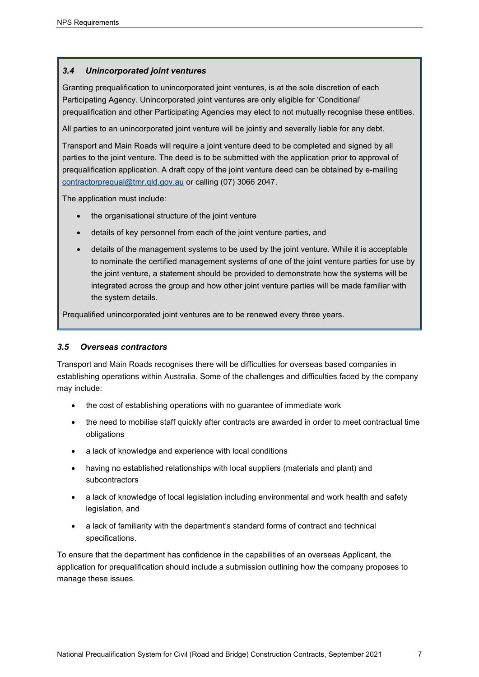## <span id="page-10-0"></span>*3.4 Unincorporated joint ventures*

Granting prequalification to unincorporated joint ventures, is at the sole discretion of each Participating Agency. Unincorporated joint ventures are only eligible for 'Conditional' prequalification and other Participating Agencies may elect to not mutually recognise these entities.

All parties to an unincorporated joint venture will be jointly and severally liable for any debt.

Transport and Main Roads will require a joint venture deed to be completed and signed by all parties to the joint venture. The deed is to be submitted with the application prior to approval of prequalification application. A draft copy of the joint venture deed can be obtained by e-mailing [contractorprequal@tmr.qld.gov.au](mailto:contractorprequal@tmr.qld.gov.au) or calling (07) 3066 2047.

The application must include:

- the organisational structure of the joint venture
- details of key personnel from each of the joint venture parties, and
- details of the management systems to be used by the joint venture. While it is acceptable to nominate the certified management systems of one of the joint venture parties for use by the joint venture, a statement should be provided to demonstrate how the systems will be integrated across the group and how other joint venture parties will be made familiar with the system details.

Prequalified unincorporated joint ventures are to be renewed every three years.

## <span id="page-10-1"></span>*3.5 Overseas contractors*

Transport and Main Roads recognises there will be difficulties for overseas based companies in establishing operations within Australia. Some of the challenges and difficulties faced by the company may include:

- the cost of establishing operations with no guarantee of immediate work
- the need to mobilise staff quickly after contracts are awarded in order to meet contractual time obligations
- a lack of knowledge and experience with local conditions
- having no established relationships with local suppliers (materials and plant) and subcontractors
- a lack of knowledge of local legislation including environmental and work health and safety legislation, and
- a lack of familiarity with the department's standard forms of contract and technical specifications.

To ensure that the department has confidence in the capabilities of an overseas Applicant, the application for prequalification should include a submission outlining how the company proposes to manage these issues.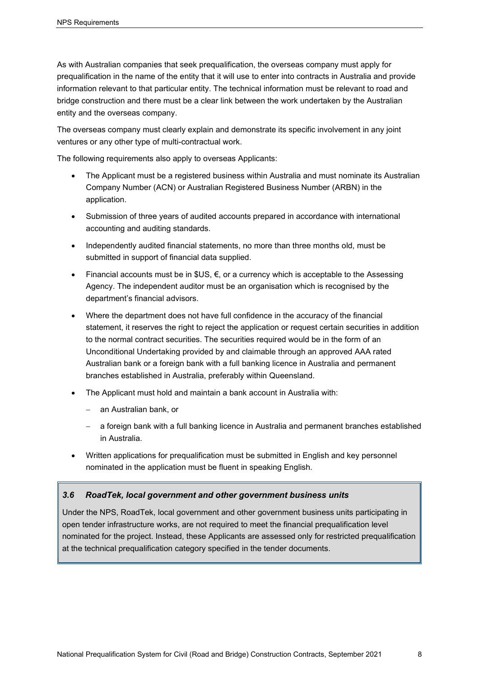As with Australian companies that seek prequalification, the overseas company must apply for prequalification in the name of the entity that it will use to enter into contracts in Australia and provide information relevant to that particular entity. The technical information must be relevant to road and bridge construction and there must be a clear link between the work undertaken by the Australian entity and the overseas company.

The overseas company must clearly explain and demonstrate its specific involvement in any joint ventures or any other type of multi-contractual work.

The following requirements also apply to overseas Applicants:

- The Applicant must be a registered business within Australia and must nominate its Australian Company Number (ACN) or Australian Registered Business Number (ARBN) in the application.
- Submission of three years of audited accounts prepared in accordance with international accounting and auditing standards.
- Independently audited financial statements, no more than three months old, must be submitted in support of financial data supplied.
- Financial accounts must be in  $G \in \mathbb{C}$ , or a currency which is acceptable to the Assessing Agency. The independent auditor must be an organisation which is recognised by the department's financial advisors.
- Where the department does not have full confidence in the accuracy of the financial statement, it reserves the right to reject the application or request certain securities in addition to the normal contract securities. The securities required would be in the form of an Unconditional Undertaking provided by and claimable through an approved AAA rated Australian bank or a foreign bank with a full banking licence in Australia and permanent branches established in Australia, preferably within Queensland.
- The Applicant must hold and maintain a bank account in Australia with:
	- − an Australian bank, or
	- a foreign bank with a full banking licence in Australia and permanent branches established in Australia.
- Written applications for prequalification must be submitted in English and key personnel nominated in the application must be fluent in speaking English.

#### <span id="page-11-0"></span>*3.6 RoadTek, local government and other government business units*

Under the NPS, RoadTek, local government and other government business units participating in open tender infrastructure works, are not required to meet the financial prequalification level nominated for the project. Instead, these Applicants are assessed only for restricted prequalification at the technical prequalification category specified in the tender documents.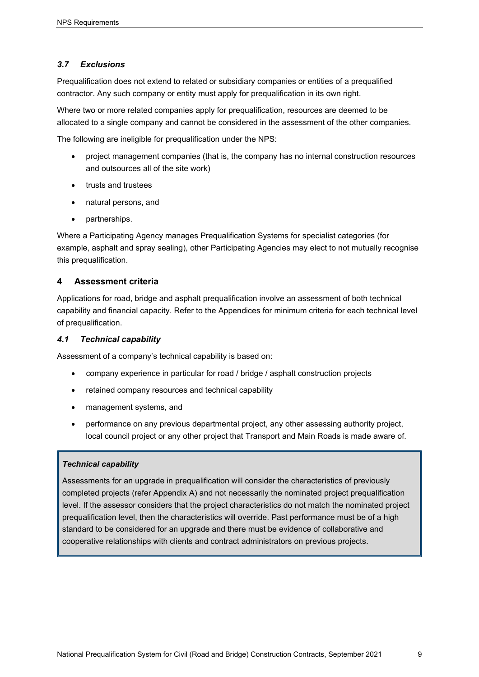## <span id="page-12-0"></span>*3.7 Exclusions*

Prequalification does not extend to related or subsidiary companies or entities of a prequalified contractor. Any such company or entity must apply for prequalification in its own right.

Where two or more related companies apply for prequalification, resources are deemed to be allocated to a single company and cannot be considered in the assessment of the other companies.

The following are ineligible for prequalification under the NPS:

- project management companies (that is, the company has no internal construction resources and outsources all of the site work)
- trusts and trustees
- natural persons, and
- partnerships.

Where a Participating Agency manages Prequalification Systems for specialist categories (for example, asphalt and spray sealing), other Participating Agencies may elect to not mutually recognise this prequalification.

## <span id="page-12-1"></span>**4 Assessment criteria**

Applications for road, bridge and asphalt prequalification involve an assessment of both technical capability and financial capacity. Refer to the Appendices for minimum criteria for each technical level of prequalification.

#### <span id="page-12-2"></span>*4.1 Technical capability*

Assessment of a company's technical capability is based on:

- company experience in particular for road / bridge / asphalt construction projects
- retained company resources and technical capability
- management systems, and
- performance on any previous departmental project, any other assessing authority project, local council project or any other project that Transport and Main Roads is made aware of.

## *Technical capability*

Assessments for an upgrade in prequalification will consider the characteristics of previously completed projects (refer Appendix A) and not necessarily the nominated project prequalification level. If the assessor considers that the project characteristics do not match the nominated project prequalification level, then the characteristics will override. Past performance must be of a high standard to be considered for an upgrade and there must be evidence of collaborative and cooperative relationships with clients and contract administrators on previous projects.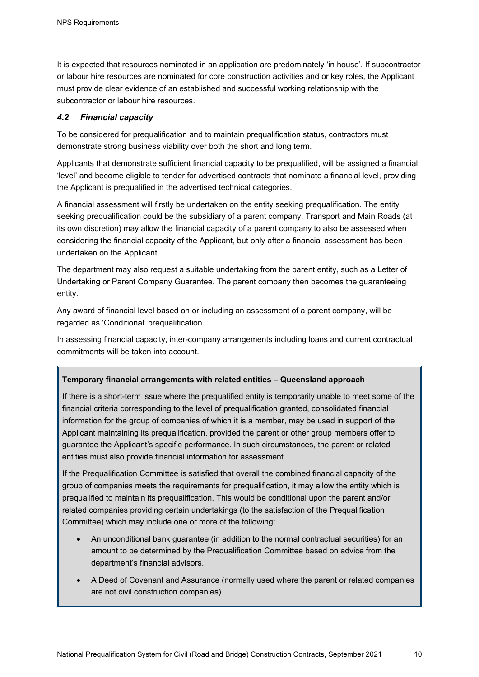It is expected that resources nominated in an application are predominately 'in house'. If subcontractor or labour hire resources are nominated for core construction activities and or key roles, the Applicant must provide clear evidence of an established and successful working relationship with the subcontractor or labour hire resources.

## <span id="page-13-0"></span>*4.2 Financial capacity*

To be considered for prequalification and to maintain prequalification status, contractors must demonstrate strong business viability over both the short and long term.

Applicants that demonstrate sufficient financial capacity to be prequalified, will be assigned a financial 'level' and become eligible to tender for advertised contracts that nominate a financial level, providing the Applicant is prequalified in the advertised technical categories.

A financial assessment will firstly be undertaken on the entity seeking prequalification. The entity seeking prequalification could be the subsidiary of a parent company. Transport and Main Roads (at its own discretion) may allow the financial capacity of a parent company to also be assessed when considering the financial capacity of the Applicant, but only after a financial assessment has been undertaken on the Applicant.

The department may also request a suitable undertaking from the parent entity, such as a Letter of Undertaking or Parent Company Guarantee. The parent company then becomes the guaranteeing entity.

Any award of financial level based on or including an assessment of a parent company, will be regarded as 'Conditional' prequalification.

In assessing financial capacity, inter-company arrangements including loans and current contractual commitments will be taken into account.

## **Temporary financial arrangements with related entities – Queensland approach**

If there is a short-term issue where the prequalified entity is temporarily unable to meet some of the financial criteria corresponding to the level of prequalification granted, consolidated financial information for the group of companies of which it is a member, may be used in support of the Applicant maintaining its prequalification, provided the parent or other group members offer to guarantee the Applicant's specific performance. In such circumstances, the parent or related entities must also provide financial information for assessment.

If the Prequalification Committee is satisfied that overall the combined financial capacity of the group of companies meets the requirements for prequalification, it may allow the entity which is prequalified to maintain its prequalification. This would be conditional upon the parent and/or related companies providing certain undertakings (to the satisfaction of the Prequalification Committee) which may include one or more of the following:

- An unconditional bank guarantee (in addition to the normal contractual securities) for an amount to be determined by the Prequalification Committee based on advice from the department's financial advisors.
- A Deed of Covenant and Assurance (normally used where the parent or related companies are not civil construction companies).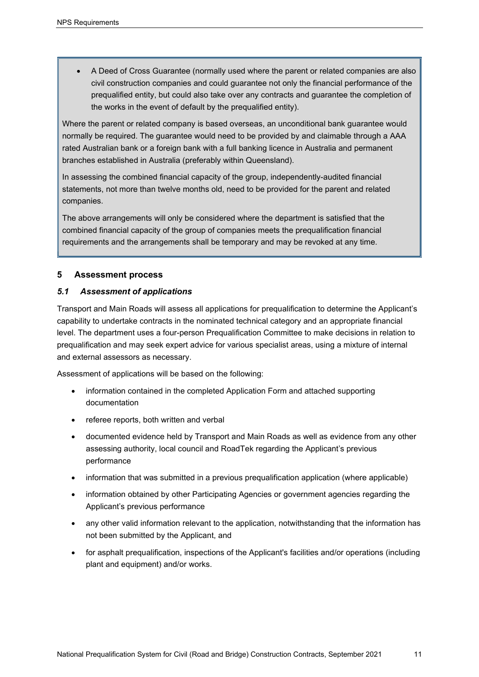• A Deed of Cross Guarantee (normally used where the parent or related companies are also civil construction companies and could guarantee not only the financial performance of the prequalified entity, but could also take over any contracts and guarantee the completion of the works in the event of default by the prequalified entity).

Where the parent or related company is based overseas, an unconditional bank guarantee would normally be required. The guarantee would need to be provided by and claimable through a AAA rated Australian bank or a foreign bank with a full banking licence in Australia and permanent branches established in Australia (preferably within Queensland).

In assessing the combined financial capacity of the group, independently-audited financial statements, not more than twelve months old, need to be provided for the parent and related companies.

The above arrangements will only be considered where the department is satisfied that the combined financial capacity of the group of companies meets the prequalification financial requirements and the arrangements shall be temporary and may be revoked at any time.

## <span id="page-14-0"></span>**5 Assessment process**

## <span id="page-14-1"></span>*5.1 Assessment of applications*

Transport and Main Roads will assess all applications for prequalification to determine the Applicant's capability to undertake contracts in the nominated technical category and an appropriate financial level. The department uses a four-person Prequalification Committee to make decisions in relation to prequalification and may seek expert advice for various specialist areas, using a mixture of internal and external assessors as necessary.

Assessment of applications will be based on the following:

- information contained in the completed Application Form and attached supporting documentation
- referee reports, both written and verbal
- documented evidence held by Transport and Main Roads as well as evidence from any other assessing authority, local council and RoadTek regarding the Applicant's previous performance
- information that was submitted in a previous prequalification application (where applicable)
- information obtained by other Participating Agencies or government agencies regarding the Applicant's previous performance
- any other valid information relevant to the application, notwithstanding that the information has not been submitted by the Applicant, and
- for asphalt prequalification, inspections of the Applicant's facilities and/or operations (including plant and equipment) and/or works.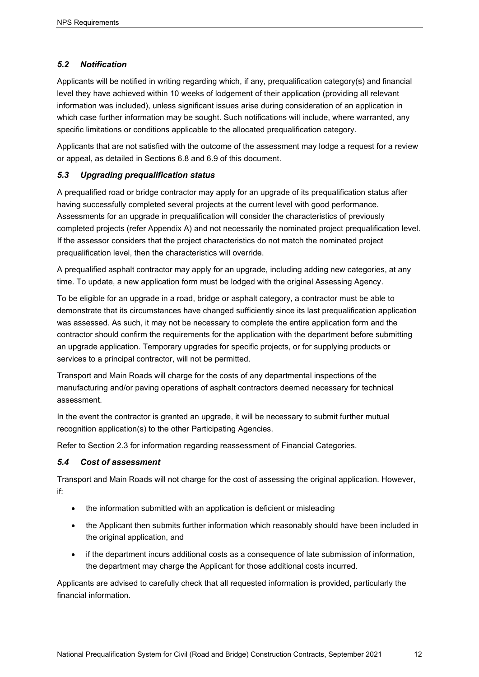## <span id="page-15-0"></span>*5.2 Notification*

Applicants will be notified in writing regarding which, if any, prequalification category(s) and financial level they have achieved within 10 weeks of lodgement of their application (providing all relevant information was included), unless significant issues arise during consideration of an application in which case further information may be sought. Such notifications will include, where warranted, any specific limitations or conditions applicable to the allocated prequalification category.

Applicants that are not satisfied with the outcome of the assessment may lodge a request for a review or appeal, as detailed in Sections 6.8 and 6.9 of this document.

## <span id="page-15-1"></span>*5.3 Upgrading prequalification status*

A prequalified road or bridge contractor may apply for an upgrade of its prequalification status after having successfully completed several projects at the current level with good performance. Assessments for an upgrade in prequalification will consider the characteristics of previously completed projects (refer Appendix A) and not necessarily the nominated project prequalification level. If the assessor considers that the project characteristics do not match the nominated project prequalification level, then the characteristics will override.

A prequalified asphalt contractor may apply for an upgrade, including adding new categories, at any time. To update, a new application form must be lodged with the original Assessing Agency.

To be eligible for an upgrade in a road, bridge or asphalt category, a contractor must be able to demonstrate that its circumstances have changed sufficiently since its last prequalification application was assessed. As such, it may not be necessary to complete the entire application form and the contractor should confirm the requirements for the application with the department before submitting an upgrade application. Temporary upgrades for specific projects, or for supplying products or services to a principal contractor, will not be permitted.

Transport and Main Roads will charge for the costs of any departmental inspections of the manufacturing and/or paving operations of asphalt contractors deemed necessary for technical assessment.

In the event the contractor is granted an upgrade, it will be necessary to submit further mutual recognition application(s) to the other Participating Agencies.

Refer to Section 2.3 for information regarding reassessment of Financial Categories.

## <span id="page-15-2"></span>*5.4 Cost of assessment*

Transport and Main Roads will not charge for the cost of assessing the original application. However, if:

- the information submitted with an application is deficient or misleading
- the Applicant then submits further information which reasonably should have been included in the original application, and
- if the department incurs additional costs as a consequence of late submission of information, the department may charge the Applicant for those additional costs incurred.

Applicants are advised to carefully check that all requested information is provided, particularly the financial information.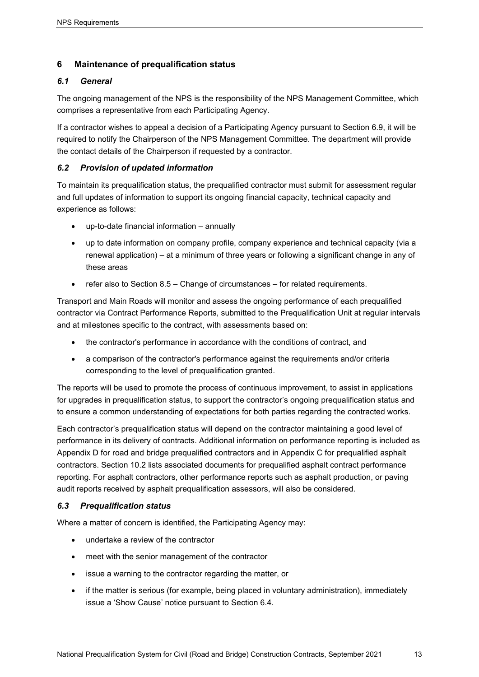## <span id="page-16-0"></span>**6 Maintenance of prequalification status**

## <span id="page-16-1"></span>*6.1 General*

The ongoing management of the NPS is the responsibility of the NPS Management Committee, which comprises a representative from each Participating Agency.

If a contractor wishes to appeal a decision of a Participating Agency pursuant to Section 6.9, it will be required to notify the Chairperson of the NPS Management Committee. The department will provide the contact details of the Chairperson if requested by a contractor.

## <span id="page-16-2"></span>*6.2 Provision of updated information*

To maintain its prequalification status, the prequalified contractor must submit for assessment regular and full updates of information to support its ongoing financial capacity, technical capacity and experience as follows:

- up-to-date financial information annually
- up to date information on company profile, company experience and technical capacity (via a renewal application) – at a minimum of three years or following a significant change in any of these areas
- refer also to Section 8.5 Change of circumstances for related requirements.

Transport and Main Roads will monitor and assess the ongoing performance of each prequalified contractor via Contract Performance Reports, submitted to the Prequalification Unit at regular intervals and at milestones specific to the contract, with assessments based on:

- the contractor's performance in accordance with the conditions of contract, and
- a comparison of the contractor's performance against the requirements and/or criteria corresponding to the level of prequalification granted.

The reports will be used to promote the process of continuous improvement, to assist in applications for upgrades in prequalification status, to support the contractor's ongoing prequalification status and to ensure a common understanding of expectations for both parties regarding the contracted works.

Each contractor's prequalification status will depend on the contractor maintaining a good level of performance in its delivery of contracts. Additional information on performance reporting is included as Appendix D for road and bridge prequalified contractors and in Appendix C for prequalified asphalt contractors. Section 10.2 lists associated documents for prequalified asphalt contract performance reporting. For asphalt contractors, other performance reports such as asphalt production, or paving audit reports received by asphalt prequalification assessors, will also be considered.

## <span id="page-16-3"></span>*6.3 Prequalification status*

Where a matter of concern is identified, the Participating Agency may:

- undertake a review of the contractor
- meet with the senior management of the contractor
- issue a warning to the contractor regarding the matter, or
- if the matter is serious (for example, being placed in voluntary administration), immediately issue a 'Show Cause' notice pursuant to Section 6.4.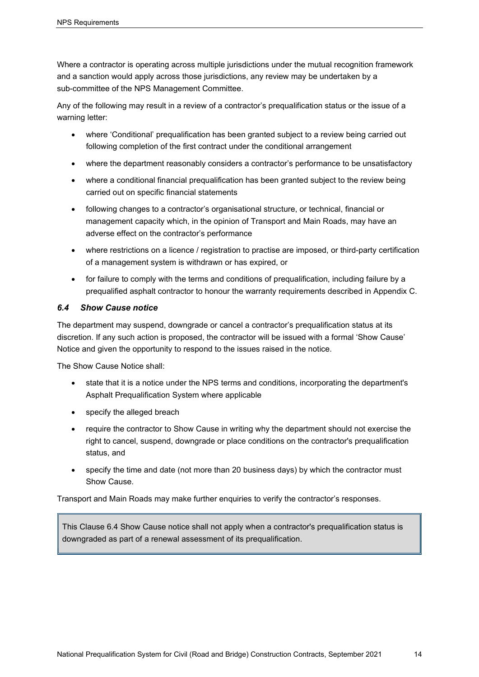Where a contractor is operating across multiple jurisdictions under the mutual recognition framework and a sanction would apply across those jurisdictions, any review may be undertaken by a sub-committee of the NPS Management Committee.

Any of the following may result in a review of a contractor's prequalification status or the issue of a warning letter:

- where 'Conditional' prequalification has been granted subject to a review being carried out following completion of the first contract under the conditional arrangement
- where the department reasonably considers a contractor's performance to be unsatisfactory
- where a conditional financial prequalification has been granted subject to the review being carried out on specific financial statements
- following changes to a contractor's organisational structure, or technical, financial or management capacity which, in the opinion of Transport and Main Roads, may have an adverse effect on the contractor's performance
- where restrictions on a licence / registration to practise are imposed, or third-party certification of a management system is withdrawn or has expired, or
- for failure to comply with the terms and conditions of prequalification, including failure by a prequalified asphalt contractor to honour the warranty requirements described in Appendix C.

## <span id="page-17-0"></span>*6.4 Show Cause notice*

The department may suspend, downgrade or cancel a contractor's prequalification status at its discretion. If any such action is proposed, the contractor will be issued with a formal 'Show Cause' Notice and given the opportunity to respond to the issues raised in the notice.

The Show Cause Notice shall:

- state that it is a notice under the NPS terms and conditions, incorporating the department's Asphalt Prequalification System where applicable
- specify the alleged breach
- require the contractor to Show Cause in writing why the department should not exercise the right to cancel, suspend, downgrade or place conditions on the contractor's prequalification status, and
- specify the time and date (not more than 20 business days) by which the contractor must Show Cause.

Transport and Main Roads may make further enquiries to verify the contractor's responses.

This Clause 6.4 Show Cause notice shall not apply when a contractor's prequalification status is downgraded as part of a renewal assessment of its prequalification.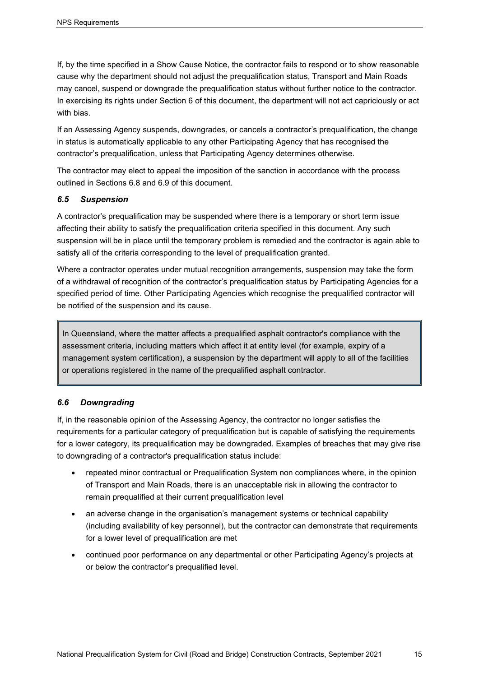If, by the time specified in a Show Cause Notice, the contractor fails to respond or to show reasonable cause why the department should not adjust the prequalification status, Transport and Main Roads may cancel, suspend or downgrade the prequalification status without further notice to the contractor. In exercising its rights under Section 6 of this document, the department will not act capriciously or act with bias.

If an Assessing Agency suspends, downgrades, or cancels a contractor's prequalification, the change in status is automatically applicable to any other Participating Agency that has recognised the contractor's prequalification, unless that Participating Agency determines otherwise.

The contractor may elect to appeal the imposition of the sanction in accordance with the process outlined in Sections 6.8 and 6.9 of this document.

#### <span id="page-18-0"></span>*6.5 Suspension*

A contractor's prequalification may be suspended where there is a temporary or short term issue affecting their ability to satisfy the prequalification criteria specified in this document. Any such suspension will be in place until the temporary problem is remedied and the contractor is again able to satisfy all of the criteria corresponding to the level of prequalification granted.

Where a contractor operates under mutual recognition arrangements, suspension may take the form of a withdrawal of recognition of the contractor's prequalification status by Participating Agencies for a specified period of time. Other Participating Agencies which recognise the prequalified contractor will be notified of the suspension and its cause.

In Queensland, where the matter affects a prequalified asphalt contractor's compliance with the assessment criteria, including matters which affect it at entity level (for example, expiry of a management system certification), a suspension by the department will apply to all of the facilities or operations registered in the name of the prequalified asphalt contractor.

## <span id="page-18-1"></span>*6.6 Downgrading*

If, in the reasonable opinion of the Assessing Agency, the contractor no longer satisfies the requirements for a particular category of prequalification but is capable of satisfying the requirements for a lower category, its prequalification may be downgraded. Examples of breaches that may give rise to downgrading of a contractor's prequalification status include:

- repeated minor contractual or Prequalification System non compliances where, in the opinion of Transport and Main Roads, there is an unacceptable risk in allowing the contractor to remain prequalified at their current prequalification level
- an adverse change in the organisation's management systems or technical capability (including availability of key personnel), but the contractor can demonstrate that requirements for a lower level of prequalification are met
- continued poor performance on any departmental or other Participating Agency's projects at or below the contractor's prequalified level.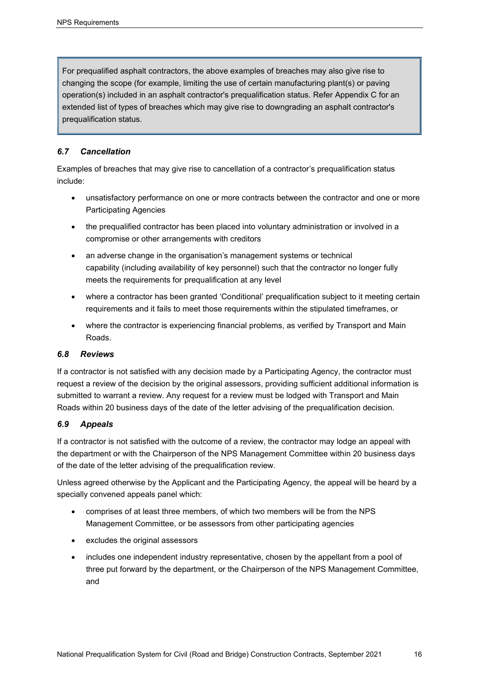For prequalified asphalt contractors, the above examples of breaches may also give rise to changing the scope (for example, limiting the use of certain manufacturing plant(s) or paving operation(s) included in an asphalt contractor's prequalification status. Refer Appendix C for an extended list of types of breaches which may give rise to downgrading an asphalt contractor's prequalification status.

## <span id="page-19-0"></span>*6.7 Cancellation*

Examples of breaches that may give rise to cancellation of a contractor's prequalification status include:

- unsatisfactory performance on one or more contracts between the contractor and one or more Participating Agencies
- the prequalified contractor has been placed into voluntary administration or involved in a compromise or other arrangements with creditors
- an adverse change in the organisation's management systems or technical capability (including availability of key personnel) such that the contractor no longer fully meets the requirements for prequalification at any level
- where a contractor has been granted 'Conditional' prequalification subject to it meeting certain requirements and it fails to meet those requirements within the stipulated timeframes, or
- where the contractor is experiencing financial problems, as verified by Transport and Main Roads.

## <span id="page-19-1"></span>*6.8 Reviews*

If a contractor is not satisfied with any decision made by a Participating Agency, the contractor must request a review of the decision by the original assessors, providing sufficient additional information is submitted to warrant a review. Any request for a review must be lodged with Transport and Main Roads within 20 business days of the date of the letter advising of the prequalification decision.

## <span id="page-19-2"></span>*6.9 Appeals*

If a contractor is not satisfied with the outcome of a review, the contractor may lodge an appeal with the department or with the Chairperson of the NPS Management Committee within 20 business days of the date of the letter advising of the prequalification review.

Unless agreed otherwise by the Applicant and the Participating Agency, the appeal will be heard by a specially convened appeals panel which:

- comprises of at least three members, of which two members will be from the NPS Management Committee, or be assessors from other participating agencies
- excludes the original assessors
- includes one independent industry representative, chosen by the appellant from a pool of three put forward by the department, or the Chairperson of the NPS Management Committee, and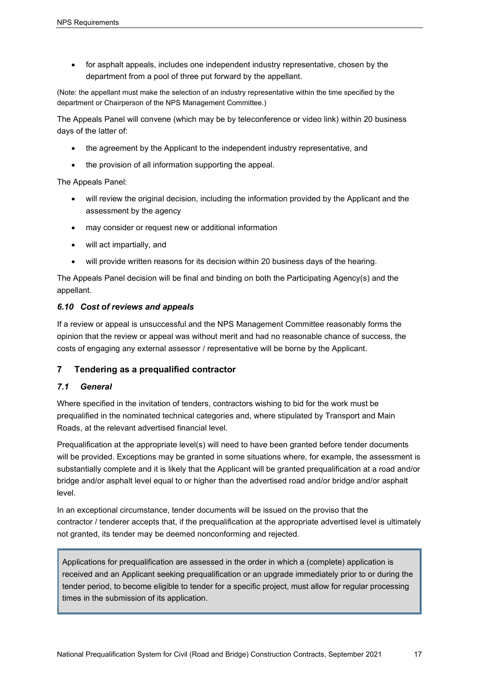• for asphalt appeals, includes one independent industry representative, chosen by the department from a pool of three put forward by the appellant.

(Note: the appellant must make the selection of an industry representative within the time specified by the department or Chairperson of the NPS Management Committee.)

The Appeals Panel will convene (which may be by teleconference or video link) within 20 business days of the latter of:

- the agreement by the Applicant to the independent industry representative, and
- the provision of all information supporting the appeal.

The Appeals Panel:

- will review the original decision, including the information provided by the Applicant and the assessment by the agency
- may consider or request new or additional information
- will act impartially, and
- will provide written reasons for its decision within 20 business days of the hearing.

The Appeals Panel decision will be final and binding on both the Participating Agency(s) and the appellant.

#### <span id="page-20-0"></span>*6.10 Cost of reviews and appeals*

If a review or appeal is unsuccessful and the NPS Management Committee reasonably forms the opinion that the review or appeal was without merit and had no reasonable chance of success, the costs of engaging any external assessor / representative will be borne by the Applicant.

## <span id="page-20-1"></span>**7 Tendering as a prequalified contractor**

## <span id="page-20-2"></span>*7.1 General*

Where specified in the invitation of tenders, contractors wishing to bid for the work must be prequalified in the nominated technical categories and, where stipulated by Transport and Main Roads, at the relevant advertised financial level.

Prequalification at the appropriate level(s) will need to have been granted before tender documents will be provided. Exceptions may be granted in some situations where, for example, the assessment is substantially complete and it is likely that the Applicant will be granted prequalification at a road and/or bridge and/or asphalt level equal to or higher than the advertised road and/or bridge and/or asphalt level.

In an exceptional circumstance, tender documents will be issued on the proviso that the contractor / tenderer accepts that, if the prequalification at the appropriate advertised level is ultimately not granted, its tender may be deemed nonconforming and rejected.

Applications for prequalification are assessed in the order in which a (complete) application is received and an Applicant seeking prequalification or an upgrade immediately prior to or during the tender period, to become eligible to tender for a specific project, must allow for regular processing times in the submission of its application.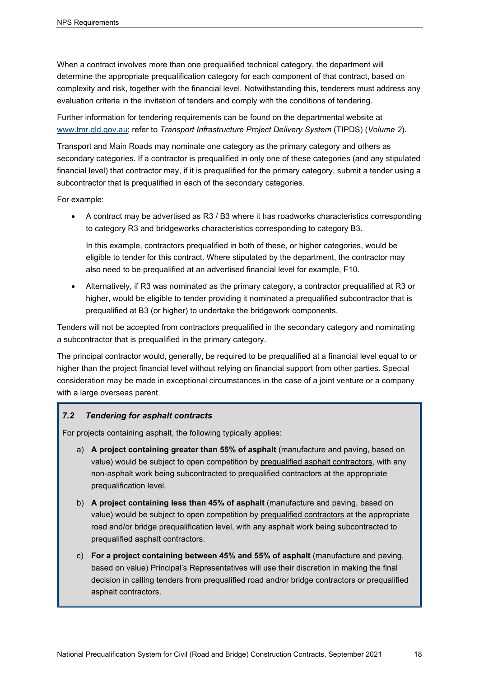When a contract involves more than one prequalified technical category, the department will determine the appropriate prequalification category for each component of that contract, based on complexity and risk, together with the financial level. Notwithstanding this, tenderers must address any evaluation criteria in the invitation of tenders and comply with the conditions of tendering.

Further information for tendering requirements can be found on the departmental website at [www.tmr.qld.gov.au;](https://www.tmr.qld.gov.au/business-industry/Technical-standards-publications/TIPDS/Volume-2) refer to *Transport Infrastructure Project Delivery System* (TIPDS) (*Volume 2*).

Transport and Main Roads may nominate one category as the primary category and others as secondary categories. If a contractor is prequalified in only one of these categories (and any stipulated financial level) that contractor may, if it is prequalified for the primary category, submit a tender using a subcontractor that is prequalified in each of the secondary categories.

For example:

• A contract may be advertised as R3 / B3 where it has roadworks characteristics corresponding to category R3 and bridgeworks characteristics corresponding to category B3.

In this example, contractors prequalified in both of these, or higher categories, would be eligible to tender for this contract. Where stipulated by the department, the contractor may also need to be prequalified at an advertised financial level for example, F10.

• Alternatively, if R3 was nominated as the primary category, a contractor prequalified at R3 or higher, would be eligible to tender providing it nominated a prequalified subcontractor that is prequalified at B3 (or higher) to undertake the bridgework components.

Tenders will not be accepted from contractors prequalified in the secondary category and nominating a subcontractor that is prequalified in the primary category.

The principal contractor would, generally, be required to be prequalified at a financial level equal to or higher than the project financial level without relying on financial support from other parties. Special consideration may be made in exceptional circumstances in the case of a joint venture or a company with a large overseas parent.

## <span id="page-21-0"></span>*7.2 Tendering for asphalt contracts*

For projects containing asphalt, the following typically applies:

- a) **A project containing greater than 55% of asphalt** (manufacture and paving, based on value) would be subject to open competition by prequalified asphalt contractors, with any non-asphalt work being subcontracted to prequalified contractors at the appropriate prequalification level.
- b) **A project containing less than 45% of asphalt** (manufacture and paving, based on value) would be subject to open competition by prequalified contractors at the appropriate road and/or bridge prequalification level, with any asphalt work being subcontracted to prequalified asphalt contractors.
- c) **For a project containing between 45% and 55% of asphalt** (manufacture and paving, based on value) Principal's Representatives will use their discretion in making the final decision in calling tenders from prequalified road and/or bridge contractors or prequalified asphalt contractors.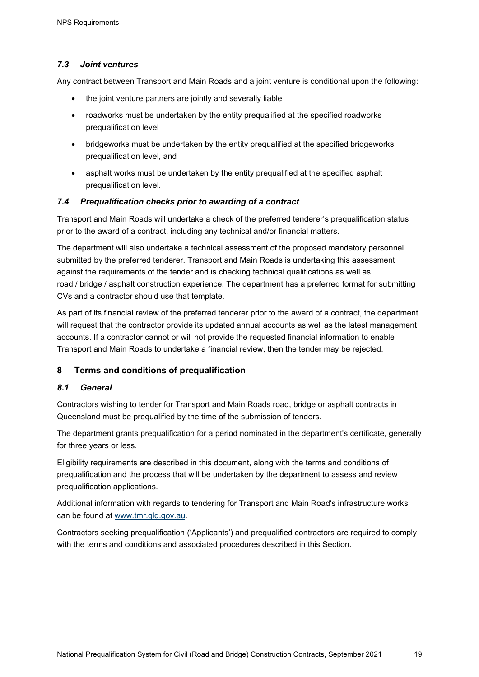## <span id="page-22-0"></span>*7.3 Joint ventures*

Any contract between Transport and Main Roads and a joint venture is conditional upon the following:

- the joint venture partners are jointly and severally liable
- roadworks must be undertaken by the entity prequalified at the specified roadworks prequalification level
- bridgeworks must be undertaken by the entity prequalified at the specified bridgeworks prequalification level, and
- asphalt works must be undertaken by the entity prequalified at the specified asphalt prequalification level.

## <span id="page-22-1"></span>*7.4 Prequalification checks prior to awarding of a contract*

Transport and Main Roads will undertake a check of the preferred tenderer's prequalification status prior to the award of a contract, including any technical and/or financial matters.

The department will also undertake a technical assessment of the proposed mandatory personnel submitted by the preferred tenderer. Transport and Main Roads is undertaking this assessment against the requirements of the tender and is checking technical qualifications as well as road / bridge / asphalt construction experience. The department has a preferred format for submitting CVs and a contractor should use that template.

As part of its financial review of the preferred tenderer prior to the award of a contract, the department will request that the contractor provide its updated annual accounts as well as the latest management accounts. If a contractor cannot or will not provide the requested financial information to enable Transport and Main Roads to undertake a financial review, then the tender may be rejected.

## <span id="page-22-2"></span>**8 Terms and conditions of prequalification**

## <span id="page-22-3"></span>*8.1 General*

Contractors wishing to tender for Transport and Main Roads road, bridge or asphalt contracts in Queensland must be prequalified by the time of the submission of tenders.

The department grants prequalification for a period nominated in the department's certificate, generally for three years or less.

Eligibility requirements are described in this document, along with the terms and conditions of prequalification and the process that will be undertaken by the department to assess and review prequalification applications.

Additional information with regards to tendering for Transport and Main Road's infrastructure works can be found at [www.tmr.qld.gov.au.](https://www.tmr.qld.gov.au/business-industry/Technical-standards-publications/TIPDS/Volume-2)

Contractors seeking prequalification ('Applicants') and prequalified contractors are required to comply with the terms and conditions and associated procedures described in this Section.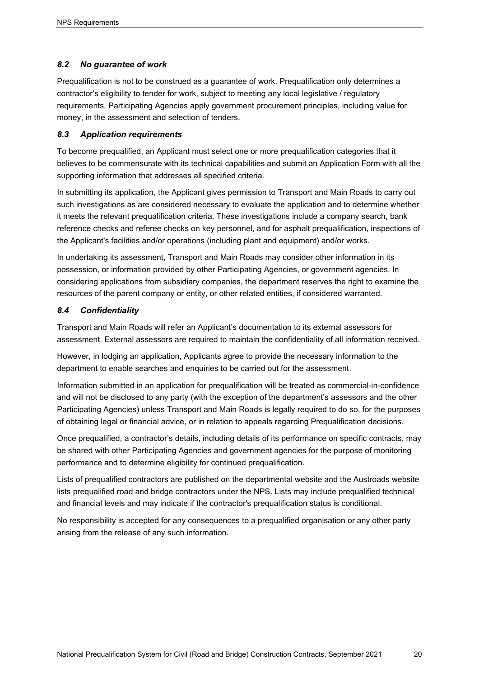## <span id="page-23-0"></span>*8.2 No guarantee of work*

Prequalification is not to be construed as a guarantee of work. Prequalification only determines a contractor's eligibility to tender for work, subject to meeting any local legislative / regulatory requirements. Participating Agencies apply government procurement principles, including value for money, in the assessment and selection of tenders.

#### <span id="page-23-1"></span>*8.3 Application requirements*

To become prequalified, an Applicant must select one or more prequalification categories that it believes to be commensurate with its technical capabilities and submit an Application Form with all the supporting information that addresses all specified criteria.

In submitting its application, the Applicant gives permission to Transport and Main Roads to carry out such investigations as are considered necessary to evaluate the application and to determine whether it meets the relevant prequalification criteria. These investigations include a company search, bank reference checks and referee checks on key personnel, and for asphalt prequalification, inspections of the Applicant's facilities and/or operations (including plant and equipment) and/or works.

In undertaking its assessment, Transport and Main Roads may consider other information in its possession, or information provided by other Participating Agencies, or government agencies. In considering applications from subsidiary companies, the department reserves the right to examine the resources of the parent company or entity, or other related entities, if considered warranted.

#### <span id="page-23-2"></span>*8.4 Confidentiality*

Transport and Main Roads will refer an Applicant's documentation to its external assessors for assessment. External assessors are required to maintain the confidentiality of all information received.

However, in lodging an application, Applicants agree to provide the necessary information to the department to enable searches and enquiries to be carried out for the assessment.

Information submitted in an application for prequalification will be treated as commercial-in-confidence and will not be disclosed to any party (with the exception of the department's assessors and the other Participating Agencies) unless Transport and Main Roads is legally required to do so, for the purposes of obtaining legal or financial advice, or in relation to appeals regarding Prequalification decisions.

Once prequalified, a contractor's details, including details of its performance on specific contracts, may be shared with other Participating Agencies and government agencies for the purpose of monitoring performance and to determine eligibility for continued prequalification.

Lists of prequalified contractors are published on the departmental website and the Austroads website lists prequalified road and bridge contractors under the NPS. Lists may include prequalified technical and financial levels and may indicate if the contractor's prequalification status is conditional.

No responsibility is accepted for any consequences to a prequalified organisation or any other party arising from the release of any such information.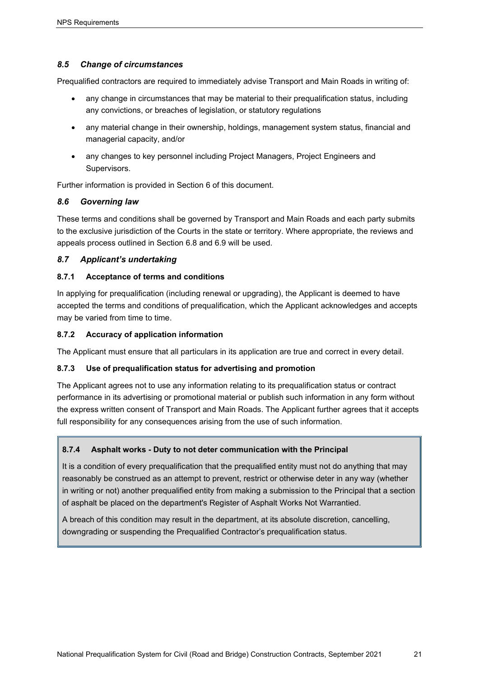## <span id="page-24-0"></span>*8.5 Change of circumstances*

Prequalified contractors are required to immediately advise Transport and Main Roads in writing of:

- any change in circumstances that may be material to their prequalification status, including any convictions, or breaches of legislation, or statutory regulations
- any material change in their ownership, holdings, management system status, financial and managerial capacity, and/or
- any changes to key personnel including Project Managers, Project Engineers and Supervisors.

Further information is provided in Section 6 of this document.

## <span id="page-24-1"></span>*8.6 Governing law*

These terms and conditions shall be governed by Transport and Main Roads and each party submits to the exclusive jurisdiction of the Courts in the state or territory. Where appropriate, the reviews and appeals process outlined in Section 6.8 and 6.9 will be used.

## <span id="page-24-2"></span>*8.7 Applicant's undertaking*

#### <span id="page-24-3"></span>**8.7.1 Acceptance of terms and conditions**

In applying for prequalification (including renewal or upgrading), the Applicant is deemed to have accepted the terms and conditions of prequalification, which the Applicant acknowledges and accepts may be varied from time to time.

#### <span id="page-24-4"></span>**8.7.2 Accuracy of application information**

The Applicant must ensure that all particulars in its application are true and correct in every detail.

## <span id="page-24-5"></span>**8.7.3 Use of prequalification status for advertising and promotion**

The Applicant agrees not to use any information relating to its prequalification status or contract performance in its advertising or promotional material or publish such information in any form without the express written consent of Transport and Main Roads. The Applicant further agrees that it accepts full responsibility for any consequences arising from the use of such information.

## <span id="page-24-6"></span>**8.7.4 Asphalt works - Duty to not deter communication with the Principal**

It is a condition of every prequalification that the prequalified entity must not do anything that may reasonably be construed as an attempt to prevent, restrict or otherwise deter in any way (whether in writing or not) another prequalified entity from making a submission to the Principal that a section of asphalt be placed on the department's Register of Asphalt Works Not Warrantied.

A breach of this condition may result in the department, at its absolute discretion, cancelling, downgrading or suspending the Prequalified Contractor's prequalification status.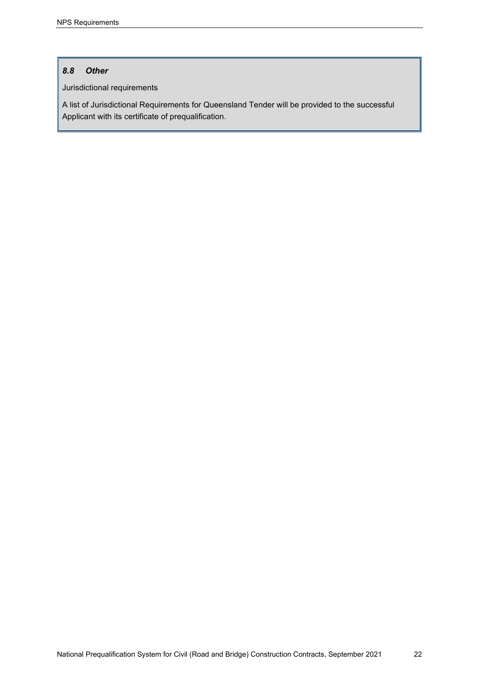## <span id="page-25-0"></span>*8.8 Other*

Jurisdictional requirements

A list of Jurisdictional Requirements for Queensland Tender will be provided to the successful Applicant with its certificate of prequalification.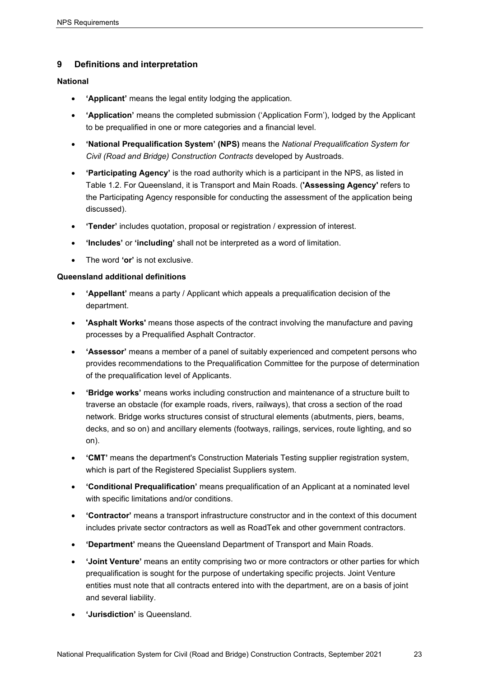## <span id="page-26-0"></span>**9 Definitions and interpretation**

#### **National**

- **'Applicant'** means the legal entity lodging the application.
- **'Application'** means the completed submission ('Application Form'), lodged by the Applicant to be prequalified in one or more categories and a financial level.
- **'National Prequalification System' (NPS)** means the *National Prequalification System for Civil (Road and Bridge) Construction Contracts* developed by Austroads.
- **'Participating Agency'** is the road authority which is a participant in the NPS, as listed in Table 1.2. For Queensland, it is Transport and Main Roads. (**'Assessing Agency'** refers to the Participating Agency responsible for conducting the assessment of the application being discussed).
- **'Tender'** includes quotation, proposal or registration / expression of interest.
- **'Includes'** or **'including'** shall not be interpreted as a word of limitation.
- The word **'or'** is not exclusive.

#### **Queensland additional definitions**

- **'Appellant'** means a party / Applicant which appeals a prequalification decision of the department.
- **'Asphalt Works'** means those aspects of the contract involving the manufacture and paving processes by a Prequalified Asphalt Contractor.
- **'Assessor'** means a member of a panel of suitably experienced and competent persons who provides recommendations to the Prequalification Committee for the purpose of determination of the prequalification level of Applicants.
- **'Bridge works'** means works including construction and maintenance of a structure built to traverse an obstacle (for example roads, rivers, railways), that cross a section of the road network. Bridge works structures consist of structural elements (abutments, piers, beams, decks, and so on) and ancillary elements (footways, railings, services, route lighting, and so on).
- **'CMT'** means the department's Construction Materials Testing supplier registration system, which is part of the Registered Specialist Suppliers system.
- **'Conditional Prequalification'** means prequalification of an Applicant at a nominated level with specific limitations and/or conditions.
- **'Contractor'** means a transport infrastructure constructor and in the context of this document includes private sector contractors as well as RoadTek and other government contractors.
- **'Department'** means the Queensland Department of Transport and Main Roads.
- **'Joint Venture'** means an entity comprising two or more contractors or other parties for which prequalification is sought for the purpose of undertaking specific projects. Joint Venture entities must note that all contracts entered into with the department, are on a basis of joint and several liability.
- **'Jurisdiction'** is Queensland.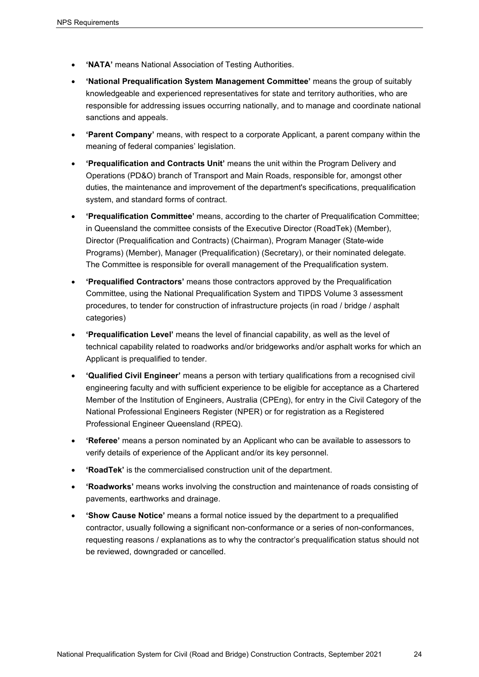- **'NATA'** means National Association of Testing Authorities.
- **'National Prequalification System Management Committee'** means the group of suitably knowledgeable and experienced representatives for state and territory authorities, who are responsible for addressing issues occurring nationally, and to manage and coordinate national sanctions and appeals.
- **'Parent Company'** means, with respect to a corporate Applicant, a parent company within the meaning of federal companies' legislation.
- **'Prequalification and Contracts Unit'** means the unit within the Program Delivery and Operations (PD&O) branch of Transport and Main Roads, responsible for, amongst other duties, the maintenance and improvement of the department's specifications, prequalification system, and standard forms of contract.
- **'Prequalification Committee'** means, according to the charter of Prequalification Committee; in Queensland the committee consists of the Executive Director (RoadTek) (Member), Director (Prequalification and Contracts) (Chairman), Program Manager (State-wide Programs) (Member), Manager (Prequalification) (Secretary), or their nominated delegate. The Committee is responsible for overall management of the Prequalification system.
- **'Prequalified Contractors'** means those contractors approved by the Prequalification Committee, using the National Prequalification System and TIPDS Volume 3 assessment procedures, to tender for construction of infrastructure projects (in road / bridge / asphalt categories)
- **'Prequalification Level'** means the level of financial capability, as well as the level of technical capability related to roadworks and/or bridgeworks and/or asphalt works for which an Applicant is prequalified to tender.
- **'Qualified Civil Engineer'** means a person with tertiary qualifications from a recognised civil engineering faculty and with sufficient experience to be eligible for acceptance as a Chartered Member of the Institution of Engineers, Australia (CPEng), for entry in the Civil Category of the National Professional Engineers Register (NPER) or for registration as a Registered Professional Engineer Queensland (RPEQ).
- **'Referee'** means a person nominated by an Applicant who can be available to assessors to verify details of experience of the Applicant and/or its key personnel.
- **'RoadTek'** is the commercialised construction unit of the department.
- **'Roadworks'** means works involving the construction and maintenance of roads consisting of pavements, earthworks and drainage.
- **'Show Cause Notice'** means a formal notice issued by the department to a prequalified contractor, usually following a significant non-conformance or a series of non-conformances, requesting reasons / explanations as to why the contractor's prequalification status should not be reviewed, downgraded or cancelled.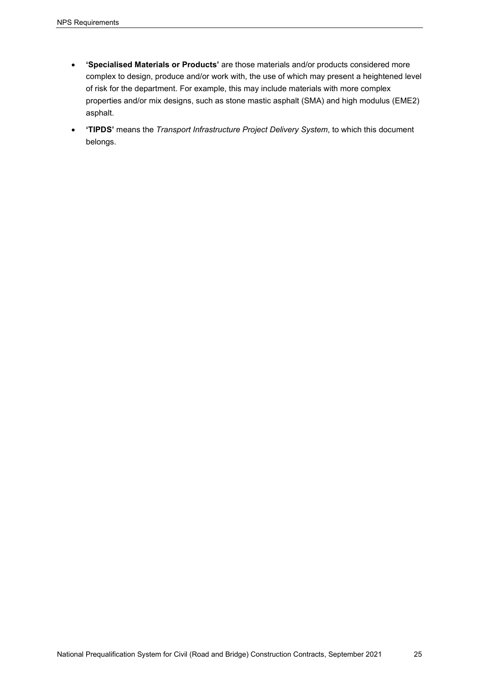- **'Specialised Materials or Products'** are those materials and/or products considered more complex to design, produce and/or work with, the use of which may present a heightened level of risk for the department. For example, this may include materials with more complex properties and/or mix designs, such as stone mastic asphalt (SMA) and high modulus (EME2) asphalt.
- **'TIPDS'** means the *Transport Infrastructure Project Delivery System*, to which this document belongs.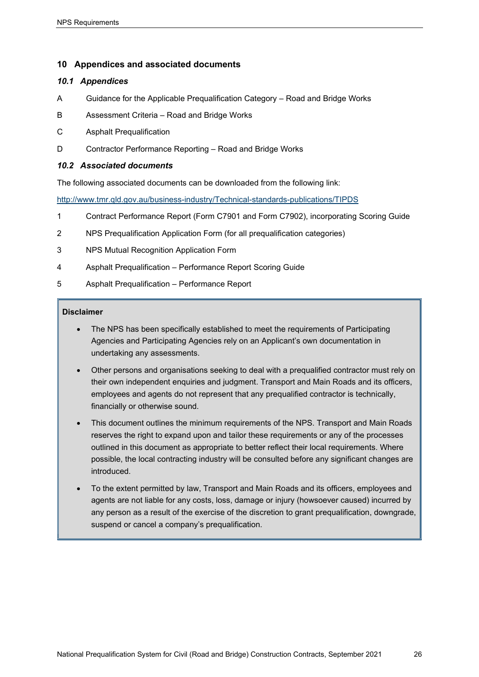## <span id="page-29-0"></span>**10 Appendices and associated documents**

#### <span id="page-29-1"></span>*10.1 Appendices*

- A Guidance for the Applicable Prequalification Category Road and Bridge Works
- B Assessment Criteria Road and Bridge Works
- C Asphalt Prequalification
- D Contractor Performance Reporting Road and Bridge Works

#### <span id="page-29-2"></span>*10.2 Associated documents*

The following associated documents can be downloaded from the following link:

<http://www.tmr.qld.gov.au/business-industry/Technical-standards-publications/TIPDS>

- 1 Contract Performance Report (Form C7901 and Form C7902), incorporating Scoring Guide
- 2 NPS Prequalification Application Form (for all prequalification categories)
- 3 NPS Mutual Recognition Application Form
- 4 Asphalt Prequalification Performance Report Scoring Guide
- 5 Asphalt Prequalification Performance Report

#### **Disclaimer**

- The NPS has been specifically established to meet the requirements of Participating Agencies and Participating Agencies rely on an Applicant's own documentation in undertaking any assessments.
- Other persons and organisations seeking to deal with a prequalified contractor must rely on their own independent enquiries and judgment. Transport and Main Roads and its officers, employees and agents do not represent that any prequalified contractor is technically, financially or otherwise sound.
- This document outlines the minimum requirements of the NPS. Transport and Main Roads reserves the right to expand upon and tailor these requirements or any of the processes outlined in this document as appropriate to better reflect their local requirements. Where possible, the local contracting industry will be consulted before any significant changes are introduced.
- To the extent permitted by law, Transport and Main Roads and its officers, employees and agents are not liable for any costs, loss, damage or injury (howsoever caused) incurred by any person as a result of the exercise of the discretion to grant prequalification, downgrade, suspend or cancel a company's prequalification.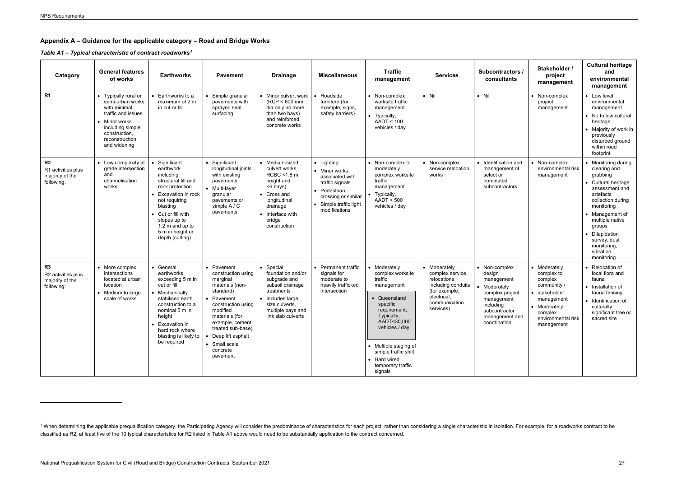## <span id="page-30-1"></span><span id="page-30-0"></span>**Appendix A – Guidance for the applicable category – Road and Bridge Works**

*Table A1 – Typical characteristic of contract roadworks[1](#page-30-1)*

| Category                                                              | <b>General features</b><br>of works                                                                                                                                    | <b>Earthworks</b>                                                                                                                                                                                                                  | <b>Pavement</b>                                                                                                                                                                                                                                        | <b>Drainage</b>                                                                                                                                                    | <b>Miscellaneous</b>                                                                                                                                | <b>Traffic</b><br>management                                                                                                                                                                                                                          | <b>Services</b>                                                                                                                    | Subcontractors /<br>consultants                                                                                                                        | Stakeholder /<br>project<br>management                                                                                                             | <b>Cultural heritage</b><br>and<br>environmental<br>management                                                                                                                                                                                                       |
|-----------------------------------------------------------------------|------------------------------------------------------------------------------------------------------------------------------------------------------------------------|------------------------------------------------------------------------------------------------------------------------------------------------------------------------------------------------------------------------------------|--------------------------------------------------------------------------------------------------------------------------------------------------------------------------------------------------------------------------------------------------------|--------------------------------------------------------------------------------------------------------------------------------------------------------------------|-----------------------------------------------------------------------------------------------------------------------------------------------------|-------------------------------------------------------------------------------------------------------------------------------------------------------------------------------------------------------------------------------------------------------|------------------------------------------------------------------------------------------------------------------------------------|--------------------------------------------------------------------------------------------------------------------------------------------------------|----------------------------------------------------------------------------------------------------------------------------------------------------|----------------------------------------------------------------------------------------------------------------------------------------------------------------------------------------------------------------------------------------------------------------------|
| R <sub>1</sub>                                                        | • Typically rural or<br>semi-urban works<br>with minimal<br>traffic and issues<br>• Minor works<br>including simple<br>construction,<br>reconstruction<br>and widening | • Earthworks to a<br>maximum of 2 m<br>in cut or fill                                                                                                                                                                              | • Simple granular<br>pavements with<br>sprayed seal<br>surfacing                                                                                                                                                                                       | • Minor culvert work<br>(RCP < 600 mm<br>dia only no more<br>than two bays)<br>and reinforced<br>concrete works                                                    | Roadside<br>furniture (for<br>example, signs,<br>safety barriers)                                                                                   | • Non-complex<br>worksite traffic<br>management<br>• Typically,<br>AADT < 100<br>vehicles / day                                                                                                                                                       | $\bullet$ Nil                                                                                                                      | $\bullet$ Nil                                                                                                                                          | • Non-complex<br>project<br>management                                                                                                             | • Low level<br>environmental<br>management<br>• No to low cultural<br>heritage<br>• Majority of work in<br>previously<br>disturbed ground<br>within road<br>footprint                                                                                                |
| R <sub>2</sub><br>R1 activities plus<br>majority of the<br>following: | • Low complexity at<br>grade intersection<br>and<br>channelisation<br>works                                                                                            | Significant<br>earthwork<br>including<br>structural fill and<br>rock protection<br>Excavation in rock<br>not requiring<br>blasting<br>• Cut or fill with<br>slopes up to<br>1:2 m and up to<br>5 m in height or<br>depth (cutting) | • Significant<br>longitudinal joints<br>with existing<br>pavements<br>• Multi-layer<br>granular<br>pavements or<br>simple A / C<br>pavements                                                                                                           | • Medium-sized<br>culvert works,<br>RCBC <1.8 m<br>height and<br><6 bays)<br>• Cross and<br>longitudinal<br>drainage<br>• Interface with<br>bridge<br>construction | • Lighting<br>• Minor works<br>associated with<br>traffic signals<br>• Pedestrian<br>crossing or similar<br>• Simple traffic light<br>modifications | • Non-complex to<br>moderately<br>complex worksite<br>traffic<br>management<br>• Typically,<br>AADT < 500<br>vehicles / day                                                                                                                           | • Non-complex<br>service relocation<br>works                                                                                       | • Identification and<br>management of<br>select or<br>nominated<br>subcontractors                                                                      | • Non-complex<br>environmental risk<br>management                                                                                                  | • Monitoring during<br>clearing and<br>grubbing<br>• Cultural heritage<br>assessment and<br>artefacts<br>collection during<br>monitoring<br>• Management of<br>multiple native<br>groups<br>• Dilapidation<br>survey, dust<br>monitoring,<br>vibration<br>monitoring |
| R <sub>3</sub><br>R2 activities plus<br>majority of the<br>following: | • More complex<br>intersections<br>located at urban<br>location<br>• Medium to large<br>scale of works                                                                 | • General<br>earthworks<br>exceeding 5 m in<br>cut or fill<br>• Mechanically<br>stabilised earth<br>construction to a<br>nominal 5 m in<br>height<br>Excavation in<br>hard rock where<br>blasting is likely to<br>be required      | • Pavement<br>construction using<br>marginal<br>materials (non-<br>standard)<br>• Pavement<br>construction using<br>modified<br>materials (for<br>example, cement<br>treated sub-base)<br>• Deep lift asphalt<br>• Small scale<br>concrete<br>pavement | • Special<br>foundation and/or<br>subgrade and<br>subsoil drainage<br>treatments<br>• Includes large<br>size culverts,<br>multiple bays and<br>link slab culverts  | • Permanent traffic<br>signals for<br>moderate to<br>heavily trafficked<br>intersection                                                             | • Moderately<br>complex worksite<br>traffic<br>management<br>• Queensland<br>specific<br>requirement;<br>Typically,<br>AADT<30,000<br>vehicles / day<br>• Multiple staging of<br>simple traffic shift<br>• Hard wired<br>temporary traffic<br>signals | • Moderately<br>complex service<br>relocations<br>including conduits<br>(for example,<br>electrical,<br>communication<br>services) | • Non-complex<br>design<br>management<br>• Moderately<br>complex project<br>management<br>including<br>subcontractor<br>management and<br>coordination | • Moderately<br>complex to<br>complex<br>community /<br>• stakeholder<br>management<br>• Moderately<br>complex<br>environmental risk<br>management | • Relocation of<br>local flora and<br>fauna<br>• Installation of<br>fauna fencing<br>• Identification of<br>culturally<br>significant tree or<br>sacred site                                                                                                         |

<sup>&</sup>lt;sup>1</sup> When determining the applicable prequalification category, the Participating Agency will consider the predominance of characteristics for each project, rather than considering a single characteristic in isolation. For classified as R2, at least five of the 10 typical characteristics for R2 listed in Table A1 above would need to be substantially application to the contract concerned.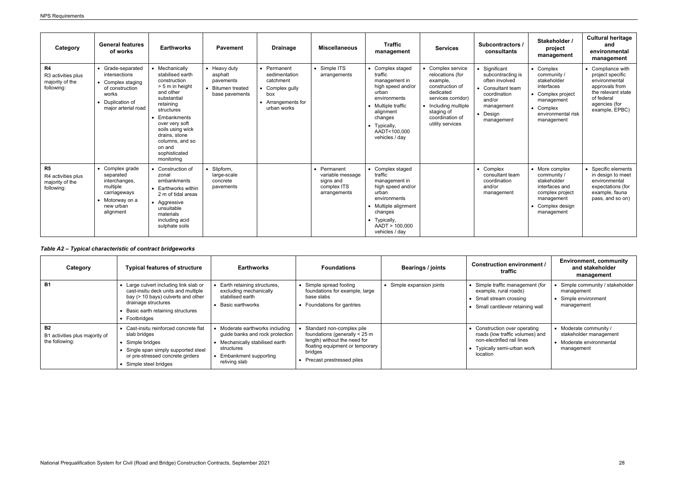| Category                                                  | <b>General features</b><br>of works                                                                                            | <b>Earthworks</b>                                                                                                                                                                                                                                              | <b>Pavement</b>                                                                  | <b>Drainage</b>                                                                                        | <b>Miscellaneous</b>                                                      | <b>Traffic</b><br>management                                                                                                                                                               | <b>Services</b>                                                                                                                                                                      | Subcontractors /<br>consultants                                                                                                             | Stakeholder /<br>project<br>management                                                                                                | <b>Cultural heritage</b><br>and<br>environmental<br>management                                                                                  |
|-----------------------------------------------------------|--------------------------------------------------------------------------------------------------------------------------------|----------------------------------------------------------------------------------------------------------------------------------------------------------------------------------------------------------------------------------------------------------------|----------------------------------------------------------------------------------|--------------------------------------------------------------------------------------------------------|---------------------------------------------------------------------------|--------------------------------------------------------------------------------------------------------------------------------------------------------------------------------------------|--------------------------------------------------------------------------------------------------------------------------------------------------------------------------------------|---------------------------------------------------------------------------------------------------------------------------------------------|---------------------------------------------------------------------------------------------------------------------------------------|-------------------------------------------------------------------------------------------------------------------------------------------------|
| R4<br>R3 activities plus<br>majority of the<br>following: | • Grade-separated<br>intersections<br>• Complex staging<br>of construction<br>works<br>• Duplication of<br>major arterial road | • Mechanically<br>stabilised earth<br>construction<br>> 5 m in height<br>and other<br>substantial<br>retaining<br>structures<br>Embankments<br>over very soft<br>soils using wick<br>drains, stone<br>columns, and so<br>on and<br>sophisticated<br>monitoring | • Heavy duty<br>asphalt<br>pavements<br><b>Bitumen treated</b><br>base pavements | • Permanent<br>sedimentation<br>catchment<br>Complex gully<br>box<br>• Arrangements for<br>urban works | • Simple ITS<br>arrangements                                              | • Complex staged<br>traffic<br>management in<br>high speed and/or<br>urban<br>environments<br>• Multiple traffic<br>alignment<br>changes<br>• Typically,<br>AADT<100,000<br>vehicles / day | • Complex service<br>relocations (for<br>example.<br>construction of<br>dedicated<br>services corridor)<br>• Including multiple<br>staging of<br>coordination of<br>utility services | • Significant<br>subcontracting is<br>often involved<br>• Consultant team<br>coordination<br>and/or<br>management<br>• Design<br>management | • Complex<br>community /<br>stakeholder<br>interfaces<br>Complex project<br>management<br>Complex<br>environmental risk<br>management | • Compliance with<br>project specific<br>environmental<br>approvals from<br>the relevant state<br>of federal<br>agencies (for<br>example, EPBC) |
| R5<br>R4 activities plus<br>majority of the<br>following: | • Complex grade<br>separated<br>interchanges,<br>multiple<br>carriageways<br>• Motorway on a<br>new urban<br>alignment         | • Construction of<br>zonal<br>embankments<br>• Earthworks within<br>2 m of tidal areas<br>• Aggressive<br>unsuitable<br>materials<br>including acid<br>sulphate soils                                                                                          | Slipform,<br>large-scale<br>concrete<br>pavements                                |                                                                                                        | Permanent<br>variable message<br>signs and<br>complex ITS<br>arrangements | • Complex staged<br>traffic<br>management in<br>high speed and/or<br>urban<br>environments<br>• Multiple alignment<br>changes<br>• Typically,<br>AADT > 100,000<br>vehicles / day          |                                                                                                                                                                                      | • Complex<br>consultant team<br>coordination<br>and/or<br>management                                                                        | • More complex<br>community /<br>stakeholder<br>interfaces and<br>complex project<br>management<br>Complex design<br>management       | • Specific elements<br>in design to meet<br>environmental<br>expectations (for<br>example, fauna<br>pass, and so on)                            |

# *Table A2 – Typical characteristic of contract bridgeworks*

| Category                                                      | <b>Typical features of structure</b>                                                                                                                                                          | <b>Earthworks</b>                                                                                                                                         | <b>Foundations</b>                                                                                                                                                      | Bearings / joints         | <b>Construction environment /</b><br>traffic                                                                                                   | <b>Environment, community</b><br>and stakeholder<br>management                             |
|---------------------------------------------------------------|-----------------------------------------------------------------------------------------------------------------------------------------------------------------------------------------------|-----------------------------------------------------------------------------------------------------------------------------------------------------------|-------------------------------------------------------------------------------------------------------------------------------------------------------------------------|---------------------------|------------------------------------------------------------------------------------------------------------------------------------------------|--------------------------------------------------------------------------------------------|
| <b>B1</b>                                                     | • Large culvert including link slab or<br>cast-insitu deck units and multiple<br>bay (> 10 bays) culverts and other<br>drainage structures<br>Basic earth retaining structures<br>Footbridges | Earth retaining structures,<br>excluding mechanically<br>stabilised earth<br>Basic earthworks                                                             | • Simple spread footing<br>foundations for example, large<br>base slabs<br>• Foundations for gantries                                                                   | • Simple expansion joints | • Simple traffic management (for<br>example, rural roads)<br>Small stream crossing<br>Small cantilever retaining wall                          | · Simple community / stakeholder<br>management<br>• Simple environment<br>management       |
| <b>B2</b><br>B1 activities plus majority of<br>the following: | Cast-insitu reinforced concrete flat<br>slab bridges<br>Simple bridges<br>Single span simply supported steel<br>or pre-stressed concrete girders<br>Simple steel bridges                      | Moderate earthworks including<br>guide banks and rock protection<br>Mechanically stabilised earth<br>structures<br>Embankment supporting<br>reliving slab | Standard non-complex pile<br>foundations (generally < 25 m<br>length) without the need for<br>floating equipment or temporary<br>bridges<br>• Precast prestressed piles |                           | Construction over operating<br>roads (low traffic volumes) and<br>non-electrified rail lines<br>• Typically semi-urban work<br><b>location</b> | • Moderate community /<br>stakeholder management<br>• Moderate environmental<br>management |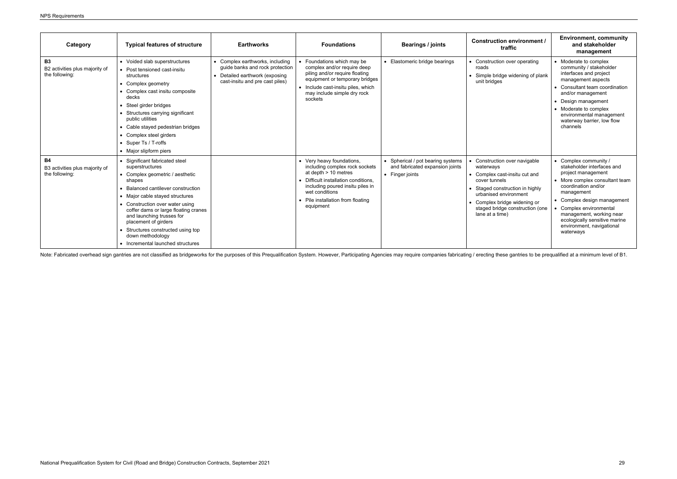| Category                                                      | <b>Typical features of structure</b>                                                                                                                                                                                                                                                                                                                                                                   | <b>Earthworks</b>                                                                                                                       | <b>Foundations</b>                                                                                                                                                                                                                  | Bearings / joints                                                                       | <b>Construction environment /</b><br>traffic                                                                                                                                                                                                 | <b>Environment, community</b><br>and stakeholder<br>management                                                                                                                                                                                                                                                  |
|---------------------------------------------------------------|--------------------------------------------------------------------------------------------------------------------------------------------------------------------------------------------------------------------------------------------------------------------------------------------------------------------------------------------------------------------------------------------------------|-----------------------------------------------------------------------------------------------------------------------------------------|-------------------------------------------------------------------------------------------------------------------------------------------------------------------------------------------------------------------------------------|-----------------------------------------------------------------------------------------|----------------------------------------------------------------------------------------------------------------------------------------------------------------------------------------------------------------------------------------------|-----------------------------------------------------------------------------------------------------------------------------------------------------------------------------------------------------------------------------------------------------------------------------------------------------------------|
| <b>B3</b><br>B2 activities plus majority of<br>the following: | • Voided slab superstructures<br>• Post tensioned cast-insitu<br>structures<br>• Complex geometry<br>• Complex cast insitu composite<br>decks<br>• Steel girder bridges<br>• Structures carrying significant<br>public utilities<br>• Cable stayed pedestrian bridges<br>• Complex steel girders<br>• Super Ts / T-roffs<br>• Major slipform piers                                                     | • Complex earthworks, including<br>guide banks and rock protection<br>• Detailed earthwork (exposing<br>cast-insitu and pre cast piles) | • Foundations which may be<br>complex and/or require deep<br>piling and/or require floating<br>equipment or temporary bridges<br>• Include cast-insitu piles, which<br>may include simple dry rock<br>sockets                       | Elastomeric bridge bearings                                                             | • Construction over operating<br>roads<br>• Simple bridge widening of plank<br>unit bridges                                                                                                                                                  | • Moderate to complex<br>community / stakeholder<br>interfaces and project<br>management aspects<br>• Consultant team coordination<br>and/or management<br>Design management<br>• Moderate to complex<br>environmental management<br>waterway barrier, low flow<br>channels                                     |
| <b>B4</b><br>B3 activities plus majority of<br>the following: | • Significant fabricated steel<br>superstructures<br>• Complex geometric / aesthetic<br>shapes<br>• Balanced cantilever construction<br>• Major cable stayed structures<br>• Construction over water using<br>coffer dams or large floating cranes<br>and launching trusses for<br>placement of girders<br>• Structures constructed using top<br>down methodology<br>• Incremental launched structures |                                                                                                                                         | • Very heavy foundations,<br>including complex rock sockets<br>at depth > 10 metres<br>• Difficult installation conditions,<br>including poured insitu piles in<br>wet conditions<br>• Pile installation from floating<br>equipment | • Spherical / pot bearing systems<br>and fabricated expansion joints<br>• Finger joints | Construction over navigable<br>waterways<br>• Complex cast-insitu cut and<br>cover tunnels<br>• Staged construction in highly<br>urbanised environment<br>• Complex bridge widening or<br>staged bridge construction (one<br>lane at a time) | • Complex community /<br>stakeholder interfaces and<br>project management<br>• More complex consultant team<br>coordination and/or<br>management<br>• Complex design management<br>Complex environmental<br>management, working near<br>ecologically sensitive marine<br>environment, navigational<br>waterways |

Note: Fabricated overhead sign gantries are not classified as bridgeworks for the purposes of this Prequalification System. However, Participating Agencies may require companies fabricating / erecting these gantries to be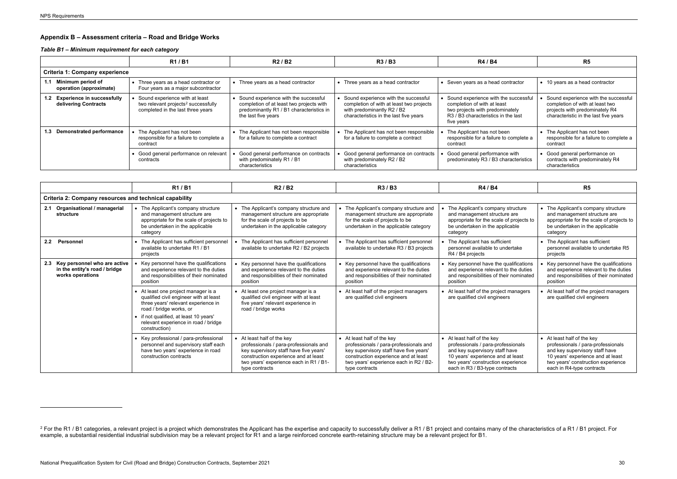## <span id="page-33-1"></span><span id="page-33-0"></span>**Appendix B – Assessment criteria – Road and Bridge Works**

## *Table B1 – Minimum requirement for each category*

|                                                        | R <sub>1</sub> /B <sub>1</sub>                                                                                         | R2/B2                                                                                                                                                 | R3/B3                                                                                                                                                    | <b>R4 / B4</b>                                                                                                                                              | R <sub>5</sub>                                                                                                                                     |  |  |  |  |  |  |
|--------------------------------------------------------|------------------------------------------------------------------------------------------------------------------------|-------------------------------------------------------------------------------------------------------------------------------------------------------|----------------------------------------------------------------------------------------------------------------------------------------------------------|-------------------------------------------------------------------------------------------------------------------------------------------------------------|----------------------------------------------------------------------------------------------------------------------------------------------------|--|--|--|--|--|--|
| <b>Criteria 1: Company experience</b>                  |                                                                                                                        |                                                                                                                                                       |                                                                                                                                                          |                                                                                                                                                             |                                                                                                                                                    |  |  |  |  |  |  |
| Minimum period of<br>operation (approximate)           | • Three years as a head contractor or<br>Four years as a major subcontractor                                           | • Three years as a head contractor                                                                                                                    | Three years as a head contractor                                                                                                                         | • Seven years as a head contractor                                                                                                                          | • 10 years as a head contractor                                                                                                                    |  |  |  |  |  |  |
| 1.2 Experience in successfully<br>delivering Contracts | Sound experience with at least<br>two relevant projects <sup>2</sup> successfully<br>completed in the last three years | • Sound experience with the successful<br>completion of at least two projects with<br>predominantly R1 / B1 characteristics in<br>the last five years | Sound experience with the successful<br>completion of with at least two projects<br>with predominantly R2 / B2<br>characteristics in the last five years | Sound experience with the successful<br>completion of with at least<br>two projects with predominately<br>R3 / B3 characteristics in the last<br>five years | Sound experience with the successful<br>completion of with at least two<br>projects with predominately R4<br>characteristic in the last five years |  |  |  |  |  |  |
| 1.3 Demonstrated performance                           | The Applicant has not been<br>responsible for a failure to complete a<br>contract                                      | • The Applicant has not been responsible<br>for a failure to complete a contract                                                                      | The Applicant has not been responsible<br>for a failure to complete a contract                                                                           | The Applicant has not been<br>responsible for a failure to complete a<br>contract                                                                           | • The Applicant has not been<br>responsible for a failure to complete a<br>contract                                                                |  |  |  |  |  |  |
|                                                        | • Good general performance on relevant<br>contracts                                                                    | Good general performance on contracts<br>with predominately R1 / B1<br>characteristics                                                                | Good general performance on contracts<br>with predominately R2 / B2<br>characteristics                                                                   | Good general performance with<br>predominately R3 / B3 characteristics                                                                                      | • Good general performance on<br>contracts with predominately R4<br>characteristics                                                                |  |  |  |  |  |  |

|                                                        |                                                                                       |  | R1/B1                                                                                                                                                          |  | R <sub>2</sub> / B <sub>2</sub>                                                                                                                                                                                    | R3/B3                                                                                                                                                                                                              |  | R4 / B4                                                                                                                                                                                                         | R5                                                                                                                                                                                                         |
|--------------------------------------------------------|---------------------------------------------------------------------------------------|--|----------------------------------------------------------------------------------------------------------------------------------------------------------------|--|--------------------------------------------------------------------------------------------------------------------------------------------------------------------------------------------------------------------|--------------------------------------------------------------------------------------------------------------------------------------------------------------------------------------------------------------------|--|-----------------------------------------------------------------------------------------------------------------------------------------------------------------------------------------------------------------|------------------------------------------------------------------------------------------------------------------------------------------------------------------------------------------------------------|
| Criteria 2: Company resources and technical capability |                                                                                       |  |                                                                                                                                                                |  |                                                                                                                                                                                                                    |                                                                                                                                                                                                                    |  |                                                                                                                                                                                                                 |                                                                                                                                                                                                            |
|                                                        | 2.1 Organisational / managerial<br>structure                                          |  | • The Applicant's company structure<br>and management structure are<br>appropriate for the scale of projects to<br>be undertaken in the applicable<br>category |  | • The Applicant's company structure and<br>management structure are appropriate<br>for the scale of projects to be<br>undertaken in the applicable category                                                        | The Applicant's company structure and<br>management structure are appropriate<br>for the scale of projects to be<br>undertaken in the applicable category                                                          |  | The Applicant's company structure<br>and management structure are<br>appropriate for the scale of projects to<br>be undertaken in the applicable<br>category                                                    | • The Applicant's company structure<br>and management structure are<br>appropriate for the scale of projects to<br>be undertaken in the applicable<br>category                                             |
|                                                        | 2.2 Personnel                                                                         |  | • The Applicant has sufficient personnel<br>available to undertake R1 / B1<br>projects                                                                         |  | The Applicant has sufficient personnel<br>available to undertake R2 / B2 projects                                                                                                                                  | • The Applicant has sufficient personnel<br>available to undertake R3 / B3 projects                                                                                                                                |  | The Applicant has sufficient<br>personnel available to undertake<br>R4 / B4 projects                                                                                                                            | • The Applicant has sufficient<br>personnel available to undertake R5<br>projects                                                                                                                          |
|                                                        | 2.3 Key personnel who are active<br>in the entity's road / bridge<br>works operations |  | Key personnel have the qualifications<br>and experience relevant to the duties<br>and responsibilities of their nominated<br>position                          |  | Key personnel have the qualifications<br>and experience relevant to the duties<br>and responsibilities of their nominated<br>position                                                                              | • Key personnel have the qualifications<br>and experience relevant to the duties<br>and responsibilities of their nominated<br>position                                                                            |  | • Key personnel have the qualifications<br>and experience relevant to the duties<br>and responsibilities of their nominated<br>position                                                                         | Key personnel have the qualifications<br>and experience relevant to the duties<br>and responsibilities of their nominated<br>position                                                                      |
|                                                        |                                                                                       |  | • At least one project manager is a<br>qualified civil engineer with at least<br>three years' relevant experience in<br>road / bridge works, or                |  | • At least one project manager is a<br>qualified civil engineer with at least<br>five years' relevant experience in<br>road / bridge works                                                                         | • At least half of the project managers<br>are qualified civil engineers                                                                                                                                           |  | • At least half of the project managers<br>are qualified civil engineers                                                                                                                                        | • At least half of the project managers<br>are qualified civil engineers                                                                                                                                   |
|                                                        |                                                                                       |  | • if not qualified, at least 10 years'<br>relevant experience in road / bridge<br>construction)                                                                |  |                                                                                                                                                                                                                    |                                                                                                                                                                                                                    |  |                                                                                                                                                                                                                 |                                                                                                                                                                                                            |
|                                                        |                                                                                       |  | • Key professional / para-professional<br>personnel and supervisory staff each<br>have two years' experience in road<br>construction contracts                 |  | • At least half of the key<br>professionals / para-professionals and<br>key supervisory staff have five years'<br>construction experience and at least<br>two years' experience each in R1 / B1-<br>type contracts | • At least half of the key<br>professionals / para-professionals and<br>key supervisory staff have five years'<br>construction experience and at least<br>two years' experience each in R2 / B2-<br>type contracts |  | • At least half of the key<br>professionals / para-professionals<br>and key supervisory staff have<br>10 years' experience and at least<br>two years' construction experience<br>each in R3 / B3-type contracts | • At least half of the key<br>professionals / para-professionals<br>and key supervisory staff have<br>10 years' experience and at least<br>two years' construction experience<br>each in R4-type contracts |

<sup>&</sup>lt;sup>2</sup> For the R1 / B1 categories, a relevant project is a project which demonstrates the Applicant has the expertise and capacity to successfully deliver a R1 / B1 project and contains many of the characteristics of a R1 / B example, a substantial residential industrial subdivision may be a relevant project for R1 and a large reinforced concrete earth-retaining structure may be a relevant project for B1.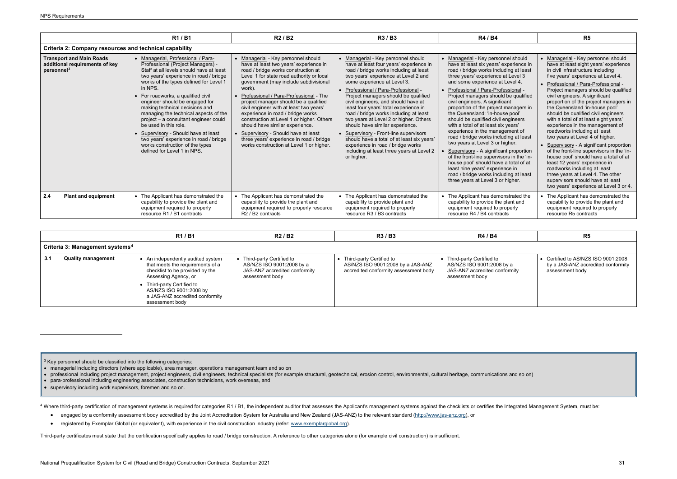<span id="page-34-1"></span><span id="page-34-0"></span>

|                                                                                             | R1/B1                                                                                                                                                                                                                                                                                                                                                                                                                                                                                                                                                                                     | R <sub>2</sub> / B <sub>2</sub>                                                                                                                                                                                                                                                                                                                                                                                                                                                                                                                                                                     | R3 / B3                                                                                                                                                                                                                                                                                                                                                                                                                                                                                                                                                                                                                                                                           | R4 / B4                                                                                                                                                                                                                                                                                                                                                                                                                                                                                                                                                                                                                                                                                                                                                                                                                                      | R5                                                                                                                                                                                                                                                                                                                                                                                                                                                                                                                                                                                                                                                                                                                                                                                                                                                           |  |  |  |  |  |
|---------------------------------------------------------------------------------------------|-------------------------------------------------------------------------------------------------------------------------------------------------------------------------------------------------------------------------------------------------------------------------------------------------------------------------------------------------------------------------------------------------------------------------------------------------------------------------------------------------------------------------------------------------------------------------------------------|-----------------------------------------------------------------------------------------------------------------------------------------------------------------------------------------------------------------------------------------------------------------------------------------------------------------------------------------------------------------------------------------------------------------------------------------------------------------------------------------------------------------------------------------------------------------------------------------------------|-----------------------------------------------------------------------------------------------------------------------------------------------------------------------------------------------------------------------------------------------------------------------------------------------------------------------------------------------------------------------------------------------------------------------------------------------------------------------------------------------------------------------------------------------------------------------------------------------------------------------------------------------------------------------------------|----------------------------------------------------------------------------------------------------------------------------------------------------------------------------------------------------------------------------------------------------------------------------------------------------------------------------------------------------------------------------------------------------------------------------------------------------------------------------------------------------------------------------------------------------------------------------------------------------------------------------------------------------------------------------------------------------------------------------------------------------------------------------------------------------------------------------------------------|--------------------------------------------------------------------------------------------------------------------------------------------------------------------------------------------------------------------------------------------------------------------------------------------------------------------------------------------------------------------------------------------------------------------------------------------------------------------------------------------------------------------------------------------------------------------------------------------------------------------------------------------------------------------------------------------------------------------------------------------------------------------------------------------------------------------------------------------------------------|--|--|--|--|--|
| Criteria 2: Company resources and technical capability                                      |                                                                                                                                                                                                                                                                                                                                                                                                                                                                                                                                                                                           |                                                                                                                                                                                                                                                                                                                                                                                                                                                                                                                                                                                                     |                                                                                                                                                                                                                                                                                                                                                                                                                                                                                                                                                                                                                                                                                   |                                                                                                                                                                                                                                                                                                                                                                                                                                                                                                                                                                                                                                                                                                                                                                                                                                              |                                                                                                                                                                                                                                                                                                                                                                                                                                                                                                                                                                                                                                                                                                                                                                                                                                                              |  |  |  |  |  |
| <b>Transport and Main Roads</b><br>additional requirements of key<br>personnel <sup>3</sup> | • Managerial, Professional / Para-<br>Professional (Project Managers) -<br>Staff at all levels should have at least<br>two years' experience in road / bridge<br>works of the types defined for Level 1<br>in NPS.<br>• For roadworks, a qualified civil<br>engineer should be engaged for<br>making technical decisions and<br>managing the technical aspects of the<br>project - a consultant engineer could<br>be used in this role.<br>Supervisory - Should have at least<br>two years' experience in road / bridge<br>works construction of the types<br>defined for Level 1 in NPS. | Managerial - Key personnel should<br>have at least two years' experience in<br>road / bridge works construction at<br>Level 1 for state road authority or local<br>government (may include subdivisional<br>work).<br>Professional / Para-Professional - The<br>project manager should be a qualified<br>civil engineer with at least two years'<br>experience in road / bridge works<br>construction at Level 1 or higher. Others<br>should have similar experience.<br>Supervisory - Should have at least<br>three years' experience in road / bridge<br>works construction at Level 1 or higher. | • Managerial - Key personnel should<br>have at least four years' experience in<br>road / bridge works including at least<br>two years' experience at Level 2 and<br>some experience at Level 3.<br>Professional / Para-Professional -<br>Project managers should be qualified<br>civil engineers, and should have at<br>least four years' total experience in<br>road / bridge works including at least<br>two years at Level 2 or higher. Others<br>should have similar experience.<br><b>Supervisory - Front-line supervisors</b><br>should have a total of at least six years'<br>experience in road / bridge works<br>including at least three years at Level 2<br>or higher. | • Managerial - Key personnel should<br>have at least six years' experience in<br>road / bridge works including at least<br>three years' experience at Level 3<br>and some experience at Level 4.<br>Professional / Para-Professional -<br>Project managers should be qualified<br>civil engineers. A significant<br>proportion of the project managers in<br>the Queensland: 'in-house pool'<br>should be qualified civil engineers<br>with a total of at least six years'<br>experience in the management of<br>road / bridge works including at least<br>two years at Level 3 or higher.<br>Supervisory - A significant proportion<br>of the front-line supervisors in the 'in-<br>house pool' should have a total of at<br>least nine years' experience in<br>road / bridge works including at least<br>three years at Level 3 or higher. | • Managerial - Key personnel should<br>have at least eight years' experience<br>in civil infrastructure including<br>five years' experience at Level 4.<br>Professional / Para-Professional<br>Project managers should be qualified<br>civil engineers. A significant<br>proportion of the project managers in<br>the Queensland 'in-house pool'<br>should be qualified civil engineers<br>with a total of at least eight years'<br>experience in the management of<br>roadworks including at least<br>two years at Level 4 of higher.<br>• Supervisory - A significant proportion<br>of the front-line supervisors in the 'in-<br>house pool' should have a total of at<br>least 12 years' experience in<br>roadworks including at least<br>three years at Level 4. The other<br>supervisors should have at least<br>two years' experience at Level 3 or 4. |  |  |  |  |  |
| 2.4<br><b>Plant and equipment</b>                                                           | • The Applicant has demonstrated the<br>capability to provide the plant and<br>equipment required to properly<br>resource R1 / B1 contracts                                                                                                                                                                                                                                                                                                                                                                                                                                               | • The Applicant has demonstrated the<br>capability to provide the plant and<br>equipment required to properly resource<br>R <sub>2</sub> / B <sub>2</sub> contracts                                                                                                                                                                                                                                                                                                                                                                                                                                 | • The Applicant has demonstrated the<br>capability to provide plant and<br>equipment required to properly<br>resource R3 / B3 contracts                                                                                                                                                                                                                                                                                                                                                                                                                                                                                                                                           | • The Applicant has demonstrated the<br>capability to provide the plant and<br>equipment required to properly<br>resource R4 / B4 contracts                                                                                                                                                                                                                                                                                                                                                                                                                                                                                                                                                                                                                                                                                                  | • The Applicant has demonstrated the<br>capability to provide the plant and<br>equipment required to properly<br>resource R5 contracts                                                                                                                                                                                                                                                                                                                                                                                                                                                                                                                                                                                                                                                                                                                       |  |  |  |  |  |

|     |                                             | R1/B1                                                                                                                                                        | R2/B2                                                                                                     | R3 / B3                                                                                                  | R4 / B4                                                                                                     | R <sub>5</sub>                                                                               |
|-----|---------------------------------------------|--------------------------------------------------------------------------------------------------------------------------------------------------------------|-----------------------------------------------------------------------------------------------------------|----------------------------------------------------------------------------------------------------------|-------------------------------------------------------------------------------------------------------------|----------------------------------------------------------------------------------------------|
|     | Criteria 3: Management systems <sup>4</sup> |                                                                                                                                                              |                                                                                                           |                                                                                                          |                                                                                                             |                                                                                              |
| 3.1 | <b>Quality management</b>                   | • An independently audited system<br>that meets the requirements of a<br>checklist to be provided by the<br>Assessing Agency, or<br>Third-party Certified to | Third-party Certified to<br>AS/NZS ISO 9001:2008 by a<br>JAS-ANZ accredited conformity<br>assessment body | • Third-party Certified to<br>AS/NZS ISO 9001:2008 by a JAS-ANZ<br>accredited conformity assessment body | ▶ Third-party Certified to<br>AS/NZS ISO 9001:2008 by a<br>JAS-ANZ accredited conformity<br>assessment body | • Certified to AS/NZS ISO 9001:2008<br>by a JAS-ANZ accredited conformity<br>assessment body |
|     |                                             | AS/NZS ISO 9001:2008 by<br>a JAS-ANZ accredited conformity<br>assessment body                                                                                |                                                                                                           |                                                                                                          |                                                                                                             |                                                                                              |

<sup>3</sup> Key personnel should be classified into the following categories:

- managerial including directors (where applicable), area manager, operations management team and so on
- professional including project management, project engineers, civil engineers, technical specialists (for example structural, geotechnical, erosion control, environmental, cultural heritage, communications and so on)
- para-professional including engineering associates, construction technicians, work overseas, and
- supervisory including work supervisors, foremen and so on.

4 Where third-party certification of management systems is required for categories R1 / B1, the independent auditor that assesses the Applicant's management systems against the checklists or certifies the Integrated Manage

- engaged by a conformity assessment body accredited by the Joint Accreditation System for Australia and New Zealand (JAS-ANZ) to the relevant standard [\(http://www.jas-anz.org\)](http://www.jas-anz.org/), or
- registered by Exemplar Global (or equivalent), with experience in the civil construction industry (refer[: www.exemplarglobal.org\)](http://www.exemplarglobal.org/).

Third-party certificates must state that the certification specifically applies to road / bridge construction. A reference to other categories alone (for example civil construction) is insufficient.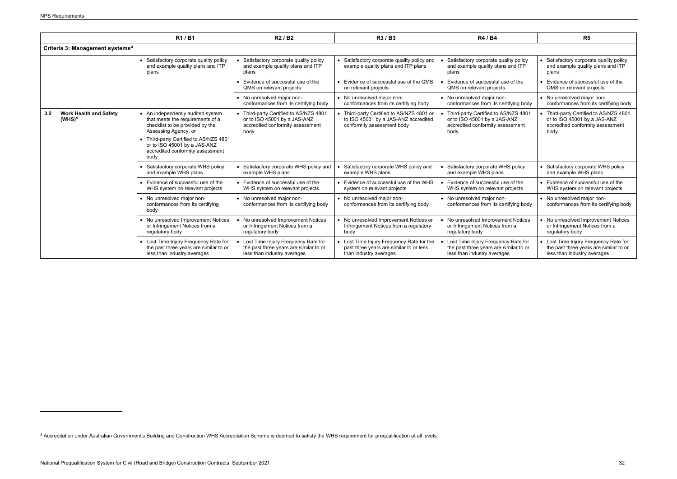<span id="page-35-0"></span>

|                                                            | R1/B1                                                                                                                                                                                                                                          | R2/B2                                                                                                              | R3/B3                                                                                                         | R4 / B4                                                                                                          | R5                                                                                                                 |  |
|------------------------------------------------------------|------------------------------------------------------------------------------------------------------------------------------------------------------------------------------------------------------------------------------------------------|--------------------------------------------------------------------------------------------------------------------|---------------------------------------------------------------------------------------------------------------|------------------------------------------------------------------------------------------------------------------|--------------------------------------------------------------------------------------------------------------------|--|
| Criteria 3: Management systems <sup>4</sup>                |                                                                                                                                                                                                                                                |                                                                                                                    |                                                                                                               |                                                                                                                  |                                                                                                                    |  |
|                                                            | • Satisfactory corporate quality policy<br>and example quality plans and ITP<br>plans                                                                                                                                                          | Satisfactory corporate quality policy<br>and example quality plans and ITP<br>plans                                | Satisfactory corporate quality policy and<br>example quality plans and ITP plans                              | Satisfactory corporate quality policy<br>and example quality plans and ITP<br>plans                              | Satisfactory corporate quality policy<br>and example quality plans and ITP<br>plans                                |  |
|                                                            |                                                                                                                                                                                                                                                | Evidence of successful use of the<br>QMS on relevant projects                                                      | • Evidence of successful use of the QMS<br>on relevant projects                                               | Evidence of successful use of the<br>QMS on relevant projects                                                    | Evidence of successful use of the<br>QMS on relevant projects                                                      |  |
|                                                            |                                                                                                                                                                                                                                                | • No unresolved major non-<br>conformances from its certifying body                                                | • No unresolved major non-<br>conformances from its certifying body                                           | • No unresolved major non-<br>conformances from its certifying body                                              | • No unresolved major non-<br>conformances from its certifying body                                                |  |
| 3.2<br><b>Work Health and Safety</b><br>(WHS) <sup>5</sup> | • An independently audited system<br>that meets the requirements of a<br>checklist to be provided by the<br>Assessing Agency, or<br>• Third-party Certified to AS/NZS 4801<br>or to ISO 45001 by a JAS-ANZ<br>accredited conformity assessment | • Third-party Certified to AS/NZS 4801<br>or to ISO 45001 by a JAS-ANZ<br>accredited conformity assessment<br>body | Third-party Certified to AS/NZS 4801 or<br>to ISO 45001 by a JAS-ANZ accredited<br>conformity assessment body | Third-party Certified to AS/NZS 4801<br>or to ISO 45001 by a JAS-ANZ<br>accredited conformity assessment<br>body | • Third-party Certified to AS/NZS 4801<br>or to ISO 45001 by a JAS-ANZ<br>accredited conformity assessment<br>body |  |
|                                                            | body                                                                                                                                                                                                                                           |                                                                                                                    |                                                                                                               |                                                                                                                  |                                                                                                                    |  |
|                                                            | • Satisfactory corporate WHS policy<br>and example WHS plans                                                                                                                                                                                   | Satisfactory corporate WHS policy and<br>example WHS plans                                                         | Satisfactory corporate WHS policy and<br>example WHS plans                                                    | Satisfactory corporate WHS policy<br>and example WHS plans                                                       | • Satisfactory corporate WHS policy<br>and example WHS plans                                                       |  |
|                                                            | • Evidence of successful use of the<br>WHS system on relevant projects                                                                                                                                                                         | Evidence of successful use of the<br>WHS system on relevant projects                                               | • Evidence of successful use of the WHS<br>system on relevant projects                                        | Evidence of successful use of the<br>WHS system on relevant projects                                             | Evidence of successful use of the<br>WHS system on relevant projects                                               |  |
|                                                            | • No unresolved major non-<br>conformances from its certifying<br>body                                                                                                                                                                         | • No unresolved major non-<br>conformances from its certifying body                                                | • No unresolved major non-<br>conformances from its certifying body                                           | • No unresolved major non-<br>conformances from its certifying body                                              | • No unresolved major non-<br>conformances from its certifying body                                                |  |
|                                                            | • No unresolved Improvement Notices<br>or Infringement Notices from a<br>regulatory body                                                                                                                                                       | No unresolved Improvement Notices<br>or Infringement Notices from a<br>regulatory body                             | • No unresolved Improvement Notices or<br>Infringement Notices from a regulatory<br>body                      | No unresolved Improvement Notices<br>or Infringement Notices from a<br>regulatory body                           | • No unresolved Improvement Notices<br>or Infringement Notices from a<br>regulatory body                           |  |
|                                                            | • Lost Time Injury Frequency Rate for<br>the past three years are similar to or<br>less than industry averages                                                                                                                                 | Lost Time Injury Frequency Rate for<br>the past three years are similar to or<br>less than industry averages       | Lost Time Injury Frequency Rate for the<br>past three years are similar to or less<br>than industry averages  | Lost Time Injury Frequency Rate for<br>the past three years are similar to or<br>less than industry averages     | Lost Time Injury Frequency Rate for<br>the past three years are similar to or<br>less than industry averages       |  |

<sup>&</sup>lt;sup>5</sup> Accreditation under Australian Government's Building and Construction WHS Accreditation Scheme is deemed to satisfy the WHS requirement for prequalification at all levels.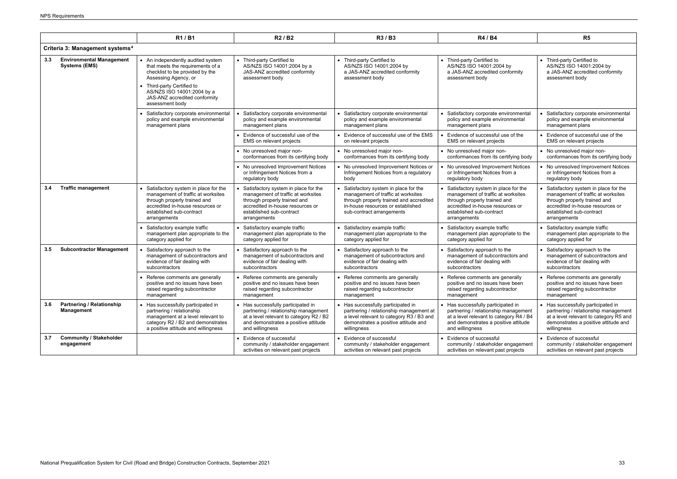|     |                                                         | R1/B1                                                                                                                                                                                                                                            | R <sub>2</sub> / B <sub>2</sub>                                                                                                                                                            | R3 / B3                                                                                                                                                                                 | R4 / B4                                                                                                                                                                                    | R5                                                                                                                                                                                         |  |
|-----|---------------------------------------------------------|--------------------------------------------------------------------------------------------------------------------------------------------------------------------------------------------------------------------------------------------------|--------------------------------------------------------------------------------------------------------------------------------------------------------------------------------------------|-----------------------------------------------------------------------------------------------------------------------------------------------------------------------------------------|--------------------------------------------------------------------------------------------------------------------------------------------------------------------------------------------|--------------------------------------------------------------------------------------------------------------------------------------------------------------------------------------------|--|
|     | Criteria 3: Management systems <sup>4</sup>             |                                                                                                                                                                                                                                                  |                                                                                                                                                                                            |                                                                                                                                                                                         |                                                                                                                                                                                            |                                                                                                                                                                                            |  |
| 3.3 | <b>Environmental Management</b><br><b>Systems (EMS)</b> | • An independently audited system<br>that meets the requirements of a<br>checklist to be provided by the<br>Assessing Agency, or<br>• Third-party Certified to<br>AS/NZS ISO 14001:2004 by a<br>JAS-ANZ accredited conformity<br>assessment body | • Third-party Certified to<br>AS/NZS ISO 14001:2004 by a<br>JAS-ANZ accredited conformity<br>assessment body                                                                               | • Third-party Certified to<br>AS/NZS ISO 14001:2004 by<br>a JAS-ANZ accredited conformity<br>assessment body                                                                            | • Third-party Certified to<br>AS/NZS ISO 14001:2004 by<br>a JAS-ANZ accredited conformity<br>assessment body                                                                               | • Third-party Certified to<br>AS/NZS ISO 14001:2004 by<br>a JAS-ANZ accredited conformity<br>assessment body                                                                               |  |
|     |                                                         | Satisfactory corporate environmental<br>policy and example environmental<br>management plans                                                                                                                                                     | Satisfactory corporate environmental<br>policy and example environmental<br>management plans                                                                                               | • Satisfactory corporate environmental<br>policy and example environmental<br>management plans                                                                                          | Satisfactory corporate environmental<br>policy and example environmental<br>management plans                                                                                               | • Satisfactory corporate environmental<br>policy and example environmental<br>management plans                                                                                             |  |
|     |                                                         |                                                                                                                                                                                                                                                  | • Evidence of successful use of the<br>EMS on relevant projects                                                                                                                            | • Evidence of successful use of the EMS<br>on relevant projects                                                                                                                         | Evidence of successful use of the<br>EMS on relevant projects                                                                                                                              | • Evidence of successful use of the<br>EMS on relevant projects                                                                                                                            |  |
|     |                                                         |                                                                                                                                                                                                                                                  | • No unresolved major non-<br>conformances from its certifying body                                                                                                                        | • No unresolved major non-<br>conformances from its certifying body                                                                                                                     | • No unresolved major non-<br>conformances from its certifying body                                                                                                                        | • No unresolved major non-<br>conformances from its certifying body                                                                                                                        |  |
|     |                                                         |                                                                                                                                                                                                                                                  | • No unresolved Improvement Notices<br>or Infringement Notices from a<br>regulatory body                                                                                                   | • No unresolved Improvement Notices or<br>Infringement Notices from a regulatory<br>body                                                                                                | • No unresolved Improvement Notices<br>or Infringement Notices from a<br>regulatory body                                                                                                   | • No unresolved Improvement Notices<br>or Infringement Notices from a<br>regulatory body                                                                                                   |  |
| 3.4 | <b>Traffic management</b>                               | Satisfactory system in place for the<br>management of traffic at worksites<br>through properly trained and<br>accredited in-house resources or<br>established sub-contract<br>arrangements                                                       | Satisfactory system in place for the<br>management of traffic at worksites<br>through properly trained and<br>accredited in-house resources or<br>established sub-contract<br>arrangements | Satisfactory system in place for the<br>management of traffic at worksites<br>through properly trained and accredited<br>in-house resources or established<br>sub-contract arrangements | Satisfactory system in place for the<br>management of traffic at worksites<br>through properly trained and<br>accredited in-house resources or<br>established sub-contract<br>arrangements | Satisfactory system in place for the<br>management of traffic at worksites<br>through properly trained and<br>accredited in-house resources or<br>established sub-contract<br>arrangements |  |
|     |                                                         | Satisfactory example traffic<br>management plan appropriate to the<br>category applied for                                                                                                                                                       | • Satisfactory example traffic<br>management plan appropriate to the<br>category applied for                                                                                               | • Satisfactory example traffic<br>management plan appropriate to the<br>category applied for                                                                                            | • Satisfactory example traffic<br>management plan appropriate to the<br>category applied for                                                                                               | • Satisfactory example traffic<br>management plan appropriate to the<br>category applied for                                                                                               |  |
| 3.5 | <b>Subcontractor Management</b>                         | Satisfactory approach to the<br>management of subcontractors and<br>evidence of fair dealing with<br>subcontractors                                                                                                                              | • Satisfactory approach to the<br>management of subcontractors and<br>evidence of fair dealing with<br>subcontractors                                                                      | • Satisfactory approach to the<br>management of subcontractors and<br>evidence of fair dealing with<br>subcontractors                                                                   | • Satisfactory approach to the<br>management of subcontractors and<br>evidence of fair dealing with<br>subcontractors                                                                      | • Satisfactory approach to the<br>management of subcontractors and<br>evidence of fair dealing with<br>subcontractors                                                                      |  |
|     |                                                         | • Referee comments are generally<br>positive and no issues have been<br>raised regarding subcontractor<br>management                                                                                                                             | • Referee comments are generally<br>positive and no issues have been<br>raised regarding subcontractor<br>management                                                                       | • Referee comments are generally<br>positive and no issues have been<br>raised regarding subcontractor<br>management                                                                    | • Referee comments are generally<br>positive and no issues have been<br>raised regarding subcontractor<br>management                                                                       | • Referee comments are generally<br>positive and no issues have been<br>raised regarding subcontractor<br>management                                                                       |  |
| 3.6 | <b>Partnering / Relationship</b><br><b>Management</b>   | • Has successfully participated in<br>partnering / relationship<br>management at a level relevant to<br>category R2 / B2 and demonstrates<br>a positive attitude and willingness                                                                 | • Has successfully participated in<br>partnering / relationship management<br>at a level relevant to category R2 / B2<br>and demonstrates a positive attitude<br>and willingness           | • Has successfully participated in<br>partnering / relationship management at<br>a level relevant to category R3 / B3 and<br>demonstrates a positive attitude and<br>willingness        | • Has successfully participated in<br>partnering / relationship management<br>at a level relevant to category R4 / B4<br>and demonstrates a positive attitude<br>and willingness           | • Has successfully participated in<br>partnering / relationship management<br>at a level relevant to category R5 and<br>demonstrates a positive attitude and<br>willingness                |  |
| 3.7 | <b>Community / Stakeholder</b><br>engagement            |                                                                                                                                                                                                                                                  | • Evidence of successful<br>community / stakeholder engagement<br>activities on relevant past projects                                                                                     | • Evidence of successful<br>community / stakeholder engagement<br>activities on relevant past projects                                                                                  | • Evidence of successful<br>community / stakeholder engagement<br>activities on relevant past projects                                                                                     | • Evidence of successful<br>community / stakeholder engagement<br>activities on relevant past projects                                                                                     |  |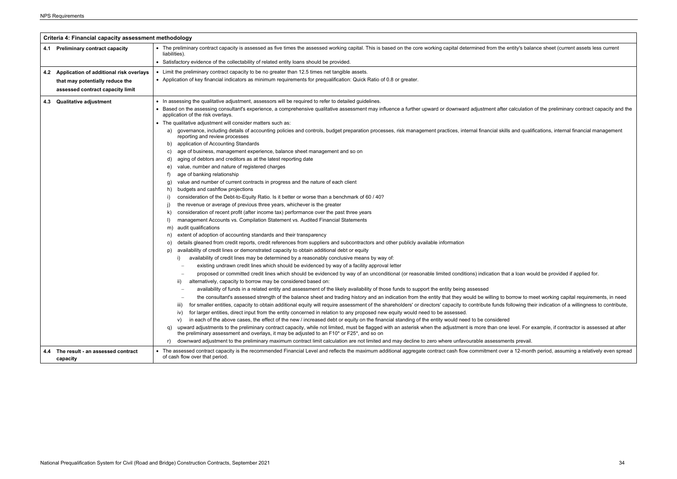|     | Criteria 4: Financial capacity assessment methodology |                                                                                                                                                                                                                                                                    |  |
|-----|-------------------------------------------------------|--------------------------------------------------------------------------------------------------------------------------------------------------------------------------------------------------------------------------------------------------------------------|--|
|     | 4.1 Preliminary contract capacity                     | • The preliminary contract capacity is assessed as five times the assessed working capital. This is based on the core working capital determined from the entity's bala<br>liabilities).                                                                           |  |
|     |                                                       | • Satisfactory evidence of the collectability of related entity loans should be provided.                                                                                                                                                                          |  |
| 4.2 | Application of additional risk overlays               | • Limit the preliminary contract capacity to be no greater than 12.5 times net tangible assets.                                                                                                                                                                    |  |
|     | that may potentially reduce the                       | • Application of key financial indicators as minimum requirements for prequalification: Quick Ratio of 0.8 or greater.                                                                                                                                             |  |
|     | assessed contract capacity limit                      |                                                                                                                                                                                                                                                                    |  |
|     |                                                       |                                                                                                                                                                                                                                                                    |  |
| 4.3 | <b>Qualitative adjustment</b>                         | • In assessing the qualitative adjustment, assessors will be required to refer to detailed guidelines.                                                                                                                                                             |  |
|     |                                                       | • Based on the assessing consultant's experience, a comprehensive qualitative assessment may influence a further upward or downward adjustment after calculatior<br>application of the risk overlays.                                                              |  |
|     |                                                       | • The qualitative adjustment will consider matters such as:                                                                                                                                                                                                        |  |
|     |                                                       | governance, including details of accounting policies and controls, budget preparation processes, risk management practices, internal financial skills and quali<br>a)<br>reporting and review processes                                                            |  |
|     |                                                       | application of Accounting Standards<br>b)                                                                                                                                                                                                                          |  |
|     |                                                       | age of business, management experience, balance sheet management and so on<br>C)                                                                                                                                                                                   |  |
|     |                                                       | aging of debtors and creditors as at the latest reporting date<br>d,                                                                                                                                                                                               |  |
|     |                                                       | value, number and nature of registered charges<br>e)                                                                                                                                                                                                               |  |
|     |                                                       | age of banking relationship<br>f)                                                                                                                                                                                                                                  |  |
|     |                                                       | value and number of current contracts in progress and the nature of each client<br>g,                                                                                                                                                                              |  |
|     |                                                       | budgets and cashflow projections<br>h)                                                                                                                                                                                                                             |  |
|     |                                                       | consideration of the Debt-to-Equity Ratio. Is it better or worse than a benchmark of 60 / 40?<br>i)                                                                                                                                                                |  |
|     |                                                       | the revenue or average of previous three years, whichever is the greater<br>j)                                                                                                                                                                                     |  |
|     |                                                       | consideration of recent profit (after income tax) performance over the past three years<br>k)<br>$\vert$<br>management Accounts vs. Compilation Statement vs. Audited Financial Statements                                                                         |  |
|     |                                                       | audit qualifications                                                                                                                                                                                                                                               |  |
|     |                                                       | m)<br>extent of adoption of accounting standards and their transparency<br>n                                                                                                                                                                                       |  |
|     |                                                       | details gleaned from credit reports, credit references from suppliers and subcontractors and other publicly available information<br>$\circ$                                                                                                                       |  |
|     |                                                       | availability of credit lines or demonstrated capacity to obtain additional debt or equity<br>p)                                                                                                                                                                    |  |
|     |                                                       | availability of credit lines may be determined by a reasonably conclusive means by way of:                                                                                                                                                                         |  |
|     |                                                       | existing undrawn credit lines which should be evidenced by way of a facility approval letter                                                                                                                                                                       |  |
|     |                                                       | proposed or committed credit lines which should be evidenced by way of an unconditional (or reasonable limited conditions) indication that a loan wo                                                                                                               |  |
|     |                                                       | alternatively, capacity to borrow may be considered based on:<br>ii)                                                                                                                                                                                               |  |
|     |                                                       | availability of funds in a related entity and assessment of the likely availability of those funds to support the entity being assessed                                                                                                                            |  |
|     |                                                       | the consultant's assessed strength of the balance sheet and trading history and an indication from the entity that they would be willing to borrow to m                                                                                                            |  |
|     |                                                       | for smaller entities, capacity to obtain additional equity will require assessment of the shareholders' or directors' capacity to contribute funds following th<br>iii)                                                                                            |  |
|     |                                                       | for larger entities, direct input from the entity concerned in relation to any proposed new equity would need to be assessed.<br>IV)                                                                                                                               |  |
|     |                                                       | in each of the above cases, the effect of the new / increased debt or equity on the financial standing of the entity would need to be considered<br>V)                                                                                                             |  |
|     |                                                       | upward adjustments to the preliminary contract capacity, while not limited, must be flagged with an asterisk when the adjustment is more than one level. For or<br>q)<br>the preliminary assessment and overlays, it may be adjusted to an F10* or F25*, and so on |  |
|     |                                                       | downward adjustment to the preliminary maximum contract limit calculation are not limited and may decline to zero where unfavourable assessments prevail.<br>r)                                                                                                    |  |
| 4.4 | The result - an assessed contract<br>capacity         | • The assessed contract capacity is the recommended Financial Level and reflects the maximum additional aggregate contract cash flow commitment over a 12-mon<br>of cash flow over that period.                                                                    |  |

ntity's balance sheet (current assets less current alculation of the preliminary contract capacity and the and qualifications, internal financial management a loan would be provided if applied for.  $\sigma$  to meet working capital requirements, in need  $\sigma$ llowing their indication of a willingness to contribute, evel. For example, if contractor is assessed at after  $\overline{1}$  12-month period, assuming a relatively even spread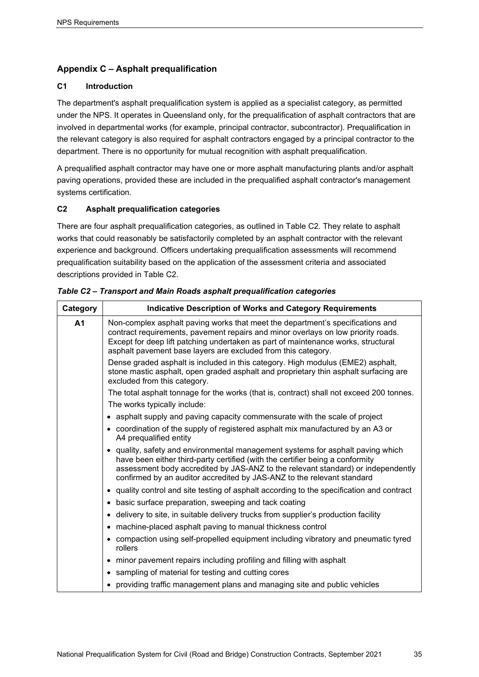## <span id="page-38-0"></span>**Appendix C – Asphalt prequalification**

## **C1 Introduction**

The department's asphalt prequalification system is applied as a specialist category, as permitted under the NPS. It operates in Queensland only, for the prequalification of asphalt contractors that are involved in departmental works (for example, principal contractor, subcontractor). Prequalification in the relevant category is also required for asphalt contractors engaged by a principal contractor to the department. There is no opportunity for mutual recognition with asphalt prequalification.

A prequalified asphalt contractor may have one or more asphalt manufacturing plants and/or asphalt paving operations, provided these are included in the prequalified asphalt contractor's management systems certification.

## **C2 Asphalt prequalification categories**

There are four asphalt prequalification categories, as outlined in Table C2. They relate to asphalt works that could reasonably be satisfactorily completed by an asphalt contractor with the relevant experience and background. Officers undertaking prequalification assessments will recommend prequalification suitability based on the application of the assessment criteria and associated descriptions provided in Table C2.

| Category       | <b>Indicative Description of Works and Category Requirements</b>                                                                                                                                                                                                                                                               |
|----------------|--------------------------------------------------------------------------------------------------------------------------------------------------------------------------------------------------------------------------------------------------------------------------------------------------------------------------------|
| A <sub>1</sub> | Non-complex asphalt paving works that meet the department's specifications and<br>contract requirements, pavement repairs and minor overlays on low priority roads.<br>Except for deep lift patching undertaken as part of maintenance works, structural<br>asphalt pavement base layers are excluded from this category.      |
|                | Dense graded asphalt is included in this category. High modulus (EME2) asphalt,<br>stone mastic asphalt, open graded asphalt and proprietary thin asphalt surfacing are<br>excluded from this category.                                                                                                                        |
|                | The total asphalt tonnage for the works (that is, contract) shall not exceed 200 tonnes.                                                                                                                                                                                                                                       |
|                | The works typically include:                                                                                                                                                                                                                                                                                                   |
|                | • asphalt supply and paving capacity commensurate with the scale of project                                                                                                                                                                                                                                                    |
|                | • coordination of the supply of registered asphalt mix manufactured by an A3 or<br>A4 prequalified entity                                                                                                                                                                                                                      |
|                | • quality, safety and environmental management systems for asphalt paving which<br>have been either third-party certified (with the certifier being a conformity<br>assessment body accredited by JAS-ANZ to the relevant standard) or independently<br>confirmed by an auditor accredited by JAS-ANZ to the relevant standard |
|                | • quality control and site testing of asphalt according to the specification and contract                                                                                                                                                                                                                                      |
|                | • basic surface preparation, sweeping and tack coating                                                                                                                                                                                                                                                                         |
|                | • delivery to site, in suitable delivery trucks from supplier's production facility                                                                                                                                                                                                                                            |
|                | machine-placed asphalt paving to manual thickness control                                                                                                                                                                                                                                                                      |
|                | • compaction using self-propelled equipment including vibratory and pneumatic tyred<br>rollers                                                                                                                                                                                                                                 |
|                | • minor pavement repairs including profiling and filling with asphalt                                                                                                                                                                                                                                                          |
|                | sampling of material for testing and cutting cores                                                                                                                                                                                                                                                                             |
|                | providing traffic management plans and managing site and public vehicles                                                                                                                                                                                                                                                       |

*Table C2 – Transport and Main Roads asphalt prequalification categories*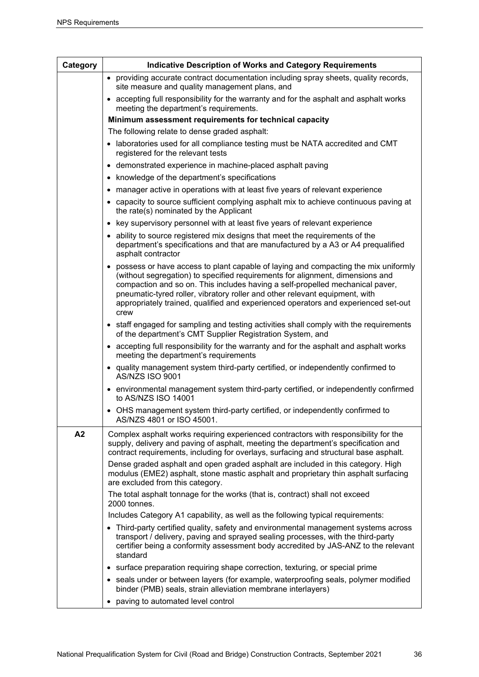| Category | <b>Indicative Description of Works and Category Requirements</b>                                                                                                                                                                                                                                                                                                                                                                  |
|----------|-----------------------------------------------------------------------------------------------------------------------------------------------------------------------------------------------------------------------------------------------------------------------------------------------------------------------------------------------------------------------------------------------------------------------------------|
|          | • providing accurate contract documentation including spray sheets, quality records,<br>site measure and quality management plans, and                                                                                                                                                                                                                                                                                            |
|          | • accepting full responsibility for the warranty and for the asphalt and asphalt works<br>meeting the department's requirements.                                                                                                                                                                                                                                                                                                  |
|          | Minimum assessment requirements for technical capacity                                                                                                                                                                                                                                                                                                                                                                            |
|          | The following relate to dense graded asphalt:                                                                                                                                                                                                                                                                                                                                                                                     |
|          | • laboratories used for all compliance testing must be NATA accredited and CMT<br>registered for the relevant tests                                                                                                                                                                                                                                                                                                               |
|          | • demonstrated experience in machine-placed asphalt paving                                                                                                                                                                                                                                                                                                                                                                        |
|          | knowledge of the department's specifications<br>$\bullet$                                                                                                                                                                                                                                                                                                                                                                         |
|          | manager active in operations with at least five years of relevant experience                                                                                                                                                                                                                                                                                                                                                      |
|          | • capacity to source sufficient complying asphalt mix to achieve continuous paving at<br>the rate(s) nominated by the Applicant                                                                                                                                                                                                                                                                                                   |
|          | • key supervisory personnel with at least five years of relevant experience                                                                                                                                                                                                                                                                                                                                                       |
|          | ability to source registered mix designs that meet the requirements of the<br>department's specifications and that are manufactured by a A3 or A4 prequalified<br>asphalt contractor                                                                                                                                                                                                                                              |
|          | possess or have access to plant capable of laying and compacting the mix uniformly<br>(without segregation) to specified requirements for alignment, dimensions and<br>compaction and so on. This includes having a self-propelled mechanical paver,<br>pneumatic-tyred roller, vibratory roller and other relevant equipment, with<br>appropriately trained, qualified and experienced operators and experienced set-out<br>crew |
|          | • staff engaged for sampling and testing activities shall comply with the requirements<br>of the department's CMT Supplier Registration System, and                                                                                                                                                                                                                                                                               |
|          | • accepting full responsibility for the warranty and for the asphalt and asphalt works<br>meeting the department's requirements                                                                                                                                                                                                                                                                                                   |
|          | • quality management system third-party certified, or independently confirmed to<br>AS/NZS ISO 9001                                                                                                                                                                                                                                                                                                                               |
|          | • environmental management system third-party certified, or independently confirmed<br>to AS/NZS ISO 14001                                                                                                                                                                                                                                                                                                                        |
|          | • OHS management system third-party certified, or independently confirmed to<br>AS/NZS 4801 or ISO 45001.                                                                                                                                                                                                                                                                                                                         |
| A2       | Complex asphalt works requiring experienced contractors with responsibility for the<br>supply, delivery and paving of asphalt, meeting the department's specification and<br>contract requirements, including for overlays, surfacing and structural base asphalt.                                                                                                                                                                |
|          | Dense graded asphalt and open graded asphalt are included in this category. High<br>modulus (EME2) asphalt, stone mastic asphalt and proprietary thin asphalt surfacing<br>are excluded from this category.                                                                                                                                                                                                                       |
|          | The total asphalt tonnage for the works (that is, contract) shall not exceed<br>2000 tonnes.                                                                                                                                                                                                                                                                                                                                      |
|          | Includes Category A1 capability, as well as the following typical requirements:                                                                                                                                                                                                                                                                                                                                                   |
|          | • Third-party certified quality, safety and environmental management systems across<br>transport / delivery, paving and sprayed sealing processes, with the third-party<br>certifier being a conformity assessment body accredited by JAS-ANZ to the relevant<br>standard                                                                                                                                                         |
|          | surface preparation requiring shape correction, texturing, or special prime<br>$\bullet$                                                                                                                                                                                                                                                                                                                                          |
|          | • seals under or between layers (for example, waterproofing seals, polymer modified<br>binder (PMB) seals, strain alleviation membrane interlayers)                                                                                                                                                                                                                                                                               |
|          | paving to automated level control                                                                                                                                                                                                                                                                                                                                                                                                 |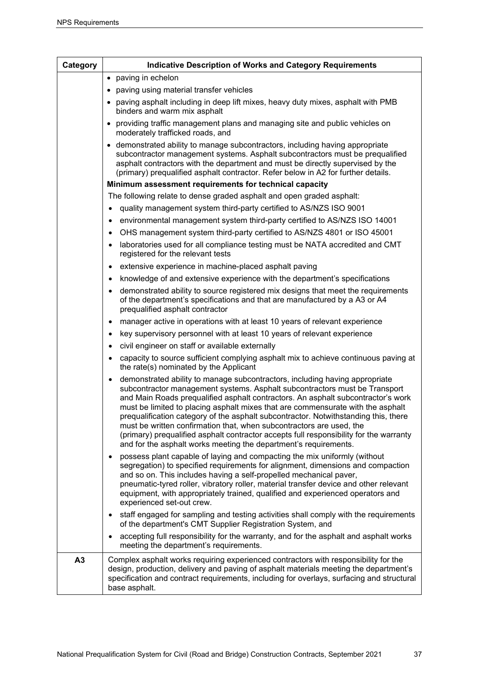| Category | <b>Indicative Description of Works and Category Requirements</b>                                                                                                                                                                                                                                                                                                                                                                                                                                                                                                                                                                                                           |
|----------|----------------------------------------------------------------------------------------------------------------------------------------------------------------------------------------------------------------------------------------------------------------------------------------------------------------------------------------------------------------------------------------------------------------------------------------------------------------------------------------------------------------------------------------------------------------------------------------------------------------------------------------------------------------------------|
|          | • paving in echelon                                                                                                                                                                                                                                                                                                                                                                                                                                                                                                                                                                                                                                                        |
|          | paving using material transfer vehicles<br>$\bullet$                                                                                                                                                                                                                                                                                                                                                                                                                                                                                                                                                                                                                       |
|          | paving asphalt including in deep lift mixes, heavy duty mixes, asphalt with PMB<br>binders and warm mix asphalt                                                                                                                                                                                                                                                                                                                                                                                                                                                                                                                                                            |
|          | providing traffic management plans and managing site and public vehicles on<br>$\bullet$<br>moderately trafficked roads, and                                                                                                                                                                                                                                                                                                                                                                                                                                                                                                                                               |
|          | • demonstrated ability to manage subcontractors, including having appropriate<br>subcontractor management systems. Asphalt subcontractors must be prequalified<br>asphalt contractors with the department and must be directly supervised by the<br>(primary) prequalified asphalt contractor. Refer below in A2 for further details.                                                                                                                                                                                                                                                                                                                                      |
|          | Minimum assessment requirements for technical capacity                                                                                                                                                                                                                                                                                                                                                                                                                                                                                                                                                                                                                     |
|          | The following relate to dense graded asphalt and open graded asphalt:                                                                                                                                                                                                                                                                                                                                                                                                                                                                                                                                                                                                      |
|          | quality management system third-party certified to AS/NZS ISO 9001                                                                                                                                                                                                                                                                                                                                                                                                                                                                                                                                                                                                         |
|          | environmental management system third-party certified to AS/NZS ISO 14001<br>٠                                                                                                                                                                                                                                                                                                                                                                                                                                                                                                                                                                                             |
|          | OHS management system third-party certified to AS/NZS 4801 or ISO 45001                                                                                                                                                                                                                                                                                                                                                                                                                                                                                                                                                                                                    |
|          | laboratories used for all compliance testing must be NATA accredited and CMT<br>٠<br>registered for the relevant tests                                                                                                                                                                                                                                                                                                                                                                                                                                                                                                                                                     |
|          | extensive experience in machine-placed asphalt paving                                                                                                                                                                                                                                                                                                                                                                                                                                                                                                                                                                                                                      |
|          | knowledge of and extensive experience with the department's specifications<br>٠                                                                                                                                                                                                                                                                                                                                                                                                                                                                                                                                                                                            |
|          | demonstrated ability to source registered mix designs that meet the requirements<br>of the department's specifications and that are manufactured by a A3 or A4<br>prequalified asphalt contractor                                                                                                                                                                                                                                                                                                                                                                                                                                                                          |
|          | manager active in operations with at least 10 years of relevant experience<br>$\bullet$                                                                                                                                                                                                                                                                                                                                                                                                                                                                                                                                                                                    |
|          | key supervisory personnel with at least 10 years of relevant experience                                                                                                                                                                                                                                                                                                                                                                                                                                                                                                                                                                                                    |
|          | civil engineer on staff or available externally                                                                                                                                                                                                                                                                                                                                                                                                                                                                                                                                                                                                                            |
|          | capacity to source sufficient complying asphalt mix to achieve continuous paving at<br>the rate(s) nominated by the Applicant                                                                                                                                                                                                                                                                                                                                                                                                                                                                                                                                              |
|          | demonstrated ability to manage subcontractors, including having appropriate<br>$\bullet$<br>subcontractor management systems. Asphalt subcontractors must be Transport<br>and Main Roads prequalified asphalt contractors. An asphalt subcontractor's work<br>must be limited to placing asphalt mixes that are commensurate with the asphalt<br>prequalification category of the asphalt subcontractor. Notwithstanding this, there<br>must be written confirmation that, when subcontractors are used, the<br>(primary) prequalified asphalt contractor accepts full responsibility for the warranty<br>and for the asphalt works meeting the department's requirements. |
|          | possess plant capable of laying and compacting the mix uniformly (without<br>$\bullet$<br>segregation) to specified requirements for alignment, dimensions and compaction<br>and so on. This includes having a self-propelled mechanical paver,<br>pneumatic-tyred roller, vibratory roller, material transfer device and other relevant<br>equipment, with appropriately trained, qualified and experienced operators and<br>experienced set-out crew.                                                                                                                                                                                                                    |
|          | staff engaged for sampling and testing activities shall comply with the requirements<br>$\bullet$<br>of the department's CMT Supplier Registration System, and                                                                                                                                                                                                                                                                                                                                                                                                                                                                                                             |
|          | accepting full responsibility for the warranty, and for the asphalt and asphalt works<br>meeting the department's requirements.                                                                                                                                                                                                                                                                                                                                                                                                                                                                                                                                            |
| A3       | Complex asphalt works requiring experienced contractors with responsibility for the<br>design, production, delivery and paving of asphalt materials meeting the department's<br>specification and contract requirements, including for overlays, surfacing and structural<br>base asphalt.                                                                                                                                                                                                                                                                                                                                                                                 |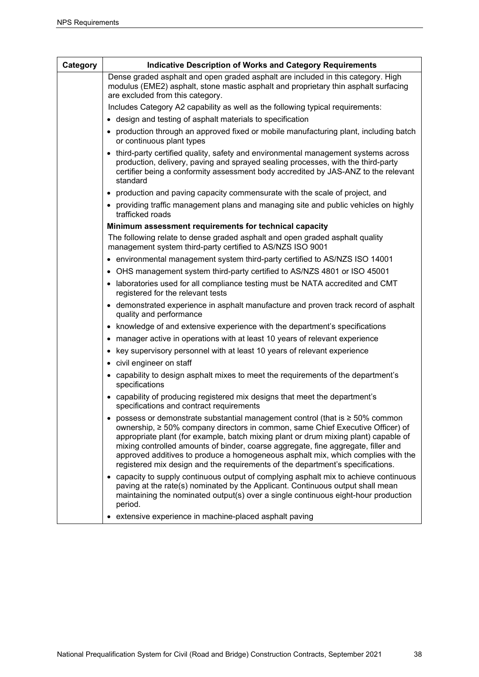| Category | <b>Indicative Description of Works and Category Requirements</b>                                                                                                                                                                                                                                                                                                                                                                                                                                                                   |
|----------|------------------------------------------------------------------------------------------------------------------------------------------------------------------------------------------------------------------------------------------------------------------------------------------------------------------------------------------------------------------------------------------------------------------------------------------------------------------------------------------------------------------------------------|
|          | Dense graded asphalt and open graded asphalt are included in this category. High<br>modulus (EME2) asphalt, stone mastic asphalt and proprietary thin asphalt surfacing<br>are excluded from this category.                                                                                                                                                                                                                                                                                                                        |
|          | Includes Category A2 capability as well as the following typical requirements:                                                                                                                                                                                                                                                                                                                                                                                                                                                     |
|          | • design and testing of asphalt materials to specification                                                                                                                                                                                                                                                                                                                                                                                                                                                                         |
|          | production through an approved fixed or mobile manufacturing plant, including batch<br>or continuous plant types                                                                                                                                                                                                                                                                                                                                                                                                                   |
|          | • third-party certified quality, safety and environmental management systems across<br>production, delivery, paving and sprayed sealing processes, with the third-party<br>certifier being a conformity assessment body accredited by JAS-ANZ to the relevant<br>standard                                                                                                                                                                                                                                                          |
|          | • production and paving capacity commensurate with the scale of project, and                                                                                                                                                                                                                                                                                                                                                                                                                                                       |
|          | • providing traffic management plans and managing site and public vehicles on highly<br>trafficked roads                                                                                                                                                                                                                                                                                                                                                                                                                           |
|          | Minimum assessment requirements for technical capacity                                                                                                                                                                                                                                                                                                                                                                                                                                                                             |
|          | The following relate to dense graded asphalt and open graded asphalt quality<br>management system third-party certified to AS/NZS ISO 9001                                                                                                                                                                                                                                                                                                                                                                                         |
|          | • environmental management system third-party certified to AS/NZS ISO 14001                                                                                                                                                                                                                                                                                                                                                                                                                                                        |
|          | OHS management system third-party certified to AS/NZS 4801 or ISO 45001<br>٠                                                                                                                                                                                                                                                                                                                                                                                                                                                       |
|          | laboratories used for all compliance testing must be NATA accredited and CMT<br>registered for the relevant tests                                                                                                                                                                                                                                                                                                                                                                                                                  |
|          | • demonstrated experience in asphalt manufacture and proven track record of asphalt<br>quality and performance                                                                                                                                                                                                                                                                                                                                                                                                                     |
|          | • knowledge of and extensive experience with the department's specifications                                                                                                                                                                                                                                                                                                                                                                                                                                                       |
|          | manager active in operations with at least 10 years of relevant experience<br>٠                                                                                                                                                                                                                                                                                                                                                                                                                                                    |
|          | key supervisory personnel with at least 10 years of relevant experience<br>٠                                                                                                                                                                                                                                                                                                                                                                                                                                                       |
|          | civil engineer on staff<br>٠                                                                                                                                                                                                                                                                                                                                                                                                                                                                                                       |
|          | capability to design asphalt mixes to meet the requirements of the department's<br>٠<br>specifications                                                                                                                                                                                                                                                                                                                                                                                                                             |
|          | • capability of producing registered mix designs that meet the department's<br>specifications and contract requirements                                                                                                                                                                                                                                                                                                                                                                                                            |
|          | possess or demonstrate substantial management control (that is $\geq 50\%$ common<br>$\bullet$<br>ownership, ≥ 50% company directors in common, same Chief Executive Officer) of<br>appropriate plant (for example, batch mixing plant or drum mixing plant) capable of<br>mixing controlled amounts of binder, coarse aggregate, fine aggregate, filler and<br>approved additives to produce a homogeneous asphalt mix, which complies with the<br>registered mix design and the requirements of the department's specifications. |
|          | • capacity to supply continuous output of complying asphalt mix to achieve continuous<br>paving at the rate(s) nominated by the Applicant. Continuous output shall mean<br>maintaining the nominated output(s) over a single continuous eight-hour production<br>period.                                                                                                                                                                                                                                                           |
|          | • extensive experience in machine-placed asphalt paving                                                                                                                                                                                                                                                                                                                                                                                                                                                                            |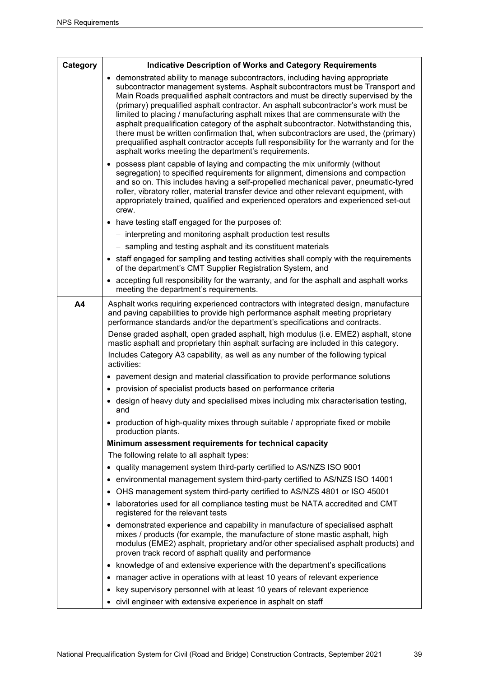| Category | <b>Indicative Description of Works and Category Requirements</b>                                                                                                                                                                                                                                                                                                                                                                                                                                                                                                                                                                                                                                                                                                    |  |
|----------|---------------------------------------------------------------------------------------------------------------------------------------------------------------------------------------------------------------------------------------------------------------------------------------------------------------------------------------------------------------------------------------------------------------------------------------------------------------------------------------------------------------------------------------------------------------------------------------------------------------------------------------------------------------------------------------------------------------------------------------------------------------------|--|
|          | • demonstrated ability to manage subcontractors, including having appropriate<br>subcontractor management systems. Asphalt subcontractors must be Transport and<br>Main Roads prequalified asphalt contractors and must be directly supervised by the<br>(primary) prequalified asphalt contractor. An asphalt subcontractor's work must be<br>limited to placing / manufacturing asphalt mixes that are commensurate with the<br>asphalt prequalification category of the asphalt subcontractor. Notwithstanding this,<br>there must be written confirmation that, when subcontractors are used, the (primary)<br>prequalified asphalt contractor accepts full responsibility for the warranty and for the<br>asphalt works meeting the department's requirements. |  |
|          | • possess plant capable of laying and compacting the mix uniformly (without<br>segregation) to specified requirements for alignment, dimensions and compaction<br>and so on. This includes having a self-propelled mechanical paver, pneumatic-tyred<br>roller, vibratory roller, material transfer device and other relevant equipment, with<br>appropriately trained, qualified and experienced operators and experienced set-out<br>crew.                                                                                                                                                                                                                                                                                                                        |  |
|          | • have testing staff engaged for the purposes of:                                                                                                                                                                                                                                                                                                                                                                                                                                                                                                                                                                                                                                                                                                                   |  |
|          | - interpreting and monitoring asphalt production test results                                                                                                                                                                                                                                                                                                                                                                                                                                                                                                                                                                                                                                                                                                       |  |
|          | - sampling and testing asphalt and its constituent materials                                                                                                                                                                                                                                                                                                                                                                                                                                                                                                                                                                                                                                                                                                        |  |
|          | • staff engaged for sampling and testing activities shall comply with the requirements<br>of the department's CMT Supplier Registration System, and                                                                                                                                                                                                                                                                                                                                                                                                                                                                                                                                                                                                                 |  |
|          | • accepting full responsibility for the warranty, and for the asphalt and asphalt works<br>meeting the department's requirements.                                                                                                                                                                                                                                                                                                                                                                                                                                                                                                                                                                                                                                   |  |
| A4       | Asphalt works requiring experienced contractors with integrated design, manufacture<br>and paving capabilities to provide high performance asphalt meeting proprietary<br>performance standards and/or the department's specifications and contracts.                                                                                                                                                                                                                                                                                                                                                                                                                                                                                                               |  |
|          | Dense graded asphalt, open graded asphalt, high modulus (i.e. EME2) asphalt, stone<br>mastic asphalt and proprietary thin asphalt surfacing are included in this category.                                                                                                                                                                                                                                                                                                                                                                                                                                                                                                                                                                                          |  |
|          | Includes Category A3 capability, as well as any number of the following typical<br>activities:                                                                                                                                                                                                                                                                                                                                                                                                                                                                                                                                                                                                                                                                      |  |
|          | • pavement design and material classification to provide performance solutions                                                                                                                                                                                                                                                                                                                                                                                                                                                                                                                                                                                                                                                                                      |  |
|          | provision of specialist products based on performance criteria<br>٠                                                                                                                                                                                                                                                                                                                                                                                                                                                                                                                                                                                                                                                                                                 |  |
|          | design of heavy duty and specialised mixes including mix characterisation testing,<br>٠<br>and                                                                                                                                                                                                                                                                                                                                                                                                                                                                                                                                                                                                                                                                      |  |
|          | • production of high-quality mixes through suitable / appropriate fixed or mobile<br>production plants.                                                                                                                                                                                                                                                                                                                                                                                                                                                                                                                                                                                                                                                             |  |
|          | Minimum assessment requirements for technical capacity                                                                                                                                                                                                                                                                                                                                                                                                                                                                                                                                                                                                                                                                                                              |  |
|          | The following relate to all asphalt types:                                                                                                                                                                                                                                                                                                                                                                                                                                                                                                                                                                                                                                                                                                                          |  |
|          | • quality management system third-party certified to AS/NZS ISO 9001                                                                                                                                                                                                                                                                                                                                                                                                                                                                                                                                                                                                                                                                                                |  |
|          | environmental management system third-party certified to AS/NZS ISO 14001<br>$\bullet$                                                                                                                                                                                                                                                                                                                                                                                                                                                                                                                                                                                                                                                                              |  |
|          | OHS management system third-party certified to AS/NZS 4801 or ISO 45001<br>$\bullet$                                                                                                                                                                                                                                                                                                                                                                                                                                                                                                                                                                                                                                                                                |  |
|          | laboratories used for all compliance testing must be NATA accredited and CMT<br>٠<br>registered for the relevant tests                                                                                                                                                                                                                                                                                                                                                                                                                                                                                                                                                                                                                                              |  |
|          | • demonstrated experience and capability in manufacture of specialised asphalt<br>mixes / products (for example, the manufacture of stone mastic asphalt, high<br>modulus (EME2) asphalt, proprietary and/or other specialised asphalt products) and<br>proven track record of asphalt quality and performance                                                                                                                                                                                                                                                                                                                                                                                                                                                      |  |
|          | • knowledge of and extensive experience with the department's specifications                                                                                                                                                                                                                                                                                                                                                                                                                                                                                                                                                                                                                                                                                        |  |
|          | manager active in operations with at least 10 years of relevant experience<br>٠                                                                                                                                                                                                                                                                                                                                                                                                                                                                                                                                                                                                                                                                                     |  |
|          | key supervisory personnel with at least 10 years of relevant experience<br>٠                                                                                                                                                                                                                                                                                                                                                                                                                                                                                                                                                                                                                                                                                        |  |
|          | • civil engineer with extensive experience in asphalt on staff                                                                                                                                                                                                                                                                                                                                                                                                                                                                                                                                                                                                                                                                                                      |  |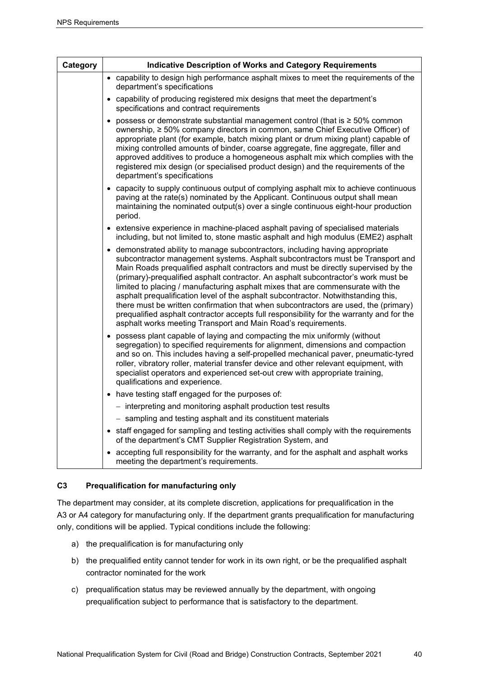| Category | <b>Indicative Description of Works and Category Requirements</b>                                                                                                                                                                                                                                                                                                                                                                                                                                                                                                                                                                                                                                                                                                         |
|----------|--------------------------------------------------------------------------------------------------------------------------------------------------------------------------------------------------------------------------------------------------------------------------------------------------------------------------------------------------------------------------------------------------------------------------------------------------------------------------------------------------------------------------------------------------------------------------------------------------------------------------------------------------------------------------------------------------------------------------------------------------------------------------|
|          | • capability to design high performance asphalt mixes to meet the requirements of the<br>department's specifications                                                                                                                                                                                                                                                                                                                                                                                                                                                                                                                                                                                                                                                     |
|          | • capability of producing registered mix designs that meet the department's<br>specifications and contract requirements                                                                                                                                                                                                                                                                                                                                                                                                                                                                                                                                                                                                                                                  |
|          | possess or demonstrate substantial management control (that is $\geq 50\%$ common<br>٠<br>ownership, ≥ 50% company directors in common, same Chief Executive Officer) of<br>appropriate plant (for example, batch mixing plant or drum mixing plant) capable of<br>mixing controlled amounts of binder, coarse aggregate, fine aggregate, filler and<br>approved additives to produce a homogeneous asphalt mix which complies with the<br>registered mix design (or specialised product design) and the requirements of the<br>department's specifications                                                                                                                                                                                                              |
|          | • capacity to supply continuous output of complying asphalt mix to achieve continuous<br>paving at the rate(s) nominated by the Applicant. Continuous output shall mean<br>maintaining the nominated output(s) over a single continuous eight-hour production<br>period.                                                                                                                                                                                                                                                                                                                                                                                                                                                                                                 |
|          | • extensive experience in machine-placed asphalt paving of specialised materials<br>including, but not limited to, stone mastic asphalt and high modulus (EME2) asphalt                                                                                                                                                                                                                                                                                                                                                                                                                                                                                                                                                                                                  |
|          | • demonstrated ability to manage subcontractors, including having appropriate<br>subcontractor management systems. Asphalt subcontractors must be Transport and<br>Main Roads prequalified asphalt contractors and must be directly supervised by the<br>(primary)-prequalified asphalt contractor. An asphalt subcontractor's work must be<br>limited to placing / manufacturing asphalt mixes that are commensurate with the<br>asphalt prequalification level of the asphalt subcontractor. Notwithstanding this,<br>there must be written confirmation that when subcontractors are used, the (primary)<br>prequalified asphalt contractor accepts full responsibility for the warranty and for the<br>asphalt works meeting Transport and Main Road's requirements. |
|          | possess plant capable of laying and compacting the mix uniformly (without<br>$\bullet$<br>segregation) to specified requirements for alignment, dimensions and compaction<br>and so on. This includes having a self-propelled mechanical paver, pneumatic-tyred<br>roller, vibratory roller, material transfer device and other relevant equipment, with<br>specialist operators and experienced set-out crew with appropriate training,<br>qualifications and experience.                                                                                                                                                                                                                                                                                               |
|          | • have testing staff engaged for the purposes of:                                                                                                                                                                                                                                                                                                                                                                                                                                                                                                                                                                                                                                                                                                                        |
|          | - interpreting and monitoring asphalt production test results                                                                                                                                                                                                                                                                                                                                                                                                                                                                                                                                                                                                                                                                                                            |
|          | - sampling and testing asphalt and its constituent materials                                                                                                                                                                                                                                                                                                                                                                                                                                                                                                                                                                                                                                                                                                             |
|          | • staff engaged for sampling and testing activities shall comply with the requirements<br>of the department's CMT Supplier Registration System, and                                                                                                                                                                                                                                                                                                                                                                                                                                                                                                                                                                                                                      |
|          | accepting full responsibility for the warranty, and for the asphalt and asphalt works<br>meeting the department's requirements.                                                                                                                                                                                                                                                                                                                                                                                                                                                                                                                                                                                                                                          |

## **C3 Prequalification for manufacturing only**

The department may consider, at its complete discretion, applications for prequalification in the A3 or A4 category for manufacturing only. If the department grants prequalification for manufacturing only, conditions will be applied. Typical conditions include the following:

- a) the prequalification is for manufacturing only
- b) the prequalified entity cannot tender for work in its own right, or be the prequalified asphalt contractor nominated for the work
- c) prequalification status may be reviewed annually by the department, with ongoing prequalification subject to performance that is satisfactory to the department.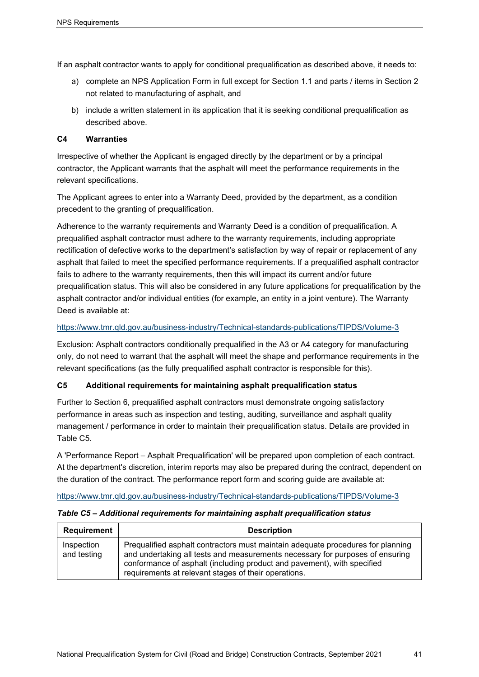If an asphalt contractor wants to apply for conditional prequalification as described above, it needs to:

- a) complete an NPS Application Form in full except for Section 1.1 and parts / items in Section 2 not related to manufacturing of asphalt, and
- b) include a written statement in its application that it is seeking conditional prequalification as described above.

## **C4 Warranties**

Irrespective of whether the Applicant is engaged directly by the department or by a principal contractor, the Applicant warrants that the asphalt will meet the performance requirements in the relevant specifications.

The Applicant agrees to enter into a Warranty Deed, provided by the department, as a condition precedent to the granting of prequalification.

Adherence to the warranty requirements and Warranty Deed is a condition of prequalification. A prequalified asphalt contractor must adhere to the warranty requirements, including appropriate rectification of defective works to the department's satisfaction by way of repair or replacement of any asphalt that failed to meet the specified performance requirements. If a prequalified asphalt contractor fails to adhere to the warranty requirements, then this will impact its current and/or future prequalification status. This will also be considered in any future applications for prequalification by the asphalt contractor and/or individual entities (for example, an entity in a joint venture). The Warranty Deed is available at:

#### <https://www.tmr.qld.gov.au/business-industry/Technical-standards-publications/TIPDS/Volume-3>

Exclusion: Asphalt contractors conditionally prequalified in the A3 or A4 category for manufacturing only, do not need to warrant that the asphalt will meet the shape and performance requirements in the relevant specifications (as the fully prequalified asphalt contractor is responsible for this).

## **C5 Additional requirements for maintaining asphalt prequalification status**

Further to Section 6, prequalified asphalt contractors must demonstrate ongoing satisfactory performance in areas such as inspection and testing, auditing, surveillance and asphalt quality management / performance in order to maintain their prequalification status. Details are provided in Table C5.

A 'Performance Report – Asphalt Prequalification' will be prepared upon completion of each contract. At the department's discretion, interim reports may also be prepared during the contract, dependent on the duration of the contract. The performance report form and scoring guide are available at:

#### <https://www.tmr.qld.gov.au/business-industry/Technical-standards-publications/TIPDS/Volume-3>

#### *Table C5 – Additional requirements for maintaining asphalt prequalification status*

| Requirement               | <b>Description</b>                                                                                                                                                                                                                                                                                  |
|---------------------------|-----------------------------------------------------------------------------------------------------------------------------------------------------------------------------------------------------------------------------------------------------------------------------------------------------|
| Inspection<br>and testing | Prequalified asphalt contractors must maintain adequate procedures for planning<br>and undertaking all tests and measurements necessary for purposes of ensuring<br>conformance of asphalt (including product and pavement), with specified<br>requirements at relevant stages of their operations. |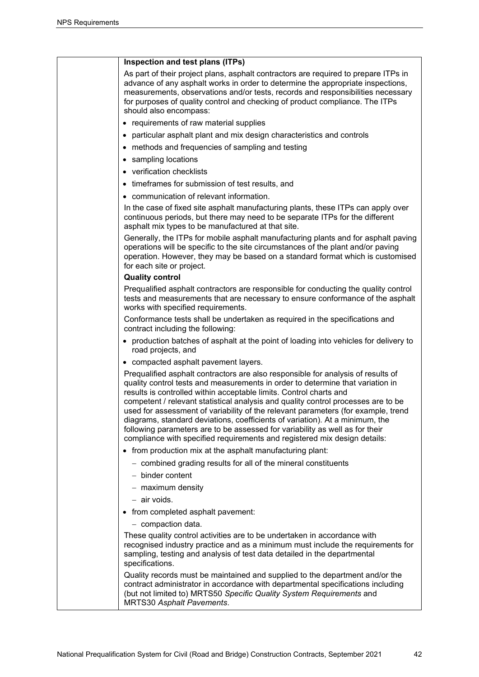| Inspection and test plans (ITPs)                                                                                                                                                                                                                                                                                                                                                                                                                                                                                                                                                                                                                                |
|-----------------------------------------------------------------------------------------------------------------------------------------------------------------------------------------------------------------------------------------------------------------------------------------------------------------------------------------------------------------------------------------------------------------------------------------------------------------------------------------------------------------------------------------------------------------------------------------------------------------------------------------------------------------|
| As part of their project plans, asphalt contractors are required to prepare ITPs in<br>advance of any asphalt works in order to determine the appropriate inspections,<br>measurements, observations and/or tests, records and responsibilities necessary<br>for purposes of quality control and checking of product compliance. The ITPs<br>should also encompass:                                                                                                                                                                                                                                                                                             |
| • requirements of raw material supplies                                                                                                                                                                                                                                                                                                                                                                                                                                                                                                                                                                                                                         |
| • particular asphalt plant and mix design characteristics and controls                                                                                                                                                                                                                                                                                                                                                                                                                                                                                                                                                                                          |
| • methods and frequencies of sampling and testing                                                                                                                                                                                                                                                                                                                                                                                                                                                                                                                                                                                                               |
| • sampling locations                                                                                                                                                                                                                                                                                                                                                                                                                                                                                                                                                                                                                                            |
| • verification checklists                                                                                                                                                                                                                                                                                                                                                                                                                                                                                                                                                                                                                                       |
| • timeframes for submission of test results, and                                                                                                                                                                                                                                                                                                                                                                                                                                                                                                                                                                                                                |
| • communication of relevant information.                                                                                                                                                                                                                                                                                                                                                                                                                                                                                                                                                                                                                        |
| In the case of fixed site asphalt manufacturing plants, these ITPs can apply over<br>continuous periods, but there may need to be separate ITPs for the different<br>asphalt mix types to be manufactured at that site.                                                                                                                                                                                                                                                                                                                                                                                                                                         |
| Generally, the ITPs for mobile asphalt manufacturing plants and for asphalt paving<br>operations will be specific to the site circumstances of the plant and/or paving<br>operation. However, they may be based on a standard format which is customised<br>for each site or project.                                                                                                                                                                                                                                                                                                                                                                           |
| <b>Quality control</b>                                                                                                                                                                                                                                                                                                                                                                                                                                                                                                                                                                                                                                          |
| Prequalified asphalt contractors are responsible for conducting the quality control<br>tests and measurements that are necessary to ensure conformance of the asphalt<br>works with specified requirements.                                                                                                                                                                                                                                                                                                                                                                                                                                                     |
| Conformance tests shall be undertaken as required in the specifications and<br>contract including the following:                                                                                                                                                                                                                                                                                                                                                                                                                                                                                                                                                |
| • production batches of asphalt at the point of loading into vehicles for delivery to<br>road projects, and                                                                                                                                                                                                                                                                                                                                                                                                                                                                                                                                                     |
| • compacted asphalt pavement layers.                                                                                                                                                                                                                                                                                                                                                                                                                                                                                                                                                                                                                            |
| Prequalified asphalt contractors are also responsible for analysis of results of<br>quality control tests and measurements in order to determine that variation in<br>results is controlled within acceptable limits. Control charts and<br>competent / relevant statistical analysis and quality control processes are to be<br>used for assessment of variability of the relevant parameters (for example, trend<br>diagrams, standard deviations, coefficients of variation). At a minimum, the<br>following parameters are to be assessed for variability as well as for their<br>compliance with specified requirements and registered mix design details: |
| • from production mix at the asphalt manufacturing plant:                                                                                                                                                                                                                                                                                                                                                                                                                                                                                                                                                                                                       |
| - combined grading results for all of the mineral constituents                                                                                                                                                                                                                                                                                                                                                                                                                                                                                                                                                                                                  |
| $-$ binder content                                                                                                                                                                                                                                                                                                                                                                                                                                                                                                                                                                                                                                              |
| - maximum density                                                                                                                                                                                                                                                                                                                                                                                                                                                                                                                                                                                                                                               |
| $-$ air voids.                                                                                                                                                                                                                                                                                                                                                                                                                                                                                                                                                                                                                                                  |
| • from completed asphalt pavement:                                                                                                                                                                                                                                                                                                                                                                                                                                                                                                                                                                                                                              |
| $-$ compaction data.                                                                                                                                                                                                                                                                                                                                                                                                                                                                                                                                                                                                                                            |
| These quality control activities are to be undertaken in accordance with<br>recognised industry practice and as a minimum must include the requirements for<br>sampling, testing and analysis of test data detailed in the departmental<br>specifications.                                                                                                                                                                                                                                                                                                                                                                                                      |
| Quality records must be maintained and supplied to the department and/or the<br>contract administrator in accordance with departmental specifications including<br>(but not limited to) MRTS50 Specific Quality System Requirements and<br><b>MRTS30 Asphalt Pavements.</b>                                                                                                                                                                                                                                                                                                                                                                                     |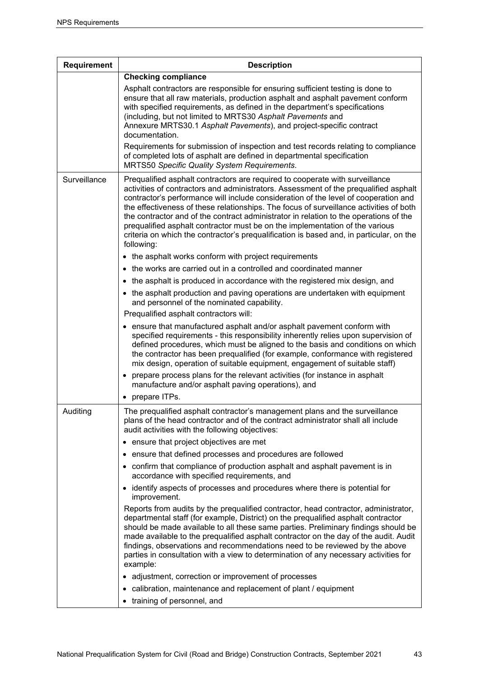| <b>Requirement</b> | <b>Description</b>                                                                                                                                                                                                                                                                                                                                                                                                                                                                                                                                                                                                                      |
|--------------------|-----------------------------------------------------------------------------------------------------------------------------------------------------------------------------------------------------------------------------------------------------------------------------------------------------------------------------------------------------------------------------------------------------------------------------------------------------------------------------------------------------------------------------------------------------------------------------------------------------------------------------------------|
|                    | <b>Checking compliance</b>                                                                                                                                                                                                                                                                                                                                                                                                                                                                                                                                                                                                              |
|                    | Asphalt contractors are responsible for ensuring sufficient testing is done to<br>ensure that all raw materials, production asphalt and asphalt pavement conform<br>with specified requirements, as defined in the department's specifications<br>(including, but not limited to MRTS30 Asphalt Pavements and<br>Annexure MRTS30.1 Asphalt Pavements), and project-specific contract<br>documentation.                                                                                                                                                                                                                                  |
|                    | Requirements for submission of inspection and test records relating to compliance<br>of completed lots of asphalt are defined in departmental specification<br><b>MRTS50 Specific Quality System Requirements.</b>                                                                                                                                                                                                                                                                                                                                                                                                                      |
| Surveillance       | Prequalified asphalt contractors are required to cooperate with surveillance<br>activities of contractors and administrators. Assessment of the prequalified asphalt<br>contractor's performance will include consideration of the level of cooperation and<br>the effectiveness of these relationships. The focus of surveillance activities of both<br>the contractor and of the contract administrator in relation to the operations of the<br>prequalified asphalt contractor must be on the implementation of the various<br>criteria on which the contractor's prequalification is based and, in particular, on the<br>following: |
|                    | • the asphalt works conform with project requirements                                                                                                                                                                                                                                                                                                                                                                                                                                                                                                                                                                                   |
|                    | • the works are carried out in a controlled and coordinated manner                                                                                                                                                                                                                                                                                                                                                                                                                                                                                                                                                                      |
|                    | • the asphalt is produced in accordance with the registered mix design, and                                                                                                                                                                                                                                                                                                                                                                                                                                                                                                                                                             |
|                    | • the asphalt production and paving operations are undertaken with equipment<br>and personnel of the nominated capability.                                                                                                                                                                                                                                                                                                                                                                                                                                                                                                              |
|                    | Prequalified asphalt contractors will:                                                                                                                                                                                                                                                                                                                                                                                                                                                                                                                                                                                                  |
|                    | • ensure that manufactured asphalt and/or asphalt pavement conform with<br>specified requirements - this responsibility inherently relies upon supervision of<br>defined procedures, which must be aligned to the basis and conditions on which<br>the contractor has been prequalified (for example, conformance with registered<br>mix design, operation of suitable equipment, engagement of suitable staff)                                                                                                                                                                                                                         |
|                    | • prepare process plans for the relevant activities (for instance in asphalt<br>manufacture and/or asphalt paving operations), and                                                                                                                                                                                                                                                                                                                                                                                                                                                                                                      |
|                    | • prepare ITPs.                                                                                                                                                                                                                                                                                                                                                                                                                                                                                                                                                                                                                         |
| Auditing           | The prequalified asphalt contractor's management plans and the surveillance<br>plans of the head contractor and of the contract administrator shall all include<br>audit activities with the following objectives:                                                                                                                                                                                                                                                                                                                                                                                                                      |
|                    | • ensure that project objectives are met                                                                                                                                                                                                                                                                                                                                                                                                                                                                                                                                                                                                |
|                    | • ensure that defined processes and procedures are followed                                                                                                                                                                                                                                                                                                                                                                                                                                                                                                                                                                             |
|                    | • confirm that compliance of production asphalt and asphalt pavement is in<br>accordance with specified requirements, and                                                                                                                                                                                                                                                                                                                                                                                                                                                                                                               |
|                    | • identify aspects of processes and procedures where there is potential for<br>improvement.                                                                                                                                                                                                                                                                                                                                                                                                                                                                                                                                             |
|                    | Reports from audits by the prequalified contractor, head contractor, administrator,<br>departmental staff (for example, District) on the prequalified asphalt contractor<br>should be made available to all these same parties. Preliminary findings should be<br>made available to the prequalified asphalt contractor on the day of the audit. Audit<br>findings, observations and recommendations need to be reviewed by the above<br>parties in consultation with a view to determination of any necessary activities for<br>example:                                                                                               |
|                    | • adjustment, correction or improvement of processes                                                                                                                                                                                                                                                                                                                                                                                                                                                                                                                                                                                    |
|                    | • calibration, maintenance and replacement of plant / equipment                                                                                                                                                                                                                                                                                                                                                                                                                                                                                                                                                                         |
|                    | • training of personnel, and                                                                                                                                                                                                                                                                                                                                                                                                                                                                                                                                                                                                            |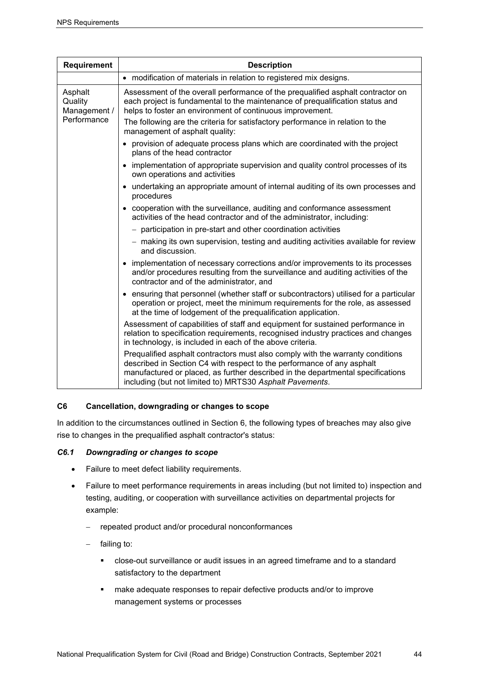| <b>Requirement</b>                                | <b>Description</b>                                                                                                                                                                                                                                                                                      |
|---------------------------------------------------|---------------------------------------------------------------------------------------------------------------------------------------------------------------------------------------------------------------------------------------------------------------------------------------------------------|
|                                                   | • modification of materials in relation to registered mix designs.                                                                                                                                                                                                                                      |
| Asphalt<br>Quality<br>Management /<br>Performance | Assessment of the overall performance of the prequalified asphalt contractor on<br>each project is fundamental to the maintenance of prequalification status and<br>helps to foster an environment of continuous improvement.                                                                           |
|                                                   | The following are the criteria for satisfactory performance in relation to the<br>management of asphalt quality:                                                                                                                                                                                        |
|                                                   | • provision of adequate process plans which are coordinated with the project<br>plans of the head contractor                                                                                                                                                                                            |
|                                                   | • implementation of appropriate supervision and quality control processes of its<br>own operations and activities                                                                                                                                                                                       |
|                                                   | undertaking an appropriate amount of internal auditing of its own processes and<br>$\bullet$<br>procedures                                                                                                                                                                                              |
|                                                   | • cooperation with the surveillance, auditing and conformance assessment<br>activities of the head contractor and of the administrator, including:                                                                                                                                                      |
|                                                   | - participation in pre-start and other coordination activities                                                                                                                                                                                                                                          |
|                                                   | - making its own supervision, testing and auditing activities available for review<br>and discussion.                                                                                                                                                                                                   |
|                                                   | • implementation of necessary corrections and/or improvements to its processes<br>and/or procedures resulting from the surveillance and auditing activities of the<br>contractor and of the administrator, and                                                                                          |
|                                                   | • ensuring that personnel (whether staff or subcontractors) utilised for a particular<br>operation or project, meet the minimum requirements for the role, as assessed<br>at the time of lodgement of the prequalification application.                                                                 |
|                                                   | Assessment of capabilities of staff and equipment for sustained performance in<br>relation to specification requirements, recognised industry practices and changes<br>in technology, is included in each of the above criteria.                                                                        |
|                                                   | Prequalified asphalt contractors must also comply with the warranty conditions<br>described in Section C4 with respect to the performance of any asphalt<br>manufactured or placed, as further described in the departmental specifications<br>including (but not limited to) MRTS30 Asphalt Pavements. |

## **C6 Cancellation, downgrading or changes to scope**

In addition to the circumstances outlined in Section 6, the following types of breaches may also give rise to changes in the prequalified asphalt contractor's status:

## *C6.1 Downgrading or changes to scope*

- Failure to meet defect liability requirements.
- Failure to meet performance requirements in areas including (but not limited to) inspection and testing, auditing, or cooperation with surveillance activities on departmental projects for example:
	- − repeated product and/or procedural nonconformances
	- − failing to:
		- close-out surveillance or audit issues in an agreed timeframe and to a standard satisfactory to the department
		- make adequate responses to repair defective products and/or to improve management systems or processes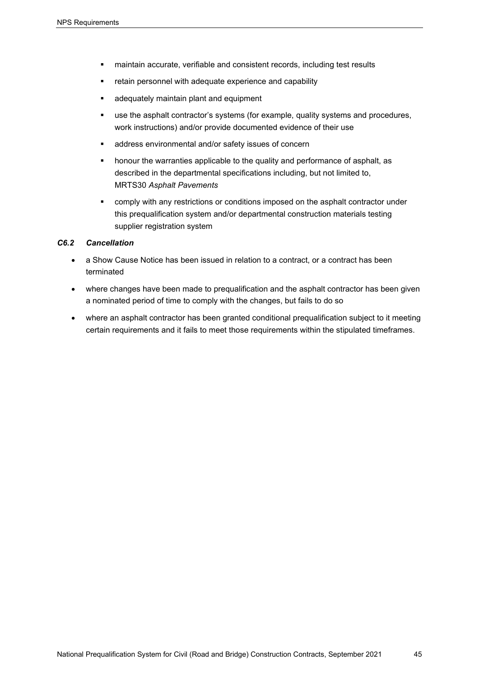- maintain accurate, verifiable and consistent records, including test results
- retain personnel with adequate experience and capability
- adequately maintain plant and equipment
- use the asphalt contractor's systems (for example, quality systems and procedures, work instructions) and/or provide documented evidence of their use
- address environmental and/or safety issues of concern
- **•** honour the warranties applicable to the quality and performance of asphalt, as described in the departmental specifications including, but not limited to, MRTS30 *Asphalt Pavements*
- **•** comply with any restrictions or conditions imposed on the asphalt contractor under this prequalification system and/or departmental construction materials testing supplier registration system

#### *C6.2 Cancellation*

- a Show Cause Notice has been issued in relation to a contract, or a contract has been terminated
- where changes have been made to prequalification and the asphalt contractor has been given a nominated period of time to comply with the changes, but fails to do so
- where an asphalt contractor has been granted conditional prequalification subject to it meeting certain requirements and it fails to meet those requirements within the stipulated timeframes.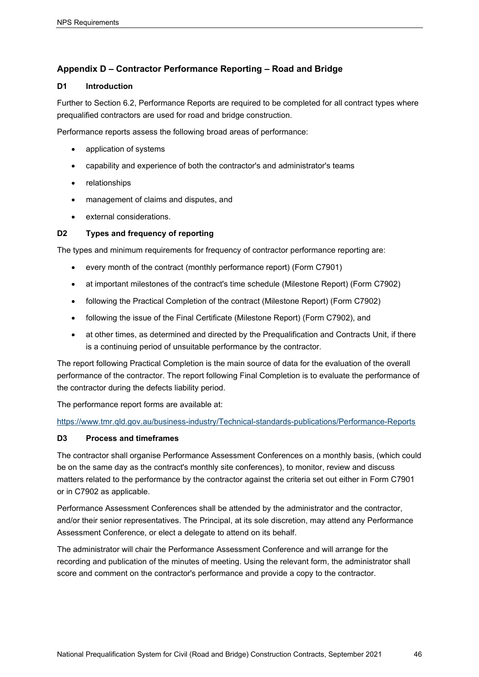## <span id="page-49-0"></span>**Appendix D – Contractor Performance Reporting – Road and Bridge**

## **D1 Introduction**

Further to Section 6.2, Performance Reports are required to be completed for all contract types where prequalified contractors are used for road and bridge construction.

Performance reports assess the following broad areas of performance:

- application of systems
- capability and experience of both the contractor's and administrator's teams
- **relationships**
- management of claims and disputes, and
- external considerations.

## **D2 Types and frequency of reporting**

The types and minimum requirements for frequency of contractor performance reporting are:

- every month of the contract (monthly performance report) (Form C7901)
- at important milestones of the contract's time schedule (Milestone Report) (Form C7902)
- following the Practical Completion of the contract (Milestone Report) (Form C7902)
- following the issue of the Final Certificate (Milestone Report) (Form C7902), and
- at other times, as determined and directed by the Prequalification and Contracts Unit, if there is a continuing period of unsuitable performance by the contractor.

The report following Practical Completion is the main source of data for the evaluation of the overall performance of the contractor. The report following Final Completion is to evaluate the performance of the contractor during the defects liability period.

The performance report forms are available at:

<https://www.tmr.qld.gov.au/business-industry/Technical-standards-publications/Performance-Reports>

## **D3 Process and timeframes**

The contractor shall organise Performance Assessment Conferences on a monthly basis, (which could be on the same day as the contract's monthly site conferences), to monitor, review and discuss matters related to the performance by the contractor against the criteria set out either in Form C7901 or in C7902 as applicable.

Performance Assessment Conferences shall be attended by the administrator and the contractor, and/or their senior representatives. The Principal, at its sole discretion, may attend any Performance Assessment Conference, or elect a delegate to attend on its behalf.

The administrator will chair the Performance Assessment Conference and will arrange for the recording and publication of the minutes of meeting. Using the relevant form, the administrator shall score and comment on the contractor's performance and provide a copy to the contractor.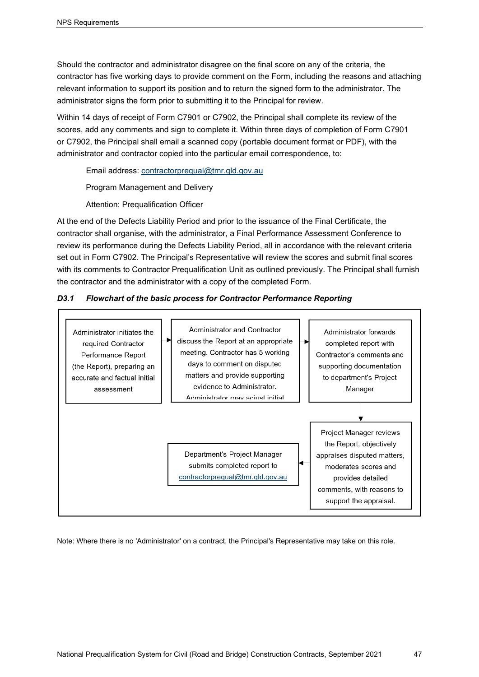Should the contractor and administrator disagree on the final score on any of the criteria, the contractor has five working days to provide comment on the Form, including the reasons and attaching relevant information to support its position and to return the signed form to the administrator. The administrator signs the form prior to submitting it to the Principal for review.

Within 14 days of receipt of Form C7901 or C7902, the Principal shall complete its review of the scores, add any comments and sign to complete it. Within three days of completion of Form C7901 or C7902, the Principal shall email a scanned copy (portable document format or PDF), with the administrator and contractor copied into the particular email correspondence, to:

Email address: [contractorprequal@tmr.qld.gov.au](mailto:contractorprequal@tmr.qld.gov.au)

Program Management and Delivery

Attention: Prequalification Officer

At the end of the Defects Liability Period and prior to the issuance of the Final Certificate, the contractor shall organise, with the administrator, a Final Performance Assessment Conference to review its performance during the Defects Liability Period, all in accordance with the relevant criteria set out in Form C7902. The Principal's Representative will review the scores and submit final scores with its comments to Contractor Prequalification Unit as outlined previously. The Principal shall furnish the contractor and the administrator with a copy of the completed Form.

## *D3.1 Flowchart of the basic process for Contractor Performance Reporting*



Note: Where there is no 'Administrator' on a contract, the Principal's Representative may take on this role.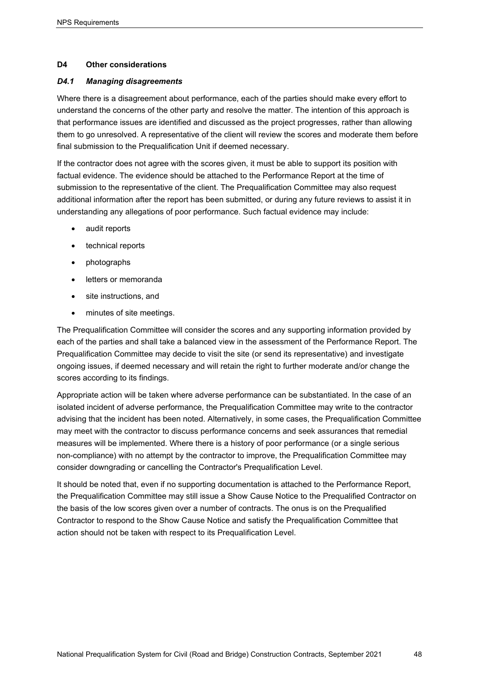#### **D4 Other considerations**

#### *D4.1 Managing disagreements*

Where there is a disagreement about performance, each of the parties should make every effort to understand the concerns of the other party and resolve the matter. The intention of this approach is that performance issues are identified and discussed as the project progresses, rather than allowing them to go unresolved. A representative of the client will review the scores and moderate them before final submission to the Prequalification Unit if deemed necessary.

If the contractor does not agree with the scores given, it must be able to support its position with factual evidence. The evidence should be attached to the Performance Report at the time of submission to the representative of the client. The Prequalification Committee may also request additional information after the report has been submitted, or during any future reviews to assist it in understanding any allegations of poor performance. Such factual evidence may include:

- audit reports
- technical reports
- photographs
- letters or memoranda
- site instructions, and
- minutes of site meetings.

The Prequalification Committee will consider the scores and any supporting information provided by each of the parties and shall take a balanced view in the assessment of the Performance Report. The Prequalification Committee may decide to visit the site (or send its representative) and investigate ongoing issues, if deemed necessary and will retain the right to further moderate and/or change the scores according to its findings.

Appropriate action will be taken where adverse performance can be substantiated. In the case of an isolated incident of adverse performance, the Prequalification Committee may write to the contractor advising that the incident has been noted. Alternatively, in some cases, the Prequalification Committee may meet with the contractor to discuss performance concerns and seek assurances that remedial measures will be implemented. Where there is a history of poor performance (or a single serious non-compliance) with no attempt by the contractor to improve, the Prequalification Committee may consider downgrading or cancelling the Contractor's Prequalification Level.

It should be noted that, even if no supporting documentation is attached to the Performance Report, the Prequalification Committee may still issue a Show Cause Notice to the Prequalified Contractor on the basis of the low scores given over a number of contracts. The onus is on the Prequalified Contractor to respond to the Show Cause Notice and satisfy the Prequalification Committee that action should not be taken with respect to its Prequalification Level.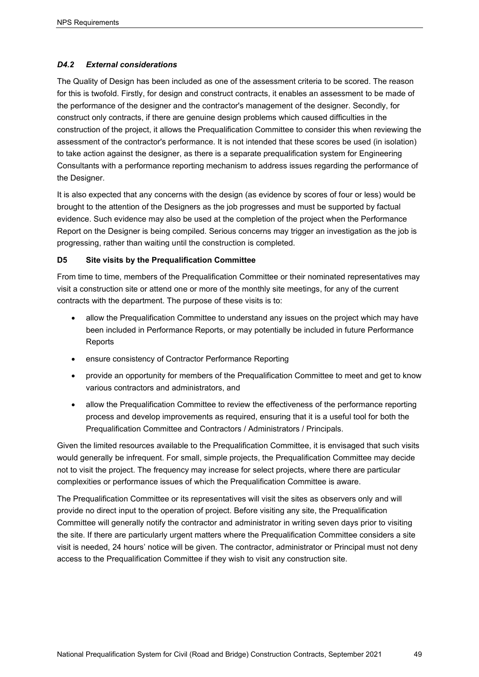## *D4.2 External considerations*

The Quality of Design has been included as one of the assessment criteria to be scored. The reason for this is twofold. Firstly, for design and construct contracts, it enables an assessment to be made of the performance of the designer and the contractor's management of the designer. Secondly, for construct only contracts, if there are genuine design problems which caused difficulties in the construction of the project, it allows the Prequalification Committee to consider this when reviewing the assessment of the contractor's performance. It is not intended that these scores be used (in isolation) to take action against the designer, as there is a separate prequalification system for Engineering Consultants with a performance reporting mechanism to address issues regarding the performance of the Designer.

It is also expected that any concerns with the design (as evidence by scores of four or less) would be brought to the attention of the Designers as the job progresses and must be supported by factual evidence. Such evidence may also be used at the completion of the project when the Performance Report on the Designer is being compiled. Serious concerns may trigger an investigation as the job is progressing, rather than waiting until the construction is completed.

## **D5 Site visits by the Prequalification Committee**

From time to time, members of the Prequalification Committee or their nominated representatives may visit a construction site or attend one or more of the monthly site meetings, for any of the current contracts with the department. The purpose of these visits is to:

- allow the Prequalification Committee to understand any issues on the project which may have been included in Performance Reports, or may potentially be included in future Performance **Reports**
- ensure consistency of Contractor Performance Reporting
- provide an opportunity for members of the Prequalification Committee to meet and get to know various contractors and administrators, and
- allow the Prequalification Committee to review the effectiveness of the performance reporting process and develop improvements as required, ensuring that it is a useful tool for both the Prequalification Committee and Contractors / Administrators / Principals.

Given the limited resources available to the Prequalification Committee, it is envisaged that such visits would generally be infrequent. For small, simple projects, the Prequalification Committee may decide not to visit the project. The frequency may increase for select projects, where there are particular complexities or performance issues of which the Prequalification Committee is aware.

The Prequalification Committee or its representatives will visit the sites as observers only and will provide no direct input to the operation of project. Before visiting any site, the Prequalification Committee will generally notify the contractor and administrator in writing seven days prior to visiting the site. If there are particularly urgent matters where the Prequalification Committee considers a site visit is needed, 24 hours' notice will be given. The contractor, administrator or Principal must not deny access to the Prequalification Committee if they wish to visit any construction site.